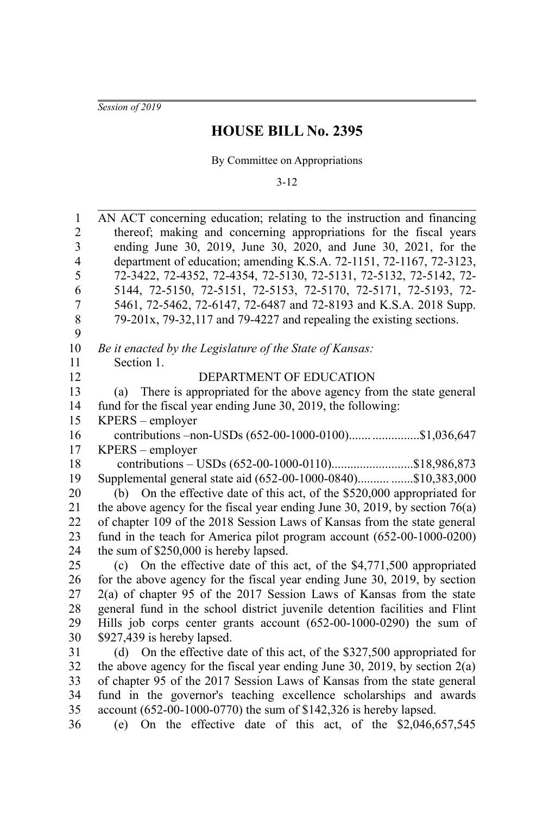*Session of 2019*

## **HOUSE BILL No. 2395**

By Committee on Appropriations

3-12

| $\mathbf{1}$            | AN ACT concerning education; relating to the instruction and financing        |  |  |
|-------------------------|-------------------------------------------------------------------------------|--|--|
| $\overline{2}$          | thereof; making and concerning appropriations for the fiscal years            |  |  |
| $\overline{\mathbf{3}}$ | ending June 30, 2019, June 30, 2020, and June 30, 2021, for the               |  |  |
| $\overline{4}$          | department of education; amending K.S.A. 72-1151, 72-1167, 72-3123,           |  |  |
| 5                       | 72-3422, 72-4352, 72-4354, 72-5130, 72-5131, 72-5132, 72-5142, 72-            |  |  |
| 6                       | 5144, 72-5150, 72-5151, 72-5153, 72-5170, 72-5171, 72-5193, 72-               |  |  |
| 7                       | 5461, 72-5462, 72-6147, 72-6487 and 72-8193 and K.S.A. 2018 Supp.             |  |  |
| 8                       | $79-201x$ , $79-32,117$ and $79-4227$ and repealing the existing sections.    |  |  |
| 9                       |                                                                               |  |  |
| 10                      | Be it enacted by the Legislature of the State of Kansas:                      |  |  |
| 11                      | Section 1.                                                                    |  |  |
| 12                      | DEPARTMENT OF EDUCATION                                                       |  |  |
| 13                      | There is appropriated for the above agency from the state general<br>(a)      |  |  |
| 14                      | fund for the fiscal year ending June 30, 2019, the following:                 |  |  |
| 15                      | KPERS - employer                                                              |  |  |
| 16                      | contributions -non-USDs (652-00-1000-0100) \$1,036,647                        |  |  |
| 17                      | $KPERS$ – employer                                                            |  |  |
| 18                      |                                                                               |  |  |
| 19                      | Supplemental general state aid (652-00-1000-0840)\$10,383,000                 |  |  |
| 20                      | On the effective date of this act, of the \$520,000 appropriated for<br>(b)   |  |  |
| 21                      | the above agency for the fiscal year ending June 30, 2019, by section $76(a)$ |  |  |
| 22                      | of chapter 109 of the 2018 Session Laws of Kansas from the state general      |  |  |
| 23                      | fund in the teach for America pilot program account (652-00-1000-0200)        |  |  |
| 24                      | the sum of \$250,000 is hereby lapsed.                                        |  |  |
| 25                      | On the effective date of this act, of the \$4,771,500 appropriated<br>(c)     |  |  |
| 26                      | for the above agency for the fiscal year ending June 30, 2019, by section     |  |  |
| 27                      | $2(a)$ of chapter 95 of the 2017 Session Laws of Kansas from the state        |  |  |
| 28                      | general fund in the school district juvenile detention facilities and Flint   |  |  |
| 29                      | Hills job corps center grants account (652-00-1000-0290) the sum of           |  |  |
| 30                      | \$927,439 is hereby lapsed.                                                   |  |  |
| 31                      | (d) On the effective date of this act, of the \$327,500 appropriated for      |  |  |
| 32                      | the above agency for the fiscal year ending June 30, 2019, by section $2(a)$  |  |  |
| 33                      | of chapter 95 of the 2017 Session Laws of Kansas from the state general       |  |  |
| 34                      | fund in the governor's teaching excellence scholarships and awards            |  |  |
| 35                      | account (652-00-1000-0770) the sum of \$142,326 is hereby lapsed.             |  |  |
| 36                      | (e) On the effective date of this act, of the $$2,046,657,545$                |  |  |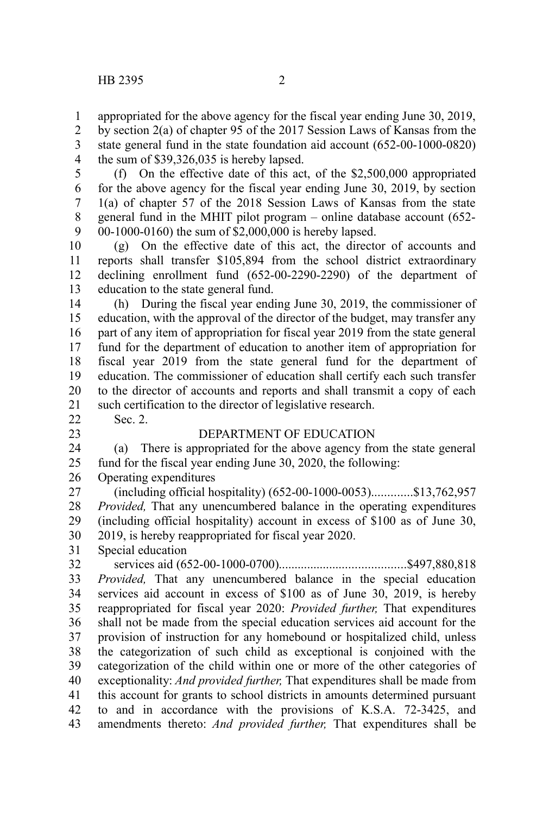appropriated for the above agency for the fiscal year ending June 30, 2019, by section 2(a) of chapter 95 of the 2017 Session Laws of Kansas from the state general fund in the state foundation aid account (652-00-1000-0820) the sum of \$39,326,035 is hereby lapsed. 1 2 3 4

(f) On the effective date of this act, of the \$2,500,000 appropriated for the above agency for the fiscal year ending June 30, 2019, by section 1(a) of chapter 57 of the 2018 Session Laws of Kansas from the state general fund in the MHIT pilot program – online database account (652- 00-1000-0160) the sum of \$2,000,000 is hereby lapsed. 5 6 7 8 9

(g) On the effective date of this act, the director of accounts and reports shall transfer \$105,894 from the school district extraordinary declining enrollment fund (652-00-2290-2290) of the department of education to the state general fund. 10 11 12 13

(h) During the fiscal year ending June 30, 2019, the commissioner of education, with the approval of the director of the budget, may transfer any part of any item of appropriation for fiscal year 2019 from the state general fund for the department of education to another item of appropriation for fiscal year 2019 from the state general fund for the department of education. The commissioner of education shall certify each such transfer to the director of accounts and reports and shall transmit a copy of each such certification to the director of legislative research. Sec. 2. 14 15 16 17 18 19 20 21

22 23

## DEPARTMENT OF EDUCATION

(a) There is appropriated for the above agency from the state general fund for the fiscal year ending June 30, 2020, the following: 24 25

Operating expenditures 26

(including official hospitality) (652-00-1000-0053).............\$13,762,957 *Provided,* That any unencumbered balance in the operating expenditures (including official hospitality) account in excess of \$100 as of June 30, 2019, is hereby reappropriated for fiscal year 2020. 27 28 29 30

Special education 31

services aid (652-00-1000-0700)........................................\$497,880,818 *Provided,* That any unencumbered balance in the special education services aid account in excess of \$100 as of June 30, 2019, is hereby reappropriated for fiscal year 2020: *Provided further,* That expenditures shall not be made from the special education services aid account for the provision of instruction for any homebound or hospitalized child, unless the categorization of such child as exceptional is conjoined with the categorization of the child within one or more of the other categories of exceptionality: *And provided further,* That expenditures shall be made from this account for grants to school districts in amounts determined pursuant to and in accordance with the provisions of K.S.A. 72-3425, and amendments thereto: *And provided further,* That expenditures shall be 32 33 34 35 36 37 38 39 40 41 42 43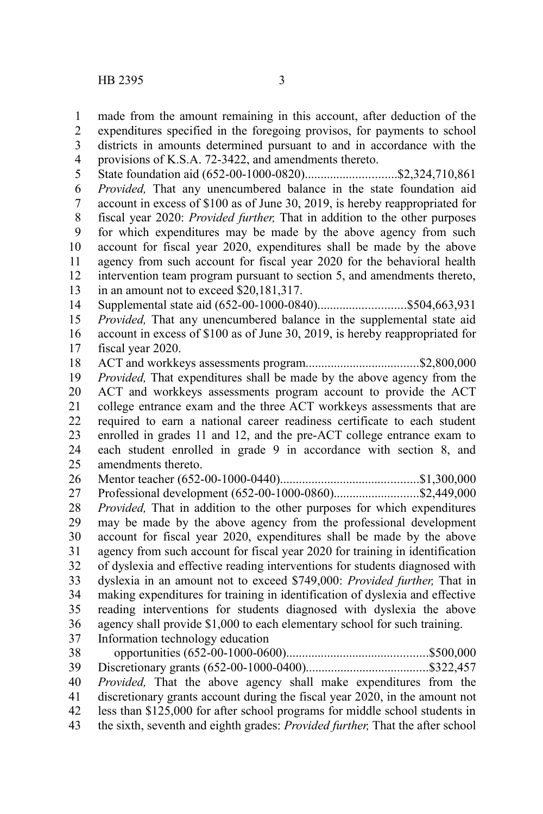made from the amount remaining in this account, after deduction of the 1

expenditures specified in the foregoing provisos, for payments to school 2

districts in amounts determined pursuant to and in accordance with the 3

provisions of K.S.A. 72-3422, and amendments thereto. 4

State foundation aid (652-00-1000-0820).............................\$2,324,710,861 5

*Provided,* That any unencumbered balance in the state foundation aid account in excess of \$100 as of June 30, 2019, is hereby reappropriated for 6 7

fiscal year 2020: *Provided further,* That in addition to the other purposes 8

for which expenditures may be made by the above agency from such account for fiscal year 2020, expenditures shall be made by the above 9 10

agency from such account for fiscal year 2020 for the behavioral health intervention team program pursuant to section 5, and amendments thereto, 11 12

in an amount not to exceed \$20,181,317. 13

Supplemental state aid (652-00-1000-0840)............................\$504,663,931 14

*Provided,* That any unencumbered balance in the supplemental state aid 15

account in excess of \$100 as of June 30, 2019, is hereby reappropriated for fiscal year 2020. 16 17

ACT and workkeys assessments program....................................\$2,800,000 *Provided,* That expenditures shall be made by the above agency from the ACT and workkeys assessments program account to provide the ACT college entrance exam and the three ACT workkeys assessments that are required to earn a national career readiness certificate to each student enrolled in grades 11 and 12, and the pre-ACT college entrance exam to each student enrolled in grade 9 in accordance with section 8, and amendments thereto. 18 19 20 21 22 23 24 25

Mentor teacher (652-00-1000-0440)............................................\$1,300,000 Professional development (652-00-1000-0860).............................\$2,449,000 *Provided,* That in addition to the other purposes for which expenditures may be made by the above agency from the professional development account for fiscal year 2020, expenditures shall be made by the above agency from such account for fiscal year 2020 for training in identification of dyslexia and effective reading interventions for students diagnosed with dyslexia in an amount not to exceed \$749,000: *Provided further,* That in making expenditures for training in identification of dyslexia and effective reading interventions for students diagnosed with dyslexia the above agency shall provide \$1,000 to each elementary school for such training. Information technology education 26 27 28 29 30 31 32 33 34 35 36 37

opportunities (652-00-1000-0600).............................................\$500,000 Discretionary grants (652-00-1000-0400).......................................\$322,457 *Provided,* That the above agency shall make expenditures from the discretionary grants account during the fiscal year 2020, in the amount not less than \$125,000 for after school programs for middle school students in the sixth, seventh and eighth grades: *Provided further,* That the after school 38 39 40 41 42 43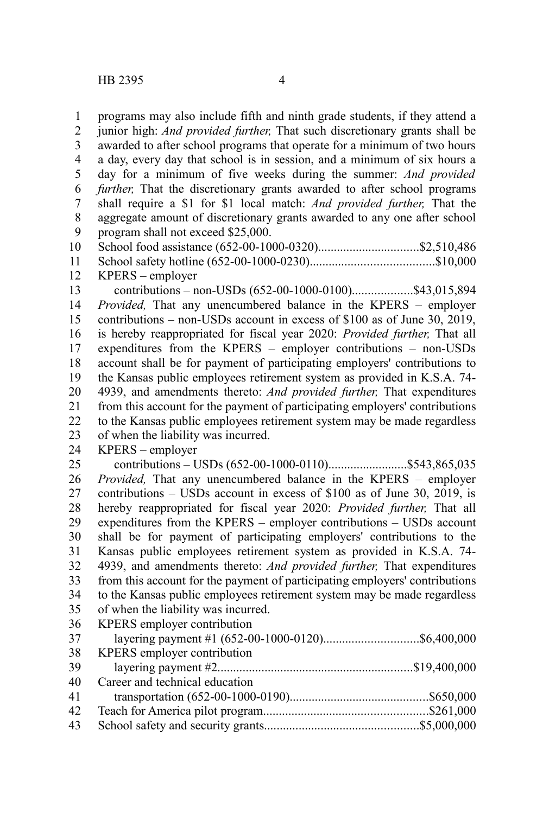programs may also include fifth and ninth grade students, if they attend a junior high: *And provided further,* That such discretionary grants shall be awarded to after school programs that operate for a minimum of two hours a day, every day that school is in session, and a minimum of six hours a day for a minimum of five weeks during the summer: *And provided further,* That the discretionary grants awarded to after school programs shall require a \$1 for \$1 local match: *And provided further,* That the aggregate amount of discretionary grants awarded to any one after school program shall not exceed \$25,000. School food assistance (652-00-1000-0320)................................\$2,510,486 School safety hotline (652-00-1000-0230).......................................\$10,000 KPERS – employer contributions – non-USDs (652-00-1000-0100)...................\$43,015,894 *Provided,* That any unencumbered balance in the KPERS – employer contributions – non-USDs account in excess of \$100 as of June 30, 2019, is hereby reappropriated for fiscal year 2020: *Provided further,* That all expenditures from the KPERS – employer contributions – non-USDs account shall be for payment of participating employers' contributions to the Kansas public employees retirement system as provided in K.S.A. 74- 4939, and amendments thereto: *And provided further,* That expenditures from this account for the payment of participating employers' contributions to the Kansas public employees retirement system may be made regardless of when the liability was incurred. KPERS – employer contributions – USDs (652-00-1000-0110).........................\$543,865,035 *Provided,* That any unencumbered balance in the KPERS – employer contributions – USDs account in excess of \$100 as of June 30, 2019, is hereby reappropriated for fiscal year 2020: *Provided further,* That all expenditures from the KPERS – employer contributions – USDs account shall be for payment of participating employers' contributions to the Kansas public employees retirement system as provided in K.S.A. 74- 4939, and amendments thereto: *And provided further,* That expenditures from this account for the payment of participating employers' contributions to the Kansas public employees retirement system may be made regardless of when the liability was incurred. KPERS employer contribution layering payment #1 (652-00-1000-0120)................................\$6,400,000 KPERS employer contribution layering payment #2..............................................................\$19,400,000 Career and technical education 1 2 3 4 5 6 7 8 9 10 11 12 13 14 15 16 17 18 19 20 21 22 23 24 25 26 27 28 29 30 31 32 33 34 35 36 37 38 39 40

transportation (652-00-1000-0190)............................................\$650,000 Teach for America pilot program....................................................\$261,000 School safety and security grants.................................................\$5,000,000 41 42 43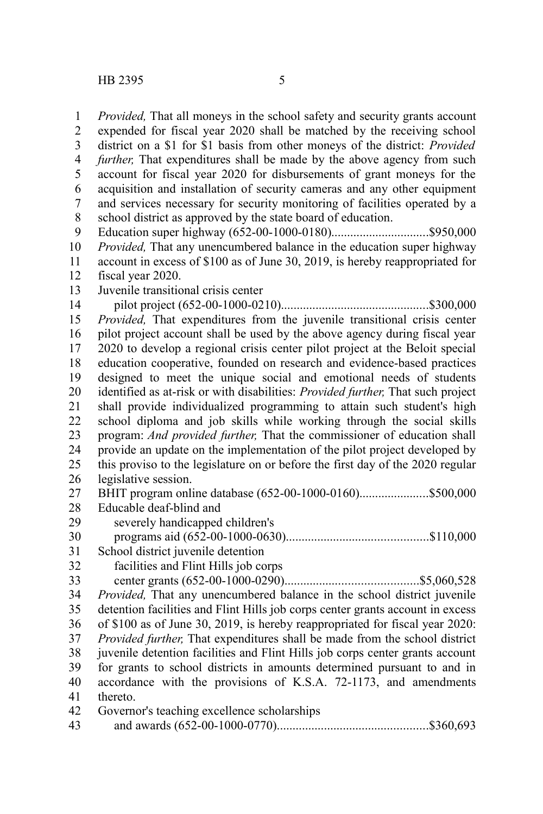*Provided,* That all moneys in the school safety and security grants account expended for fiscal year 2020 shall be matched by the receiving school district on a \$1 for \$1 basis from other moneys of the district: *Provided further,* That expenditures shall be made by the above agency from such account for fiscal year 2020 for disbursements of grant moneys for the acquisition and installation of security cameras and any other equipment and services necessary for security monitoring of facilities operated by a school district as approved by the state board of education. Education super highway (652-00-1000-0180)...............................\$950,000 *Provided,* That any unencumbered balance in the education super highway account in excess of \$100 as of June 30, 2019, is hereby reappropriated for fiscal year 2020. Juvenile transitional crisis center pilot project (652-00-1000-0210)...............................................\$300,000 *Provided,* That expenditures from the juvenile transitional crisis center pilot project account shall be used by the above agency during fiscal year 2020 to develop a regional crisis center pilot project at the Beloit special education cooperative, founded on research and evidence-based practices designed to meet the unique social and emotional needs of students identified as at-risk or with disabilities: *Provided further,* That such project shall provide individualized programming to attain such student's high school diploma and job skills while working through the social skills program: *And provided further,* That the commissioner of education shall provide an update on the implementation of the pilot project developed by this proviso to the legislature on or before the first day of the 2020 regular legislative session. BHIT program online database (652-00-1000-0160)......................\$500,000 Educable deaf-blind and severely handicapped children's programs aid (652-00-1000-0630).............................................\$110,000 School district juvenile detention facilities and Flint Hills job corps center grants (652-00-1000-0290)..........................................\$5,060,528 *Provided,* That any unencumbered balance in the school district juvenile detention facilities and Flint Hills job corps center grants account in excess of \$100 as of June 30, 2019, is hereby reappropriated for fiscal year 2020: *Provided further,* That expenditures shall be made from the school district juvenile detention facilities and Flint Hills job corps center grants account for grants to school districts in amounts determined pursuant to and in accordance with the provisions of K.S.A. 72-1173, and amendments thereto. Governor's teaching excellence scholarships and awards (652-00-1000-0770)................................................\$360,693 1 2 3 4 5 6 7 8 9 10 11 12 13 14 15 16 17 18 19 20 21 22 23 24 25 26 27 28 29 30 31 32 33 34 35 36 37 38 39 40 41 42 43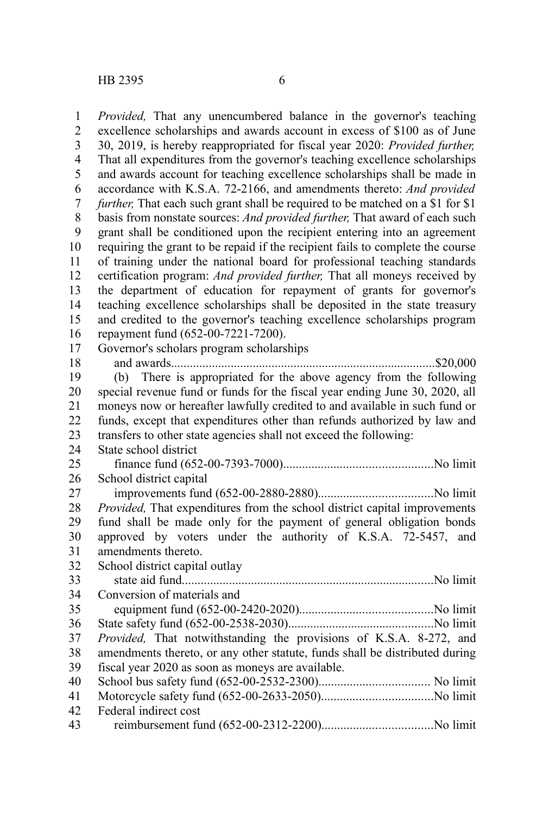*Provided,* That any unencumbered balance in the governor's teaching excellence scholarships and awards account in excess of \$100 as of June 30, 2019, is hereby reappropriated for fiscal year 2020: *Provided further,* That all expenditures from the governor's teaching excellence scholarships and awards account for teaching excellence scholarships shall be made in accordance with K.S.A. 72-2166, and amendments thereto: *And provided further*, That each such grant shall be required to be matched on a \$1 for \$1 basis from nonstate sources: *And provided further,* That award of each such grant shall be conditioned upon the recipient entering into an agreement requiring the grant to be repaid if the recipient fails to complete the course of training under the national board for professional teaching standards certification program: *And provided further,* That all moneys received by the department of education for repayment of grants for governor's teaching excellence scholarships shall be deposited in the state treasury and credited to the governor's teaching excellence scholarships program repayment fund (652-00-7221-7200). Governor's scholars program scholarships and awards....................................................................................\$20,000 (b) There is appropriated for the above agency from the following special revenue fund or funds for the fiscal year ending June 30, 2020, all moneys now or hereafter lawfully credited to and available in such fund or funds, except that expenditures other than refunds authorized by law and transfers to other state agencies shall not exceed the following: State school district finance fund (652-00-7393-7000)...............................................No limit School district capital improvements fund (652-00-2880-2880)....................................No limit *Provided,* That expenditures from the school district capital improvements fund shall be made only for the payment of general obligation bonds approved by voters under the authority of K.S.A. 72-5457, and amendments thereto. School district capital outlay state aid fund................................................................................No limit Conversion of materials and equipment fund (652-00-2420-2020)..........................................No limit State safety fund (652-00-2538-2030)..............................................No limit *Provided,* That notwithstanding the provisions of K.S.A. 8-272, and amendments thereto, or any other statute, funds shall be distributed during fiscal year 2020 as soon as moneys are available. School bus safety fund (652-00-2532-2300)................................... No limit Motorcycle safety fund (652-00-2633-2050)...................................No limit Federal indirect cost 1 2 3 4 5 6 7 8 9 10 11 12 13 14 15 16 17 18 19 20 21 22 23 24 25 26 27 28 29 30 31 32 33 34 35 36 37 38 39 40 41 42

reimbursement fund (652-00-2312-2200)...................................No limit 43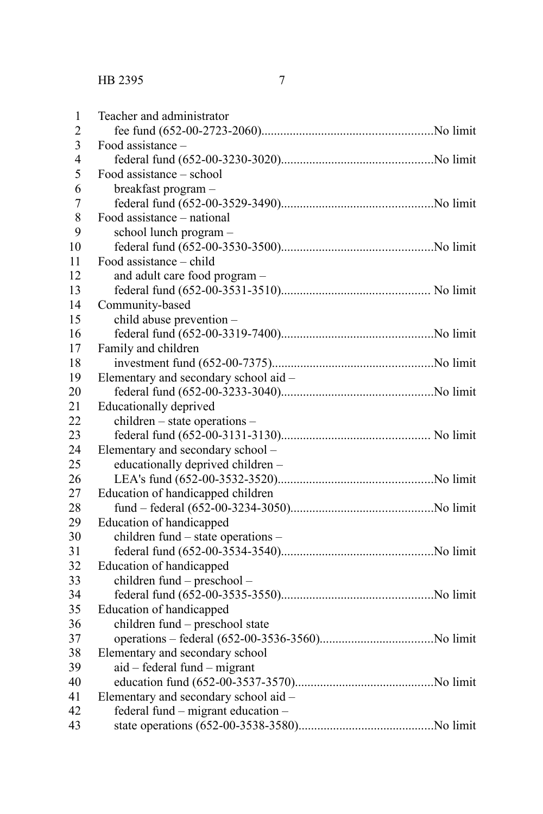| 1                       | Teacher and administrator             |  |
|-------------------------|---------------------------------------|--|
| $\overline{2}$          |                                       |  |
| 3                       | Food assistance –                     |  |
| $\overline{\mathbf{4}}$ |                                       |  |
| 5                       | Food assistance - school              |  |
| 6                       | breakfast program -                   |  |
| $\overline{7}$          |                                       |  |
| 8                       | Food assistance - national            |  |
| 9                       | school lunch program -                |  |
| 10                      |                                       |  |
| 11                      | Food assistance – child               |  |
| 12                      | and adult care food program -         |  |
| 13                      |                                       |  |
| 14                      | Community-based                       |  |
| 15                      | child abuse prevention -              |  |
| 16                      |                                       |  |
| 17                      | Family and children                   |  |
| 18                      |                                       |  |
| 19                      | Elementary and secondary school aid - |  |
| 20                      |                                       |  |
| 21                      | Educationally deprived                |  |
| 22                      | children – state operations –         |  |
| 23                      |                                       |  |
| 24                      | Elementary and secondary school -     |  |
| 25                      | educationally deprived children -     |  |
| 26                      |                                       |  |
| 27                      | Education of handicapped children     |  |
| 28                      |                                       |  |
| 29                      | Education of handicapped              |  |
| 30                      | children fund – state operations –    |  |
| 31                      |                                       |  |
| 32                      | Education of handicapped              |  |
| 33                      | children fund - preschool -           |  |
| 34                      |                                       |  |
| 35                      | Education of handicapped              |  |
| 36                      | children fund - preschool state       |  |
| 37                      |                                       |  |
| 38                      | Elementary and secondary school       |  |
| 39                      | aid – federal fund – migrant          |  |
| 40                      |                                       |  |
| 41                      | Elementary and secondary school aid - |  |
| 42                      | federal fund - migrant education -    |  |
| 43                      |                                       |  |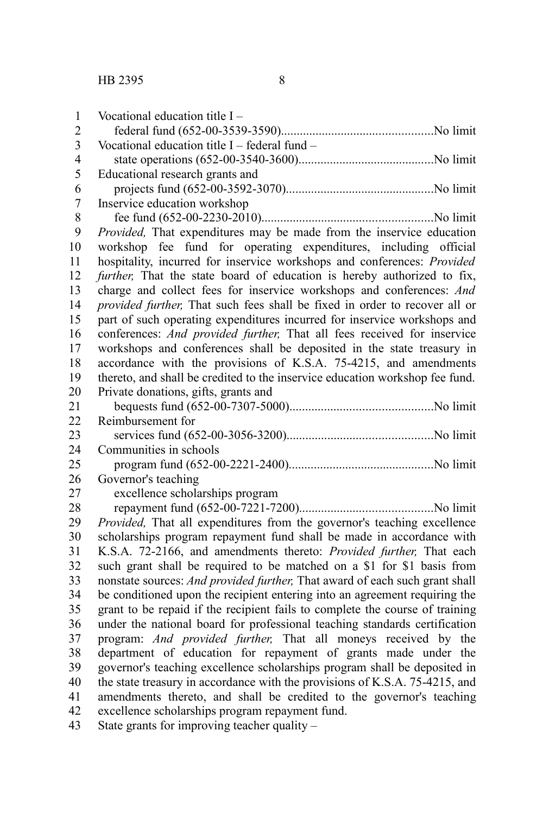| 1              | Vocational education title I-                                                |
|----------------|------------------------------------------------------------------------------|
| $\overline{2}$ |                                                                              |
| 3              | Vocational education title $I$ – federal fund –                              |
| $\overline{4}$ |                                                                              |
| 5              | Educational research grants and                                              |
| 6              |                                                                              |
| $\overline{7}$ | Inservice education workshop                                                 |
| 8              |                                                                              |
| 9              | Provided, That expenditures may be made from the inservice education         |
| 10             | workshop fee fund for operating expenditures, including official             |
| 11             | hospitality, incurred for inservice workshops and conferences: Provided      |
| 12             | further, That the state board of education is hereby authorized to fix,      |
| 13             | charge and collect fees for inservice workshops and conferences: And         |
| 14             | provided further, That such fees shall be fixed in order to recover all or   |
| 15             | part of such operating expenditures incurred for inservice workshops and     |
| 16             | conferences: And provided further, That all fees received for inservice      |
| 17             | workshops and conferences shall be deposited in the state treasury in        |
| 18             | accordance with the provisions of K.S.A. 75-4215, and amendments             |
| 19             | thereto, and shall be credited to the inservice education workshop fee fund. |
| 20             | Private donations, gifts, grants and                                         |
| 21             |                                                                              |
| 22             | Reimbursement for                                                            |
| 23             |                                                                              |
| 24             | Communities in schools                                                       |
| 25             |                                                                              |
| 26             | Governor's teaching                                                          |
| 27             | excellence scholarships program                                              |
| 28             |                                                                              |
| 29             | Provided, That all expenditures from the governor's teaching excellence      |
| 30             | scholarships program repayment fund shall be made in accordance with         |
| 31             | K.S.A. 72-2166, and amendments thereto: Provided further, That each          |
| 32             | such grant shall be required to be matched on a \$1 for \$1 basis from       |
| 33             | nonstate sources: And provided further, That award of each such grant shall  |
| 34             | be conditioned upon the recipient entering into an agreement requiring the   |
| 35             | grant to be repaid if the recipient fails to complete the course of training |
| 36             | under the national board for professional teaching standards certification   |
| 37             | program: And provided further, That all moneys received by the               |
| 38             | department of education for repayment of grants made under the               |
| 39             | governor's teaching excellence scholarships program shall be deposited in    |
| 40             | the state treasury in accordance with the provisions of K.S.A. 75-4215, and  |
| 41             | amendments thereto, and shall be credited to the governor's teaching         |
| 42             | excellence scholarships program repayment fund.                              |
| 43             | State grants for improving teacher quality $-$                               |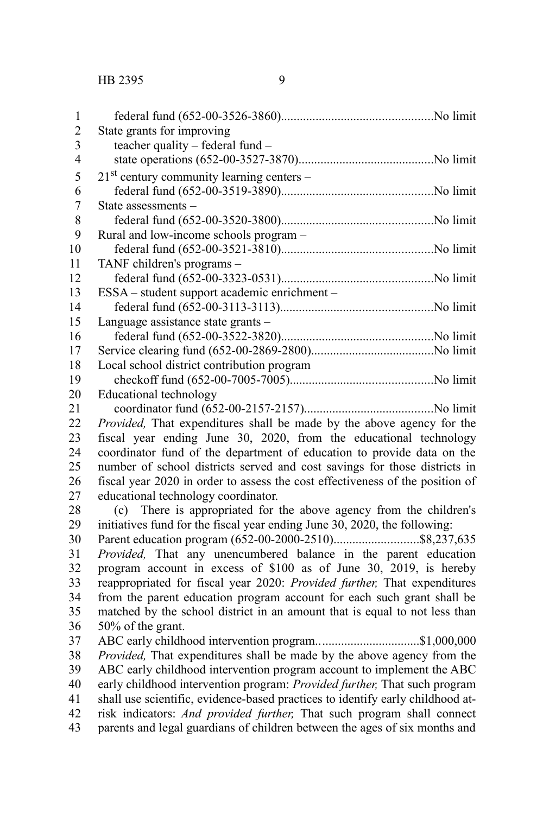| 1                       |                                                                                                                                                                                                                                                                 |
|-------------------------|-----------------------------------------------------------------------------------------------------------------------------------------------------------------------------------------------------------------------------------------------------------------|
| $\overline{2}$          | State grants for improving                                                                                                                                                                                                                                      |
| $\overline{\mathbf{3}}$ | teacher quality - federal fund -                                                                                                                                                                                                                                |
| $\overline{4}$          |                                                                                                                                                                                                                                                                 |
| 5                       | $21st$ century community learning centers –                                                                                                                                                                                                                     |
| 6                       |                                                                                                                                                                                                                                                                 |
| 7                       | State assessments -                                                                                                                                                                                                                                             |
| $\,$ 8 $\,$             |                                                                                                                                                                                                                                                                 |
| 9                       | Rural and low-income schools program -                                                                                                                                                                                                                          |
| 10                      |                                                                                                                                                                                                                                                                 |
| 11                      | TANF children's programs -                                                                                                                                                                                                                                      |
| 12                      |                                                                                                                                                                                                                                                                 |
| 13                      | ESSA - student support academic enrichment -                                                                                                                                                                                                                    |
| 14                      |                                                                                                                                                                                                                                                                 |
| 15                      | Language assistance state grants -                                                                                                                                                                                                                              |
| 16                      |                                                                                                                                                                                                                                                                 |
| 17                      |                                                                                                                                                                                                                                                                 |
| 18                      | Local school district contribution program                                                                                                                                                                                                                      |
| 19                      |                                                                                                                                                                                                                                                                 |
| 20                      | <b>Educational technology</b>                                                                                                                                                                                                                                   |
| 21                      |                                                                                                                                                                                                                                                                 |
| 22                      | Provided, That expenditures shall be made by the above agency for the                                                                                                                                                                                           |
| 23                      | fiscal year ending June 30, 2020, from the educational technology                                                                                                                                                                                               |
| 24                      | coordinator fund of the department of education to provide data on the                                                                                                                                                                                          |
| 25                      | number of school districts served and cost savings for those districts in                                                                                                                                                                                       |
| 26                      | fiscal year 2020 in order to assess the cost effectiveness of the position of                                                                                                                                                                                   |
| 27                      | educational technology coordinator.                                                                                                                                                                                                                             |
| 28                      | There is appropriated for the above agency from the children's<br>(c)                                                                                                                                                                                           |
| 29                      | initiatives fund for the fiscal year ending June 30, 2020, the following:                                                                                                                                                                                       |
| 30                      |                                                                                                                                                                                                                                                                 |
| 31                      | Provided, That any unencumbered balance in the parent education                                                                                                                                                                                                 |
| 32                      | program account in excess of \$100 as of June 30, 2019, is hereby                                                                                                                                                                                               |
| 33                      | reappropriated for fiscal year 2020: Provided further, That expenditures                                                                                                                                                                                        |
| 34                      | from the parent education program account for each such grant shall be                                                                                                                                                                                          |
| 35                      | matched by the school district in an amount that is equal to not less than                                                                                                                                                                                      |
| 36                      | 50% of the grant.                                                                                                                                                                                                                                               |
| 37                      | ABC early childhood intervention program\$1,000,000                                                                                                                                                                                                             |
| 38                      | Provided, That expenditures shall be made by the above agency from the                                                                                                                                                                                          |
| 39                      | ABC early childhood intervention program account to implement the ABC                                                                                                                                                                                           |
| 40                      | early childhood intervention program: Provided further, That such program                                                                                                                                                                                       |
| 41                      | shall use scientific, evidence-based practices to identify early childhood at-<br>$\overline{1}$ $\overline{1}$ $\overline{1}$ $\overline{1}$ $\overline{1}$ $\overline{1}$ $\overline{1}$ $\overline{1}$ $\overline{1}$ $\overline{1}$<br>$\sim$ $\sim$ $\sim$ |

risk indicators: *And provided further,* That such program shall connect parents and legal guardians of children between the ages of six months and 42 43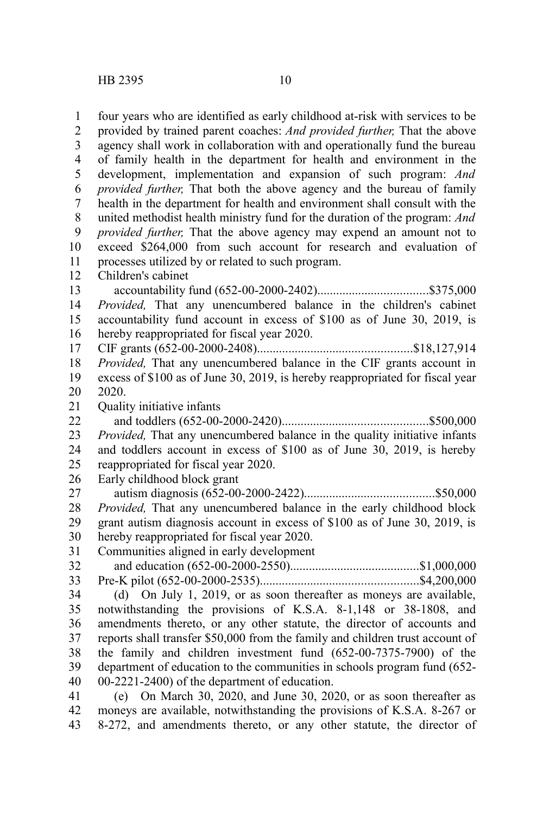four years who are identified as early childhood at-risk with services to be provided by trained parent coaches: *And provided further,* That the above agency shall work in collaboration with and operationally fund the bureau of family health in the department for health and environment in the development, implementation and expansion of such program: *And provided further,* That both the above agency and the bureau of family health in the department for health and environment shall consult with the united methodist health ministry fund for the duration of the program: *And provided further,* That the above agency may expend an amount not to exceed \$264,000 from such account for research and evaluation of processes utilized by or related to such program. Children's cabinet accountability fund (652-00-2000-2402)...................................\$375,000 *Provided,* That any unencumbered balance in the children's cabinet accountability fund account in excess of \$100 as of June 30, 2019, is hereby reappropriated for fiscal year 2020. CIF grants (652-00-2000-2408).................................................\$18,127,914 *Provided,* That any unencumbered balance in the CIF grants account in excess of \$100 as of June 30, 2019, is hereby reappropriated for fiscal year 2020. Quality initiative infants and toddlers (652-00-2000-2420)..............................................\$500,000 *Provided,* That any unencumbered balance in the quality initiative infants and toddlers account in excess of \$100 as of June 30, 2019, is hereby reappropriated for fiscal year 2020. Early childhood block grant autism diagnosis (652-00-2000-2422).........................................\$50,000 *Provided,* That any unencumbered balance in the early childhood block grant autism diagnosis account in excess of \$100 as of June 30, 2019, is hereby reappropriated for fiscal year 2020. Communities aligned in early development and education (652-00-2000-2550).........................................\$1,000,000 Pre-K pilot (652-00-2000-2535)..................................................\$4,200,000 (d) On July 1, 2019, or as soon thereafter as moneys are available, notwithstanding the provisions of K.S.A. 8-1,148 or 38-1808, and amendments thereto, or any other statute, the director of accounts and reports shall transfer \$50,000 from the family and children trust account of the family and children investment fund (652-00-7375-7900) of the department of education to the communities in schools program fund (652- 00-2221-2400) of the department of education. (e) On March 30, 2020, and June 30, 2020, or as soon thereafter as 1 2 3 4 5 6 7 8 9 10 11 12 13 14 15 16 17 18 19 20 21 22 23 24 25 26 27 28 29 30 31 32 33 34 35 36 37 38 39 40 41

moneys are available, notwithstanding the provisions of K.S.A. 8-267 or 8-272, and amendments thereto, or any other statute, the director of 42 43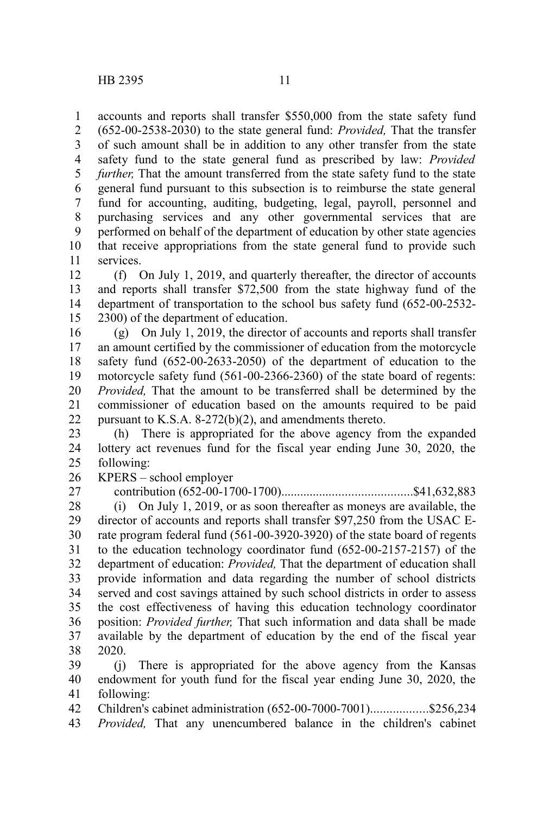accounts and reports shall transfer \$550,000 from the state safety fund (652-00-2538-2030) to the state general fund: *Provided,* That the transfer of such amount shall be in addition to any other transfer from the state safety fund to the state general fund as prescribed by law: *Provided further*, That the amount transferred from the state safety fund to the state general fund pursuant to this subsection is to reimburse the state general fund for accounting, auditing, budgeting, legal, payroll, personnel and purchasing services and any other governmental services that are performed on behalf of the department of education by other state agencies that receive appropriations from the state general fund to provide such services. 1 2 3 4 5 6 7 8 9 10 11

(f) On July 1, 2019, and quarterly thereafter, the director of accounts and reports shall transfer \$72,500 from the state highway fund of the department of transportation to the school bus safety fund (652-00-2532- 2300) of the department of education. 12 13 14 15

(g) On July 1, 2019, the director of accounts and reports shall transfer an amount certified by the commissioner of education from the motorcycle safety fund (652-00-2633-2050) of the department of education to the motorcycle safety fund (561-00-2366-2360) of the state board of regents: *Provided,* That the amount to be transferred shall be determined by the commissioner of education based on the amounts required to be paid pursuant to K.S.A. 8-272(b)(2), and amendments thereto. 16 17 18 19 20 21 22

(h) There is appropriated for the above agency from the expanded lottery act revenues fund for the fiscal year ending June 30, 2020, the following: 23 24 25

KPERS – school employer 26

27

contribution (652-00-1700-1700).........................................\$41,632,883

(i) On July 1, 2019, or as soon thereafter as moneys are available, the director of accounts and reports shall transfer \$97,250 from the USAC Erate program federal fund (561-00-3920-3920) of the state board of regents to the education technology coordinator fund (652-00-2157-2157) of the department of education: *Provided,* That the department of education shall provide information and data regarding the number of school districts served and cost savings attained by such school districts in order to assess the cost effectiveness of having this education technology coordinator position: *Provided further,* That such information and data shall be made available by the department of education by the end of the fiscal year 2020. 28 29 30 31 32 33 34 35 36 37 38

(j) There is appropriated for the above agency from the Kansas endowment for youth fund for the fiscal year ending June 30, 2020, the following: 39 40 41

Children's cabinet administration (652-00-7000-7001)..................\$256,234 42

*Provided,* That any unencumbered balance in the children's cabinet 43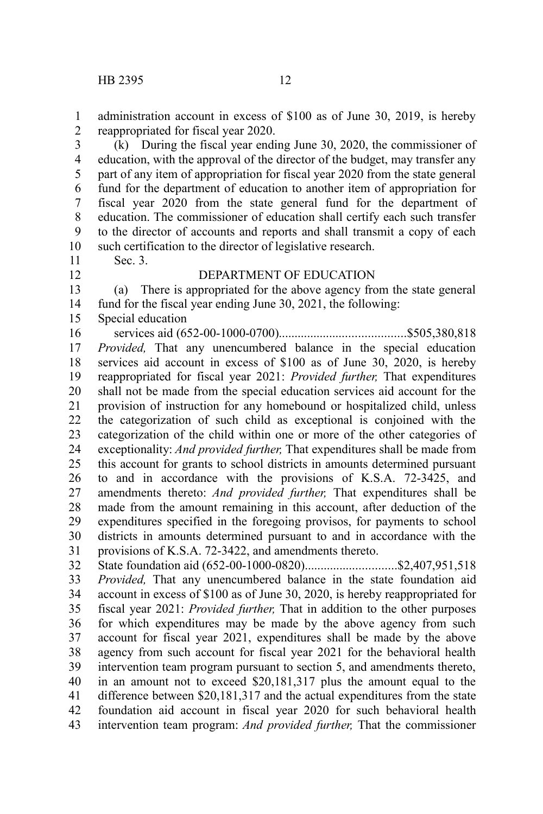administration account in excess of \$100 as of June 30, 2019, is hereby reappropriated for fiscal year 2020. 1 2

(k) During the fiscal year ending June 30, 2020, the commissioner of education, with the approval of the director of the budget, may transfer any part of any item of appropriation for fiscal year 2020 from the state general fund for the department of education to another item of appropriation for fiscal year 2020 from the state general fund for the department of education. The commissioner of education shall certify each such transfer to the director of accounts and reports and shall transmit a copy of each such certification to the director of legislative research. 3 4 5 6 7 8 9 10

11 12

## DEPARTMENT OF EDUCATION

(a) There is appropriated for the above agency from the state general fund for the fiscal year ending June 30, 2021, the following: 13 14

Special education 15

Sec. 3.

services aid (652-00-1000-0700)........................................\$505,380,818 *Provided,* That any unencumbered balance in the special education services aid account in excess of \$100 as of June 30, 2020, is hereby reappropriated for fiscal year 2021: *Provided further,* That expenditures shall not be made from the special education services aid account for the provision of instruction for any homebound or hospitalized child, unless the categorization of such child as exceptional is conjoined with the categorization of the child within one or more of the other categories of exceptionality: *And provided further,* That expenditures shall be made from this account for grants to school districts in amounts determined pursuant to and in accordance with the provisions of K.S.A. 72-3425, and amendments thereto: *And provided further,* That expenditures shall be made from the amount remaining in this account, after deduction of the expenditures specified in the foregoing provisos, for payments to school districts in amounts determined pursuant to and in accordance with the provisions of K.S.A. 72-3422, and amendments thereto. 16 17 18 19 20 21 22 23 24 25 26 27 28 29 30 31

State foundation aid (652-00-1000-0820)...............................\$2,407,951,518 *Provided,* That any unencumbered balance in the state foundation aid account in excess of \$100 as of June 30, 2020, is hereby reappropriated for fiscal year 2021: *Provided further,* That in addition to the other purposes for which expenditures may be made by the above agency from such account for fiscal year 2021, expenditures shall be made by the above agency from such account for fiscal year 2021 for the behavioral health intervention team program pursuant to section 5, and amendments thereto, in an amount not to exceed \$20,181,317 plus the amount equal to the difference between \$20,181,317 and the actual expenditures from the state foundation aid account in fiscal year 2020 for such behavioral health intervention team program: *And provided further,* That the commissioner 32 33 34 35 36 37 38 39 40 41 42 43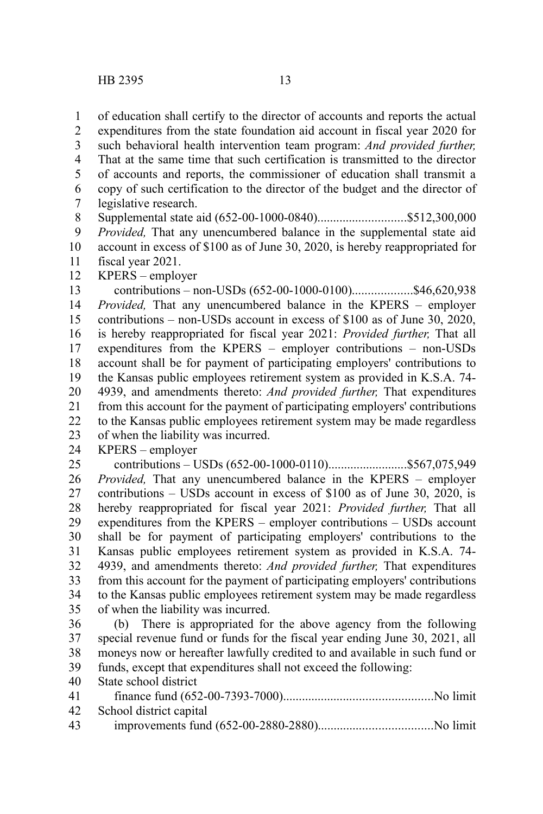of education shall certify to the director of accounts and reports the actual expenditures from the state foundation aid account in fiscal year 2020 for such behavioral health intervention team program: *And provided further,* That at the same time that such certification is transmitted to the director of accounts and reports, the commissioner of education shall transmit a copy of such certification to the director of the budget and the director of legislative research. Supplemental state aid (652-00-1000-0840)............................\$512,300,000 1 2 3 4 5 6 7 8

*Provided,* That any unencumbered balance in the supplemental state aid account in excess of \$100 as of June 30, 2020, is hereby reappropriated for fiscal year 2021. 9 10 11

KPERS – employer 12

contributions – non-USDs (652-00-1000-0100)...................\$46,620,938 *Provided,* That any unencumbered balance in the KPERS – employer contributions – non-USDs account in excess of \$100 as of June 30, 2020, is hereby reappropriated for fiscal year 2021: *Provided further,* That all expenditures from the KPERS – employer contributions – non-USDs account shall be for payment of participating employers' contributions to the Kansas public employees retirement system as provided in K.S.A. 74- 4939, and amendments thereto: *And provided further,* That expenditures from this account for the payment of participating employers' contributions to the Kansas public employees retirement system may be made regardless of when the liability was incurred. 13 14 15 16 17 18 19 20 21 22 23

KPERS – employer 24

contributions – USDs (652-00-1000-0110).........................\$567,075,949 *Provided,* That any unencumbered balance in the KPERS – employer contributions – USDs account in excess of \$100 as of June 30, 2020, is hereby reappropriated for fiscal year 2021: *Provided further,* That all expenditures from the KPERS – employer contributions – USDs account shall be for payment of participating employers' contributions to the Kansas public employees retirement system as provided in K.S.A. 74- 4939, and amendments thereto: *And provided further,* That expenditures from this account for the payment of participating employers' contributions to the Kansas public employees retirement system may be made regardless of when the liability was incurred. 25 26 27 28 29 30 31 32 33 34 35

(b) There is appropriated for the above agency from the following special revenue fund or funds for the fiscal year ending June 30, 2021, all moneys now or hereafter lawfully credited to and available in such fund or funds, except that expenditures shall not exceed the following: 36 37 38 39

State school district 40

| 41 |                            |  |
|----|----------------------------|--|
|    | 42 School district capital |  |
| 43 |                            |  |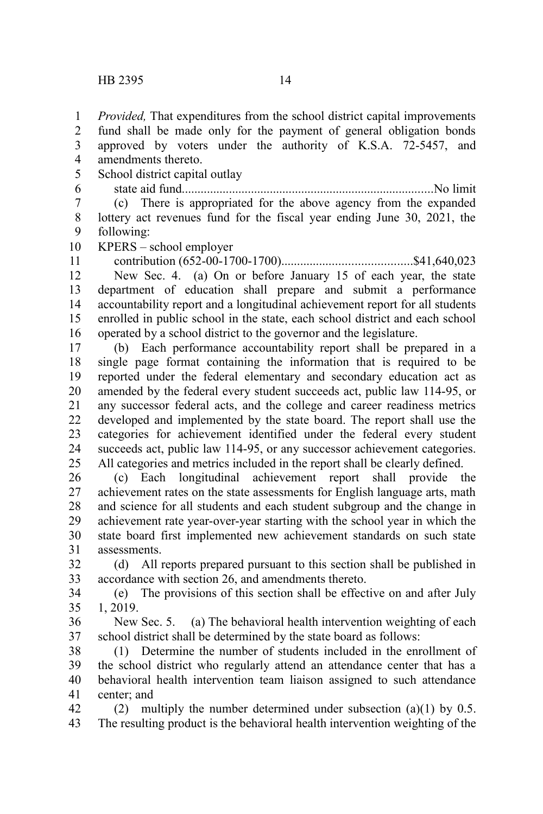*Provided,* That expenditures from the school district capital improvements 1

fund shall be made only for the payment of general obligation bonds approved by voters under the authority of K.S.A. 72-5457, and 2 3

- amendments thereto. 4
- School district capital outlay 5

state aid fund................................................................................No limit (c) There is appropriated for the above agency from the expanded lottery act revenues fund for the fiscal year ending June 30, 2021, the following: 6 7 8 9

KPERS – school employer 10

contribution (652-00-1700-1700).........................................\$41,640,023 11

New Sec. 4. (a) On or before January 15 of each year, the state department of education shall prepare and submit a performance accountability report and a longitudinal achievement report for all students enrolled in public school in the state, each school district and each school operated by a school district to the governor and the legislature. 12 13 14 15 16

(b) Each performance accountability report shall be prepared in a single page format containing the information that is required to be reported under the federal elementary and secondary education act as amended by the federal every student succeeds act, public law 114-95, or any successor federal acts, and the college and career readiness metrics developed and implemented by the state board. The report shall use the categories for achievement identified under the federal every student succeeds act, public law 114-95, or any successor achievement categories. All categories and metrics included in the report shall be clearly defined. 17 18 19 20 21 22 23 24 25

(c) Each longitudinal achievement report shall provide the achievement rates on the state assessments for English language arts, math and science for all students and each student subgroup and the change in achievement rate year-over-year starting with the school year in which the state board first implemented new achievement standards on such state assessments. 26 27 28 29 30 31

(d) All reports prepared pursuant to this section shall be published in accordance with section 26, and amendments thereto. 32 33

(e) The provisions of this section shall be effective on and after July 1, 2019. 34 35

New Sec. 5. (a) The behavioral health intervention weighting of each school district shall be determined by the state board as follows: 36 37

(1) Determine the number of students included in the enrollment of the school district who regularly attend an attendance center that has a behavioral health intervention team liaison assigned to such attendance center; and 38 39 40 41

(2) multiply the number determined under subsection (a)(1) by  $0.5$ . The resulting product is the behavioral health intervention weighting of the 42 43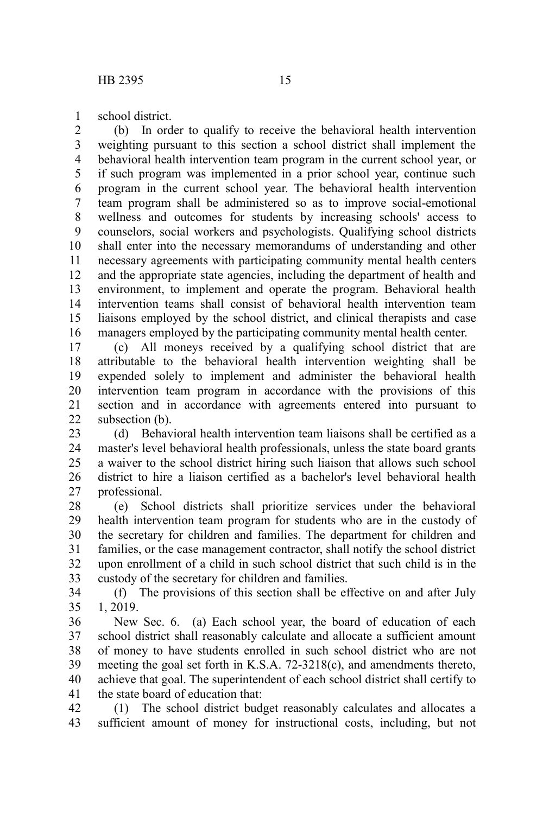school district. 1

(b) In order to qualify to receive the behavioral health intervention weighting pursuant to this section a school district shall implement the behavioral health intervention team program in the current school year, or if such program was implemented in a prior school year, continue such program in the current school year. The behavioral health intervention team program shall be administered so as to improve social-emotional wellness and outcomes for students by increasing schools' access to counselors, social workers and psychologists. Qualifying school districts shall enter into the necessary memorandums of understanding and other necessary agreements with participating community mental health centers and the appropriate state agencies, including the department of health and environment, to implement and operate the program. Behavioral health intervention teams shall consist of behavioral health intervention team liaisons employed by the school district, and clinical therapists and case managers employed by the participating community mental health center. 2 3 4 5 6 7 8 9 10 11 12 13 14 15 16

(c) All moneys received by a qualifying school district that are attributable to the behavioral health intervention weighting shall be expended solely to implement and administer the behavioral health intervention team program in accordance with the provisions of this section and in accordance with agreements entered into pursuant to subsection (b). 17 18 19 20 21  $22$ 

(d) Behavioral health intervention team liaisons shall be certified as a master's level behavioral health professionals, unless the state board grants a waiver to the school district hiring such liaison that allows such school district to hire a liaison certified as a bachelor's level behavioral health professional. 23 24 25 26 27

(e) School districts shall prioritize services under the behavioral health intervention team program for students who are in the custody of the secretary for children and families. The department for children and families, or the case management contractor, shall notify the school district upon enrollment of a child in such school district that such child is in the custody of the secretary for children and families. 28 29 30 31 32 33

(f) The provisions of this section shall be effective on and after July 1, 2019. 34 35

New Sec. 6. (a) Each school year, the board of education of each school district shall reasonably calculate and allocate a sufficient amount of money to have students enrolled in such school district who are not meeting the goal set forth in K.S.A. 72-3218(c), and amendments thereto, achieve that goal. The superintendent of each school district shall certify to the state board of education that: 36 37 38 39 40 41

(1) The school district budget reasonably calculates and allocates a sufficient amount of money for instructional costs, including, but not 42 43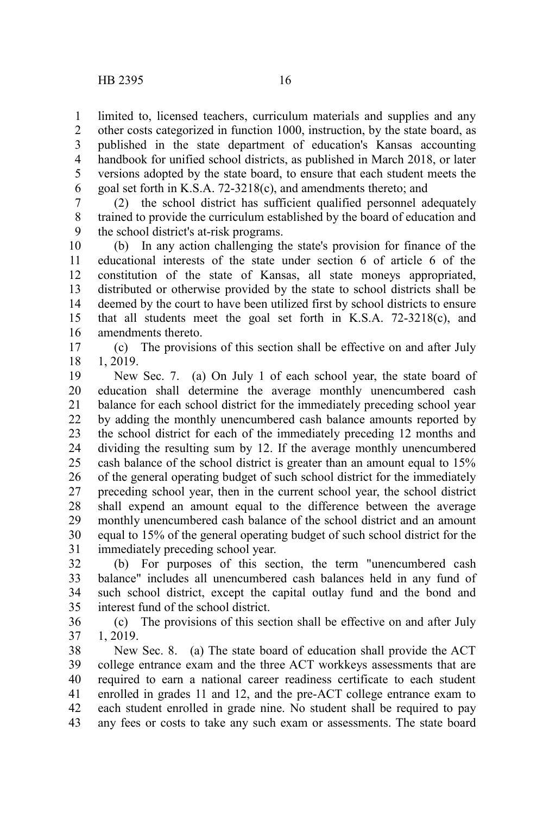limited to, licensed teachers, curriculum materials and supplies and any other costs categorized in function 1000, instruction, by the state board, as published in the state department of education's Kansas accounting handbook for unified school districts, as published in March 2018, or later versions adopted by the state board, to ensure that each student meets the goal set forth in K.S.A. 72-3218(c), and amendments thereto; and 1 2 3 4 5 6

(2) the school district has sufficient qualified personnel adequately trained to provide the curriculum established by the board of education and the school district's at-risk programs. 7 8 9

(b) In any action challenging the state's provision for finance of the educational interests of the state under section 6 of article 6 of the constitution of the state of Kansas, all state moneys appropriated, distributed or otherwise provided by the state to school districts shall be deemed by the court to have been utilized first by school districts to ensure that all students meet the goal set forth in K.S.A. 72-3218(c), and amendments thereto. 10 11 12 13 14 15 16

(c) The provisions of this section shall be effective on and after July 1, 2019. 17 18

New Sec. 7. (a) On July 1 of each school year, the state board of education shall determine the average monthly unencumbered cash balance for each school district for the immediately preceding school year by adding the monthly unencumbered cash balance amounts reported by the school district for each of the immediately preceding 12 months and dividing the resulting sum by 12. If the average monthly unencumbered cash balance of the school district is greater than an amount equal to 15% of the general operating budget of such school district for the immediately preceding school year, then in the current school year, the school district shall expend an amount equal to the difference between the average monthly unencumbered cash balance of the school district and an amount equal to 15% of the general operating budget of such school district for the immediately preceding school year. 19 20 21 22 23 24 25 26 27 28 29 30 31

(b) For purposes of this section, the term "unencumbered cash balance" includes all unencumbered cash balances held in any fund of such school district, except the capital outlay fund and the bond and interest fund of the school district. 32 33 34 35

(c) The provisions of this section shall be effective on and after July 1, 2019. 36 37

New Sec. 8. (a) The state board of education shall provide the ACT college entrance exam and the three ACT workkeys assessments that are required to earn a national career readiness certificate to each student enrolled in grades 11 and 12, and the pre-ACT college entrance exam to each student enrolled in grade nine. No student shall be required to pay any fees or costs to take any such exam or assessments. The state board 38 39 40 41 42 43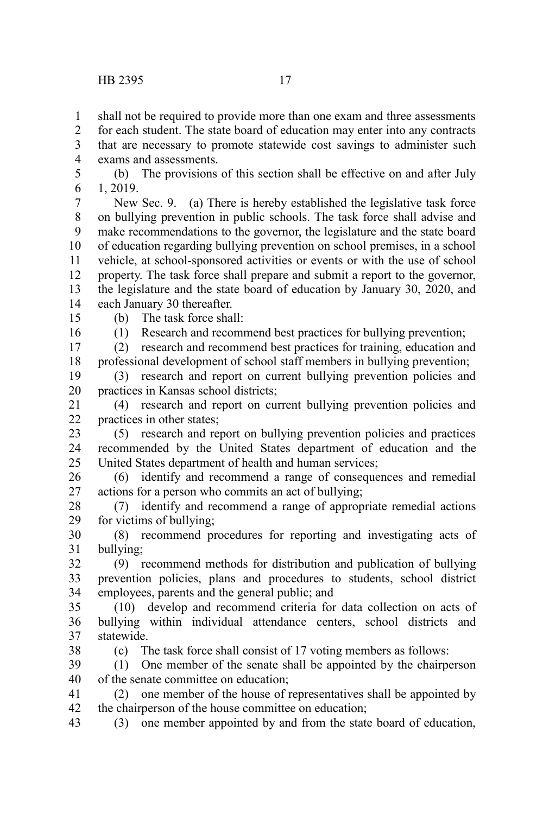shall not be required to provide more than one exam and three assessments 1

for each student. The state board of education may enter into any contracts that are necessary to promote statewide cost savings to administer such exams and assessments.  $\mathcal{L}$ 3 4

(b) The provisions of this section shall be effective on and after July 1, 2019. 5 6

New Sec. 9. (a) There is hereby established the legislative task force on bullying prevention in public schools. The task force shall advise and make recommendations to the governor, the legislature and the state board of education regarding bullying prevention on school premises, in a school vehicle, at school-sponsored activities or events or with the use of school property. The task force shall prepare and submit a report to the governor, the legislature and the state board of education by January 30, 2020, and each January 30 thereafter. 7 8 9 10 11 12 13 14

15

(b) The task force shall:

16

38

(1) Research and recommend best practices for bullying prevention; (2) research and recommend best practices for training, education and

professional development of school staff members in bullying prevention; 17 18

(3) research and report on current bullying prevention policies and practices in Kansas school districts; 19 20

(4) research and report on current bullying prevention policies and practices in other states; 21  $22$ 

(5) research and report on bullying prevention policies and practices recommended by the United States department of education and the United States department of health and human services; 23 24 25

(6) identify and recommend a range of consequences and remedial actions for a person who commits an act of bullying; 26 27

(7) identify and recommend a range of appropriate remedial actions for victims of bullying; 28 29

(8) recommend procedures for reporting and investigating acts of bullying; 30 31

(9) recommend methods for distribution and publication of bullying prevention policies, plans and procedures to students, school district employees, parents and the general public; and 32 33 34

(10) develop and recommend criteria for data collection on acts of bullying within individual attendance centers, school districts and statewide. 35 36 37

(c) The task force shall consist of 17 voting members as follows:

(1) One member of the senate shall be appointed by the chairperson of the senate committee on education; 39 40

(2) one member of the house of representatives shall be appointed by the chairperson of the house committee on education; 41 42

(3) one member appointed by and from the state board of education, 43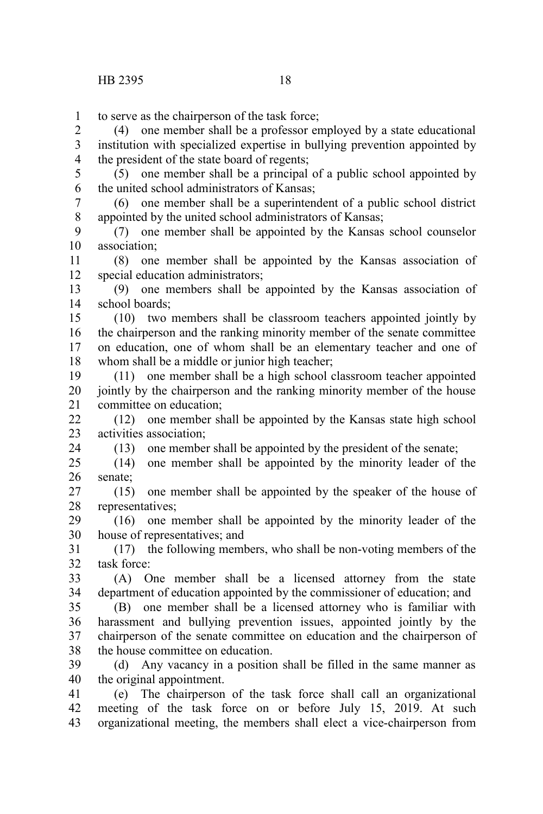24

to serve as the chairperson of the task force; 1

(4) one member shall be a professor employed by a state educational institution with specialized expertise in bullying prevention appointed by the president of the state board of regents; 2 3 4

(5) one member shall be a principal of a public school appointed by the united school administrators of Kansas; 5 6

(6) one member shall be a superintendent of a public school district appointed by the united school administrators of Kansas; 7 8

(7) one member shall be appointed by the Kansas school counselor association; 9 10

(8) one member shall be appointed by the Kansas association of special education administrators; 11 12

(9) one members shall be appointed by the Kansas association of school boards; 13 14

(10) two members shall be classroom teachers appointed jointly by the chairperson and the ranking minority member of the senate committee on education, one of whom shall be an elementary teacher and one of whom shall be a middle or junior high teacher; 15 16 17 18

(11) one member shall be a high school classroom teacher appointed jointly by the chairperson and the ranking minority member of the house committee on education; 19 20 21

(12) one member shall be appointed by the Kansas state high school activities association; 22 23

(13) one member shall be appointed by the president of the senate;

(14) one member shall be appointed by the minority leader of the senate; 25 26

(15) one member shall be appointed by the speaker of the house of representatives; 27 28

(16) one member shall be appointed by the minority leader of the house of representatives; and 29 30

(17) the following members, who shall be non-voting members of the task force: 31 32

(A) One member shall be a licensed attorney from the state department of education appointed by the commissioner of education; and 33 34

(B) one member shall be a licensed attorney who is familiar with harassment and bullying prevention issues, appointed jointly by the chairperson of the senate committee on education and the chairperson of the house committee on education. 35 36 37 38

(d) Any vacancy in a position shall be filled in the same manner as the original appointment. 39 40

(e) The chairperson of the task force shall call an organizational meeting of the task force on or before July 15, 2019. At such organizational meeting, the members shall elect a vice-chairperson from 41 42 43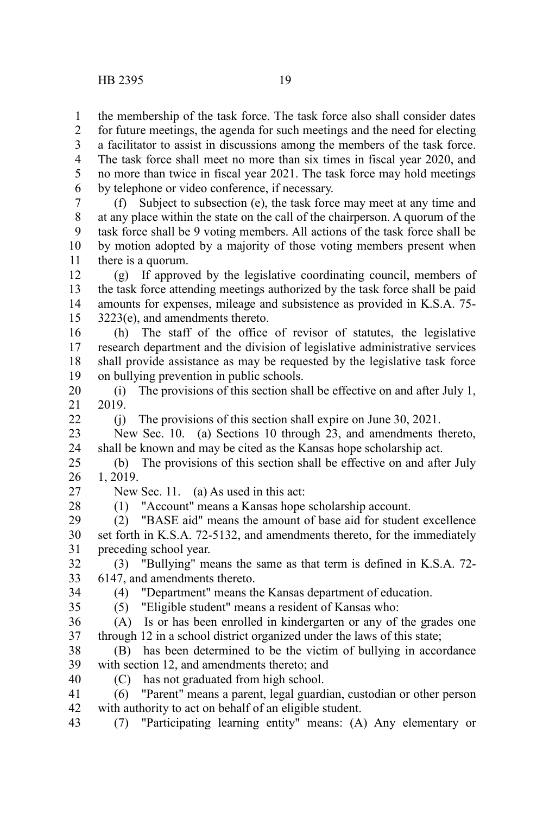the membership of the task force. The task force also shall consider dates 1

for future meetings, the agenda for such meetings and the need for electing a facilitator to assist in discussions among the members of the task force. The task force shall meet no more than six times in fiscal year 2020, and no more than twice in fiscal year 2021. The task force may hold meetings by telephone or video conference, if necessary. 2 3 4 5 6

(f) Subject to subsection (e), the task force may meet at any time and at any place within the state on the call of the chairperson. A quorum of the task force shall be 9 voting members. All actions of the task force shall be by motion adopted by a majority of those voting members present when there is a quorum. 7 8 9 10 11

(g) If approved by the legislative coordinating council, members of the task force attending meetings authorized by the task force shall be paid amounts for expenses, mileage and subsistence as provided in K.S.A. 75- 3223(e), and amendments thereto. 12 13 14 15

(h) The staff of the office of revisor of statutes, the legislative research department and the division of legislative administrative services shall provide assistance as may be requested by the legislative task force on bullying prevention in public schools. 16 17 18 19

(i) The provisions of this section shall be effective on and after July 1, 2019. 20 21

(j) The provisions of this section shall expire on June 30, 2021.

New Sec. 10. (a) Sections 10 through 23, and amendments thereto, shall be known and may be cited as the Kansas hope scholarship act. 23 24

(b) The provisions of this section shall be effective on and after July 1, 2019. 25 26

27

 $22$ 

New Sec. 11. (a) As used in this act:

28

(1) "Account" means a Kansas hope scholarship account.

(2) "BASE aid" means the amount of base aid for student excellence set forth in K.S.A. 72-5132, and amendments thereto, for the immediately preceding school year. 29 30 31

(3) "Bullying" means the same as that term is defined in K.S.A. 72- 6147, and amendments thereto. 32 33

(4) "Department" means the Kansas department of education.

34 35

(5) "Eligible student" means a resident of Kansas who:

(A) Is or has been enrolled in kindergarten or any of the grades one through 12 in a school district organized under the laws of this state; 36 37

(B) has been determined to be the victim of bullying in accordance with section 12, and amendments thereto; and 38 39

40

(C) has not graduated from high school.

(6) "Parent" means a parent, legal guardian, custodian or other person with authority to act on behalf of an eligible student. 41 42

(7) "Participating learning entity" means: (A) Any elementary or 43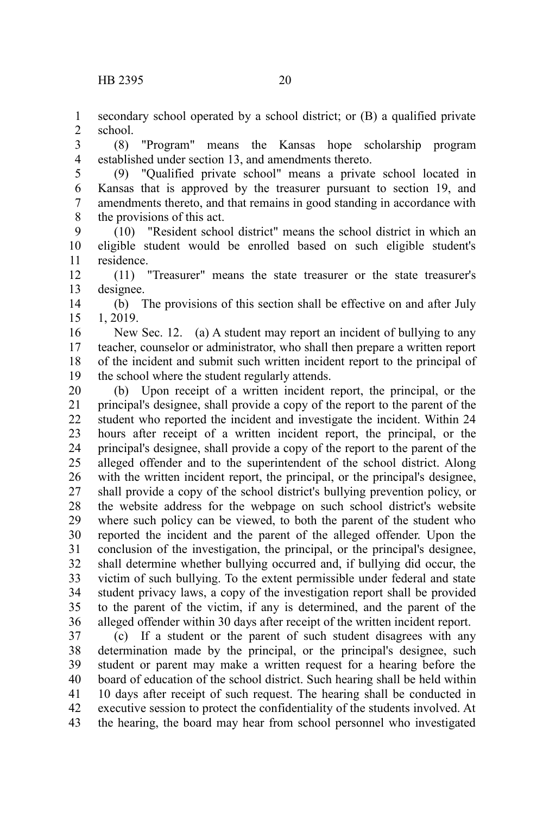secondary school operated by a school district; or (B) a qualified private school. 1 2

(8) "Program" means the Kansas hope scholarship program established under section 13, and amendments thereto. 3 4

(9) "Qualified private school" means a private school located in Kansas that is approved by the treasurer pursuant to section 19, and amendments thereto, and that remains in good standing in accordance with the provisions of this act. 5 6 7 8

(10) "Resident school district" means the school district in which an eligible student would be enrolled based on such eligible student's residence. 9 10 11

(11) "Treasurer" means the state treasurer or the state treasurer's designee. 12 13

(b) The provisions of this section shall be effective on and after July 1, 2019. 14 15

New Sec. 12. (a) A student may report an incident of bullying to any teacher, counselor or administrator, who shall then prepare a written report of the incident and submit such written incident report to the principal of the school where the student regularly attends. 16 17 18 19

(b) Upon receipt of a written incident report, the principal, or the principal's designee, shall provide a copy of the report to the parent of the student who reported the incident and investigate the incident. Within 24 hours after receipt of a written incident report, the principal, or the principal's designee, shall provide a copy of the report to the parent of the alleged offender and to the superintendent of the school district. Along with the written incident report, the principal, or the principal's designee, shall provide a copy of the school district's bullying prevention policy, or the website address for the webpage on such school district's website where such policy can be viewed, to both the parent of the student who reported the incident and the parent of the alleged offender. Upon the conclusion of the investigation, the principal, or the principal's designee, shall determine whether bullying occurred and, if bullying did occur, the victim of such bullying. To the extent permissible under federal and state student privacy laws, a copy of the investigation report shall be provided to the parent of the victim, if any is determined, and the parent of the alleged offender within 30 days after receipt of the written incident report. 20 21 22 23 24 25 26 27 28 29 30 31 32 33 34 35 36

(c) If a student or the parent of such student disagrees with any determination made by the principal, or the principal's designee, such student or parent may make a written request for a hearing before the board of education of the school district. Such hearing shall be held within 10 days after receipt of such request. The hearing shall be conducted in executive session to protect the confidentiality of the students involved. At the hearing, the board may hear from school personnel who investigated 37 38 39 40 41 42 43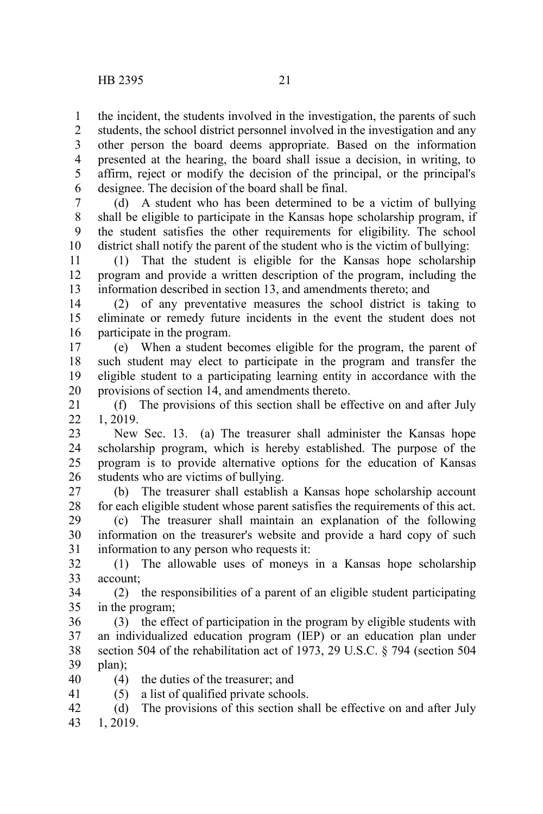the incident, the students involved in the investigation, the parents of such students, the school district personnel involved in the investigation and any other person the board deems appropriate. Based on the information presented at the hearing, the board shall issue a decision, in writing, to affirm, reject or modify the decision of the principal, or the principal's designee. The decision of the board shall be final. 1 2 3 4 5 6

(d) A student who has been determined to be a victim of bullying shall be eligible to participate in the Kansas hope scholarship program, if the student satisfies the other requirements for eligibility. The school district shall notify the parent of the student who is the victim of bullying: 7 8 9 10

(1) That the student is eligible for the Kansas hope scholarship program and provide a written description of the program, including the information described in section 13, and amendments thereto; and 11 12 13

(2) of any preventative measures the school district is taking to eliminate or remedy future incidents in the event the student does not participate in the program. 14 15 16

(e) When a student becomes eligible for the program, the parent of such student may elect to participate in the program and transfer the eligible student to a participating learning entity in accordance with the provisions of section 14, and amendments thereto. 17 18 19 20

(f) The provisions of this section shall be effective on and after July 1, 2019. 21  $22$ 

New Sec. 13. (a) The treasurer shall administer the Kansas hope scholarship program, which is hereby established. The purpose of the program is to provide alternative options for the education of Kansas students who are victims of bullying. 23 24 25 26

(b) The treasurer shall establish a Kansas hope scholarship account for each eligible student whose parent satisfies the requirements of this act. 27 28

(c) The treasurer shall maintain an explanation of the following information on the treasurer's website and provide a hard copy of such information to any person who requests it: 29 30 31

(1) The allowable uses of moneys in a Kansas hope scholarship account; 32 33

(2) the responsibilities of a parent of an eligible student participating in the program; 34 35

(3) the effect of participation in the program by eligible students with an individualized education program (IEP) or an education plan under section 504 of the rehabilitation act of 1973, 29 U.S.C. § 794 (section 504 plan); 36 37 38 39

(4) the duties of the treasurer; and 40

41

(5) a list of qualified private schools.

(d) The provisions of this section shall be effective on and after July 1, 2019. 42 43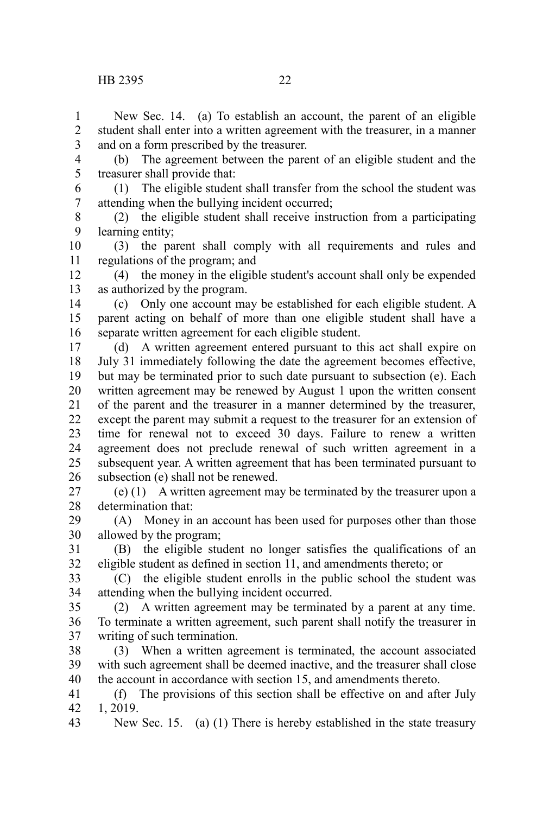- (b) The agreement between the parent of an eligible student and the treasurer shall provide that: 4 5
	- (1) The eligible student shall transfer from the school the student was attending when the bullying incident occurred; 6 7
	- (2) the eligible student shall receive instruction from a participating learning entity; 8 9
- (3) the parent shall comply with all requirements and rules and regulations of the program; and 10 11
- (4) the money in the eligible student's account shall only be expended as authorized by the program. 12 13
- (c) Only one account may be established for each eligible student. A parent acting on behalf of more than one eligible student shall have a separate written agreement for each eligible student. 14 15 16
- (d) A written agreement entered pursuant to this act shall expire on July 31 immediately following the date the agreement becomes effective, but may be terminated prior to such date pursuant to subsection (e). Each written agreement may be renewed by August 1 upon the written consent of the parent and the treasurer in a manner determined by the treasurer, except the parent may submit a request to the treasurer for an extension of time for renewal not to exceed 30 days. Failure to renew a written agreement does not preclude renewal of such written agreement in a subsequent year. A written agreement that has been terminated pursuant to subsection (e) shall not be renewed. 17 18 19 20 21 22 23 24 25 26
- (e) (1) A written agreement may be terminated by the treasurer upon a determination that: 27 28
- (A) Money in an account has been used for purposes other than those allowed by the program; 29 30
- (B) the eligible student no longer satisfies the qualifications of an eligible student as defined in section 11, and amendments thereto; or 31 32
- (C) the eligible student enrolls in the public school the student was attending when the bullying incident occurred. 33 34
- (2) A written agreement may be terminated by a parent at any time. To terminate a written agreement, such parent shall notify the treasurer in writing of such termination. 35 36 37
- (3) When a written agreement is terminated, the account associated with such agreement shall be deemed inactive, and the treasurer shall close the account in accordance with section 15, and amendments thereto. 38 39 40
- (f) The provisions of this section shall be effective on and after July 1, 2019. 41 42
- New Sec. 15. (a) (1) There is hereby established in the state treasury 43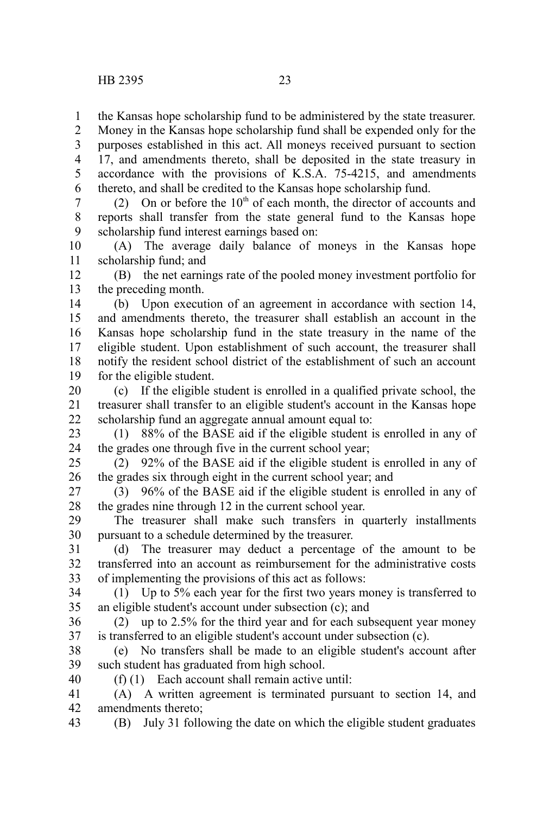the Kansas hope scholarship fund to be administered by the state treasurer. 1

Money in the Kansas hope scholarship fund shall be expended only for the purposes established in this act. All moneys received pursuant to section 17, and amendments thereto, shall be deposited in the state treasury in accordance with the provisions of K.S.A. 75-4215, and amendments thereto, and shall be credited to the Kansas hope scholarship fund. 2 3 4 5 6

(2) On or before the  $10<sup>th</sup>$  of each month, the director of accounts and reports shall transfer from the state general fund to the Kansas hope scholarship fund interest earnings based on: 7 8 9

(A) The average daily balance of moneys in the Kansas hope scholarship fund; and 10 11

(B) the net earnings rate of the pooled money investment portfolio for the preceding month. 12 13

(b) Upon execution of an agreement in accordance with section 14, and amendments thereto, the treasurer shall establish an account in the Kansas hope scholarship fund in the state treasury in the name of the eligible student. Upon establishment of such account, the treasurer shall notify the resident school district of the establishment of such an account for the eligible student. 14 15 16 17 18 19

(c) If the eligible student is enrolled in a qualified private school, the treasurer shall transfer to an eligible student's account in the Kansas hope scholarship fund an aggregate annual amount equal to: 20 21 22

(1) 88% of the BASE aid if the eligible student is enrolled in any of the grades one through five in the current school year; 23 24

(2) 92% of the BASE aid if the eligible student is enrolled in any of the grades six through eight in the current school year; and 25 26

(3) 96% of the BASE aid if the eligible student is enrolled in any of the grades nine through 12 in the current school year. 27 28

The treasurer shall make such transfers in quarterly installments pursuant to a schedule determined by the treasurer. 29 30

(d) The treasurer may deduct a percentage of the amount to be transferred into an account as reimbursement for the administrative costs of implementing the provisions of this act as follows: 31 32 33

(1) Up to 5% each year for the first two years money is transferred to an eligible student's account under subsection (c); and 34 35

(2) up to 2.5% for the third year and for each subsequent year money is transferred to an eligible student's account under subsection (c). 36 37

(e) No transfers shall be made to an eligible student's account after such student has graduated from high school. 38 39

40

(f) (1) Each account shall remain active until:

(A) A written agreement is terminated pursuant to section 14, and amendments thereto; 41 42

(B) July 31 following the date on which the eligible student graduates 43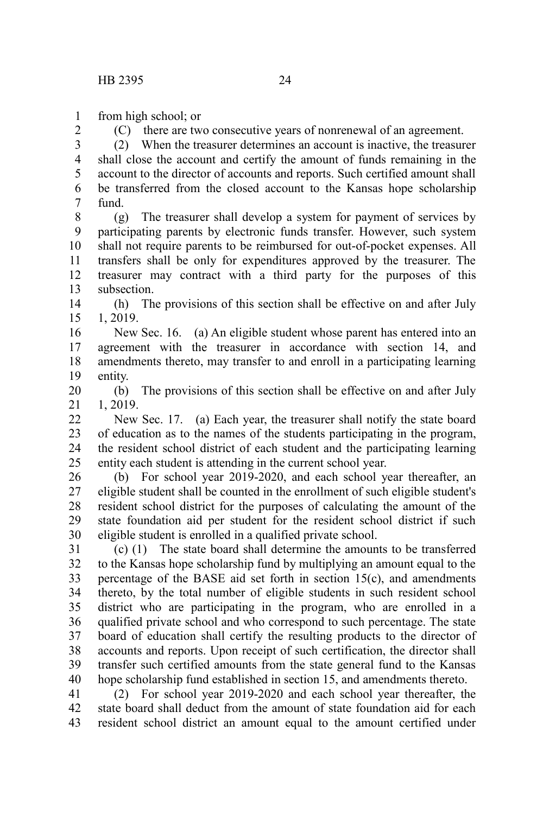from high school; or 1

2

(C) there are two consecutive years of nonrenewal of an agreement.

(2) When the treasurer determines an account is inactive, the treasurer shall close the account and certify the amount of funds remaining in the account to the director of accounts and reports. Such certified amount shall be transferred from the closed account to the Kansas hope scholarship fund. 3 4 5 6 7

(g) The treasurer shall develop a system for payment of services by participating parents by electronic funds transfer. However, such system shall not require parents to be reimbursed for out-of-pocket expenses. All transfers shall be only for expenditures approved by the treasurer. The treasurer may contract with a third party for the purposes of this subsection. 8 9 10 11 12 13

(h) The provisions of this section shall be effective on and after July 1, 2019. 14 15

New Sec. 16. (a) An eligible student whose parent has entered into an agreement with the treasurer in accordance with section 14, and amendments thereto, may transfer to and enroll in a participating learning entity. 16 17 18 19

(b) The provisions of this section shall be effective on and after July 1, 2019. 20 21

New Sec. 17. (a) Each year, the treasurer shall notify the state board of education as to the names of the students participating in the program, the resident school district of each student and the participating learning entity each student is attending in the current school year.  $22$ 23 24 25

(b) For school year 2019-2020, and each school year thereafter, an eligible student shall be counted in the enrollment of such eligible student's resident school district for the purposes of calculating the amount of the state foundation aid per student for the resident school district if such eligible student is enrolled in a qualified private school. 26 27 28 29 30

(c) (1) The state board shall determine the amounts to be transferred to the Kansas hope scholarship fund by multiplying an amount equal to the percentage of the BASE aid set forth in section 15(c), and amendments thereto, by the total number of eligible students in such resident school district who are participating in the program, who are enrolled in a qualified private school and who correspond to such percentage. The state board of education shall certify the resulting products to the director of accounts and reports. Upon receipt of such certification, the director shall transfer such certified amounts from the state general fund to the Kansas hope scholarship fund established in section 15, and amendments thereto. 31 32 33 34 35 36 37 38 39 40

(2) For school year 2019-2020 and each school year thereafter, the state board shall deduct from the amount of state foundation aid for each resident school district an amount equal to the amount certified under 41 42 43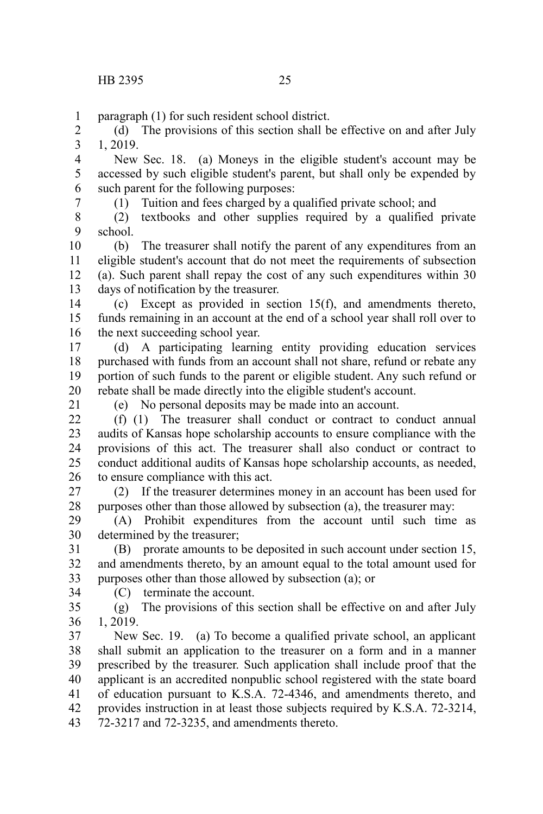paragraph (1) for such resident school district. 1

(d) The provisions of this section shall be effective on and after July 1, 2019. 2 3

New Sec. 18. (a) Moneys in the eligible student's account may be accessed by such eligible student's parent, but shall only be expended by such parent for the following purposes: 4 5 6

7

(1) Tuition and fees charged by a qualified private school; and

(2) textbooks and other supplies required by a qualified private school. 8 9

(b) The treasurer shall notify the parent of any expenditures from an eligible student's account that do not meet the requirements of subsection (a). Such parent shall repay the cost of any such expenditures within 30 days of notification by the treasurer. 10 11 12 13

(c) Except as provided in section 15(f), and amendments thereto, funds remaining in an account at the end of a school year shall roll over to the next succeeding school year. 14 15 16

(d) A participating learning entity providing education services purchased with funds from an account shall not share, refund or rebate any portion of such funds to the parent or eligible student. Any such refund or rebate shall be made directly into the eligible student's account. 17 18 19 20

21

(e) No personal deposits may be made into an account.

(f) (1) The treasurer shall conduct or contract to conduct annual audits of Kansas hope scholarship accounts to ensure compliance with the provisions of this act. The treasurer shall also conduct or contract to conduct additional audits of Kansas hope scholarship accounts, as needed, to ensure compliance with this act.  $22$ 23 24 25 26

(2) If the treasurer determines money in an account has been used for purposes other than those allowed by subsection (a), the treasurer may: 27 28

(A) Prohibit expenditures from the account until such time as determined by the treasurer; 29 30

(B) prorate amounts to be deposited in such account under section 15, and amendments thereto, by an amount equal to the total amount used for purposes other than those allowed by subsection (a); or 31 32 33

(C) terminate the account.

34

(g) The provisions of this section shall be effective on and after July 1, 2019. 35 36

New Sec. 19. (a) To become a qualified private school, an applicant shall submit an application to the treasurer on a form and in a manner prescribed by the treasurer. Such application shall include proof that the applicant is an accredited nonpublic school registered with the state board of education pursuant to K.S.A. 72-4346, and amendments thereto, and provides instruction in at least those subjects required by K.S.A. 72-3214, 72-3217 and 72-3235, and amendments thereto. 37 38 39 40 41 42 43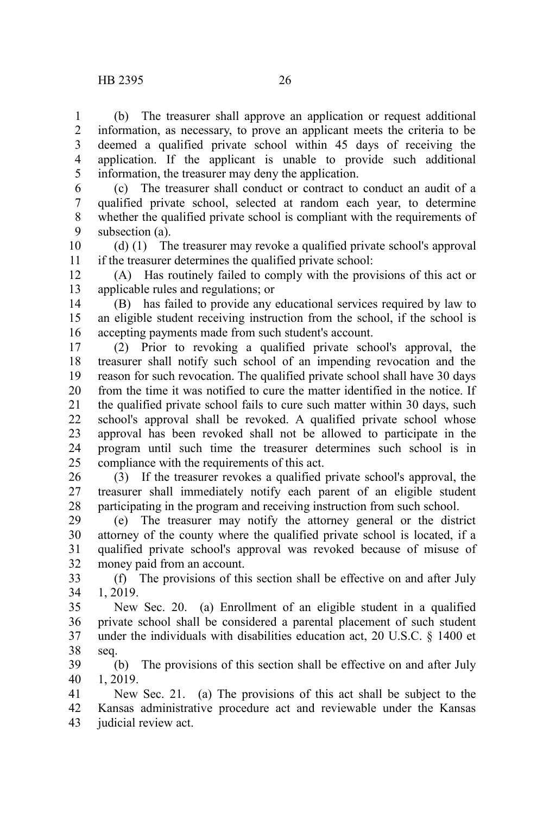1

(b) The treasurer shall approve an application or request additional

information, as necessary, to prove an applicant meets the criteria to be deemed a qualified private school within 45 days of receiving the application. If the applicant is unable to provide such additional information, the treasurer may deny the application. 2 3 4 5

(c) The treasurer shall conduct or contract to conduct an audit of a qualified private school, selected at random each year, to determine whether the qualified private school is compliant with the requirements of subsection (a). 6 7 8 9

(d) (1) The treasurer may revoke a qualified private school's approval if the treasurer determines the qualified private school: 10 11

(A) Has routinely failed to comply with the provisions of this act or applicable rules and regulations; or 12 13

(B) has failed to provide any educational services required by law to an eligible student receiving instruction from the school, if the school is accepting payments made from such student's account. 14 15 16

(2) Prior to revoking a qualified private school's approval, the treasurer shall notify such school of an impending revocation and the reason for such revocation. The qualified private school shall have 30 days from the time it was notified to cure the matter identified in the notice. If the qualified private school fails to cure such matter within 30 days, such school's approval shall be revoked. A qualified private school whose approval has been revoked shall not be allowed to participate in the program until such time the treasurer determines such school is in compliance with the requirements of this act. 17 18 19 20 21 22 23 24 25

(3) If the treasurer revokes a qualified private school's approval, the treasurer shall immediately notify each parent of an eligible student participating in the program and receiving instruction from such school. 26 27 28

(e) The treasurer may notify the attorney general or the district attorney of the county where the qualified private school is located, if a qualified private school's approval was revoked because of misuse of money paid from an account. 29 30 31 32

(f) The provisions of this section shall be effective on and after July 1, 2019. 33 34

New Sec. 20. (a) Enrollment of an eligible student in a qualified private school shall be considered a parental placement of such student under the individuals with disabilities education act, 20 U.S.C. § 1400 et seq. 35 36 37 38

(b) The provisions of this section shall be effective on and after July 1, 2019. 39 40

New Sec. 21. (a) The provisions of this act shall be subject to the Kansas administrative procedure act and reviewable under the Kansas judicial review act. 41 42 43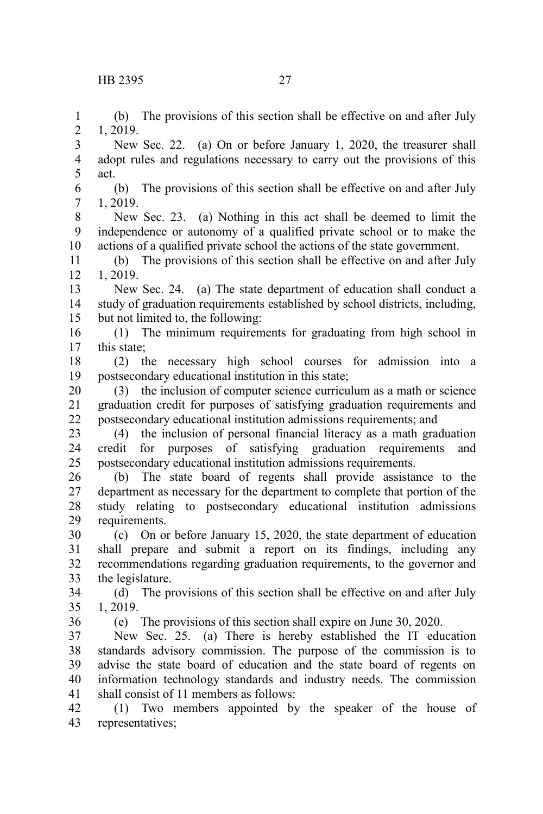(b) The provisions of this section shall be effective on and after July 1, 2019. 1 2

New Sec. 22. (a) On or before January 1, 2020, the treasurer shall adopt rules and regulations necessary to carry out the provisions of this act. 3 4 5

(b) The provisions of this section shall be effective on and after July 1, 2019. 6 7

New Sec. 23. (a) Nothing in this act shall be deemed to limit the independence or autonomy of a qualified private school or to make the actions of a qualified private school the actions of the state government. 8 9 10

(b) The provisions of this section shall be effective on and after July 1, 2019. 11 12

New Sec. 24. (a) The state department of education shall conduct a study of graduation requirements established by school districts, including, but not limited to, the following: 13 14 15

(1) The minimum requirements for graduating from high school in this state; 16 17

(2) the necessary high school courses for admission into a postsecondary educational institution in this state; 18 19

(3) the inclusion of computer science curriculum as a math or science graduation credit for purposes of satisfying graduation requirements and postsecondary educational institution admissions requirements; and 20 21 22

(4) the inclusion of personal financial literacy as a math graduation credit for purposes of satisfying graduation requirements and postsecondary educational institution admissions requirements. 23 24 25

(b) The state board of regents shall provide assistance to the department as necessary for the department to complete that portion of the study relating to postsecondary educational institution admissions requirements. 26 27 28 29

(c) On or before January 15, 2020, the state department of education shall prepare and submit a report on its findings, including any recommendations regarding graduation requirements, to the governor and the legislature. 30 31 32 33

(d) The provisions of this section shall be effective on and after July 1, 2019. 34 35

36

(e) The provisions of this section shall expire on June 30, 2020.

New Sec. 25. (a) There is hereby established the IT education standards advisory commission. The purpose of the commission is to advise the state board of education and the state board of regents on information technology standards and industry needs. The commission shall consist of 11 members as follows: 37 38 39 40 41

(1) Two members appointed by the speaker of the house of representatives; 42 43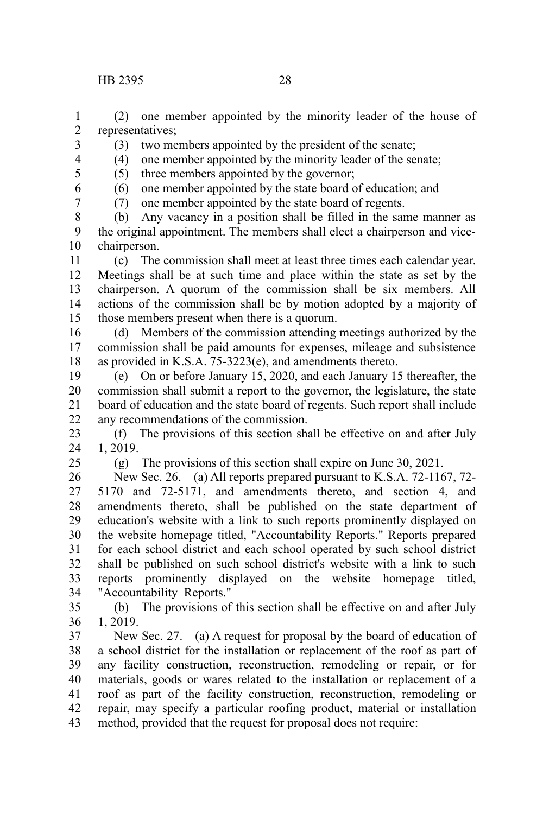(2) one member appointed by the minority leader of the house of representatives; 1 2

- (3) two members appointed by the president of the senate;
- (4) one member appointed by the minority leader of the senate;
- (5) three members appointed by the governor;
	- (6) one member appointed by the state board of education; and
		- (7) one member appointed by the state board of regents.

(b) Any vacancy in a position shall be filled in the same manner as the original appointment. The members shall elect a chairperson and vicechairperson. 8 9 10

(c) The commission shall meet at least three times each calendar year. Meetings shall be at such time and place within the state as set by the chairperson. A quorum of the commission shall be six members. All actions of the commission shall be by motion adopted by a majority of those members present when there is a quorum. 11 12 13 14 15

(d) Members of the commission attending meetings authorized by the commission shall be paid amounts for expenses, mileage and subsistence as provided in K.S.A. 75-3223(e), and amendments thereto. 16 17 18

(e) On or before January 15, 2020, and each January 15 thereafter, the commission shall submit a report to the governor, the legislature, the state board of education and the state board of regents. Such report shall include any recommendations of the commission. 19 20 21 22

(f) The provisions of this section shall be effective on and after July 1, 2019. 23 24

25

(g) The provisions of this section shall expire on June 30, 2021.

New Sec. 26. (a) All reports prepared pursuant to K.S.A. 72-1167, 72- 5170 and 72-5171, and amendments thereto, and section 4, and amendments thereto, shall be published on the state department of education's website with a link to such reports prominently displayed on the website homepage titled, "Accountability Reports." Reports prepared for each school district and each school operated by such school district shall be published on such school district's website with a link to such reports prominently displayed on the website homepage titled, "Accountability Reports." 26 27 28 29 30 31 32 33 34

(b) The provisions of this section shall be effective on and after July 1, 2019. 35 36

New Sec. 27. (a) A request for proposal by the board of education of a school district for the installation or replacement of the roof as part of any facility construction, reconstruction, remodeling or repair, or for materials, goods or wares related to the installation or replacement of a roof as part of the facility construction, reconstruction, remodeling or repair, may specify a particular roofing product, material or installation method, provided that the request for proposal does not require: 37 38 39 40 41 42 43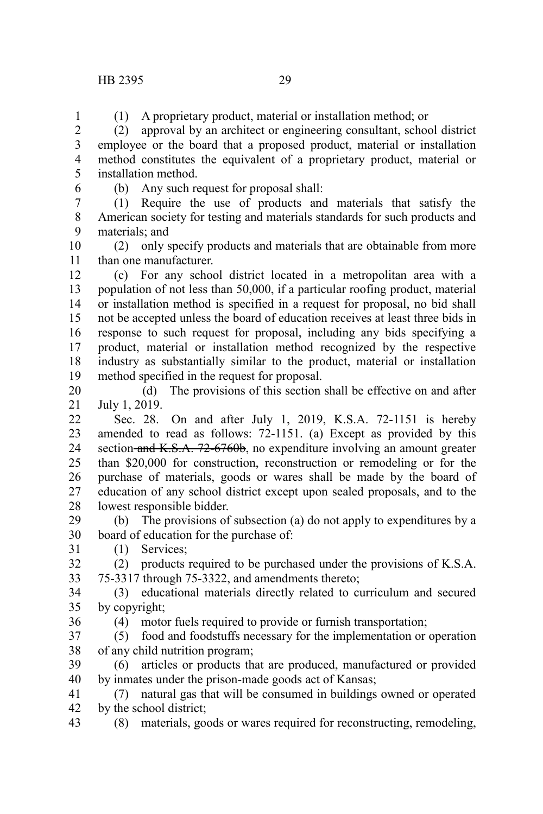## HB 2395 29

(1) A proprietary product, material or installation method; or

(2) approval by an architect or engineering consultant, school district employee or the board that a proposed product, material or installation method constitutes the equivalent of a proprietary product, material or installation method. 2 3 4 5

6

1

(b) Any such request for proposal shall:

(1) Require the use of products and materials that satisfy the American society for testing and materials standards for such products and materials; and 7 8 9

(2) only specify products and materials that are obtainable from more than one manufacturer. 10 11

(c) For any school district located in a metropolitan area with a population of not less than 50,000, if a particular roofing product, material or installation method is specified in a request for proposal, no bid shall not be accepted unless the board of education receives at least three bids in response to such request for proposal, including any bids specifying a product, material or installation method recognized by the respective industry as substantially similar to the product, material or installation method specified in the request for proposal. 12 13 14 15 16 17 18 19

(d) The provisions of this section shall be effective on and after July 1, 2019. 20 21

Sec. 28. On and after July 1, 2019, K.S.A. 72-1151 is hereby amended to read as follows: 72-1151. (a) Except as provided by this section and K.S.A. 72-6760b, no expenditure involving an amount greater than \$20,000 for construction, reconstruction or remodeling or for the purchase of materials, goods or wares shall be made by the board of education of any school district except upon sealed proposals, and to the lowest responsible bidder. 22 23 24 25 26 27 28

(b) The provisions of subsection (a) do not apply to expenditures by a board of education for the purchase of: 29 30 31

(1) Services;

(2) products required to be purchased under the provisions of K.S.A. 75-3317 through 75-3322, and amendments thereto; 32 33

(3) educational materials directly related to curriculum and secured by copyright; 34 35

(4) motor fuels required to provide or furnish transportation; 36

(5) food and foodstuffs necessary for the implementation or operation of any child nutrition program; 37 38

(6) articles or products that are produced, manufactured or provided by inmates under the prison-made goods act of Kansas; 39 40

(7) natural gas that will be consumed in buildings owned or operated by the school district; 41 42

(8) materials, goods or wares required for reconstructing, remodeling, 43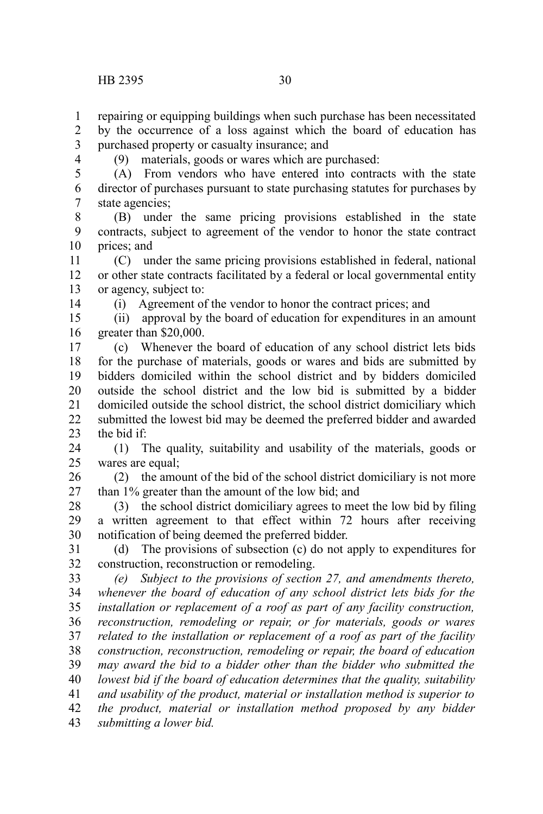repairing or equipping buildings when such purchase has been necessitated

by the occurrence of a loss against which the board of education has purchased property or casualty insurance; and 2 3

4

1

(9) materials, goods or wares which are purchased:

(A) From vendors who have entered into contracts with the state director of purchases pursuant to state purchasing statutes for purchases by state agencies; 5 6 7

(B) under the same pricing provisions established in the state contracts, subject to agreement of the vendor to honor the state contract prices; and 8 9 10

(C) under the same pricing provisions established in federal, national or other state contracts facilitated by a federal or local governmental entity or agency, subject to: 11 12 13

14

(i) Agreement of the vendor to honor the contract prices; and

(ii) approval by the board of education for expenditures in an amount greater than \$20,000. 15 16

(c) Whenever the board of education of any school district lets bids for the purchase of materials, goods or wares and bids are submitted by bidders domiciled within the school district and by bidders domiciled outside the school district and the low bid is submitted by a bidder domiciled outside the school district, the school district domiciliary which submitted the lowest bid may be deemed the preferred bidder and awarded the bid if: 17 18 19 20 21 22 23

(1) The quality, suitability and usability of the materials, goods or wares are equal; 24 25

(2) the amount of the bid of the school district domiciliary is not more than 1% greater than the amount of the low bid; and 26 27

(3) the school district domiciliary agrees to meet the low bid by filing a written agreement to that effect within 72 hours after receiving notification of being deemed the preferred bidder. 28 29 30

(d) The provisions of subsection (c) do not apply to expenditures for construction, reconstruction or remodeling. 31 32

*(e) Subject to the provisions of section 27, and amendments thereto, whenever the board of education of any school district lets bids for the installation or replacement of a roof as part of any facility construction, reconstruction, remodeling or repair, or for materials, goods or wares related to the installation or replacement of a roof as part of the facility construction, reconstruction, remodeling or repair, the board of education may award the bid to a bidder other than the bidder who submitted the lowest bid if the board of education determines that the quality, suitability and usability of the product, material or installation method is superior to the product, material or installation method proposed by any bidder submitting a lower bid.* 33 34 35 36 37 38 39 40 41 42 43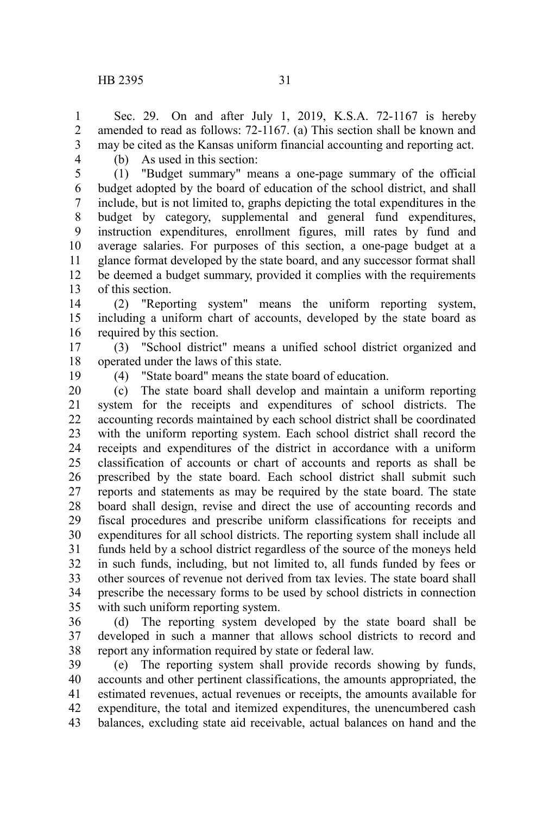Sec. 29. On and after July 1, 2019, K.S.A. 72-1167 is hereby amended to read as follows: 72-1167. (a) This section shall be known and may be cited as the Kansas uniform financial accounting and reporting act. 1 2 3

4

(b) As used in this section:

(1) "Budget summary" means a one-page summary of the official budget adopted by the board of education of the school district, and shall include, but is not limited to, graphs depicting the total expenditures in the budget by category, supplemental and general fund expenditures, instruction expenditures, enrollment figures, mill rates by fund and average salaries. For purposes of this section, a one-page budget at a glance format developed by the state board, and any successor format shall be deemed a budget summary, provided it complies with the requirements of this section. 5 6 7 8 9 10 11 12 13

(2) "Reporting system" means the uniform reporting system, including a uniform chart of accounts, developed by the state board as required by this section. 14 15 16

(3) "School district" means a unified school district organized and operated under the laws of this state. 17 18

19

(4) "State board" means the state board of education.

(c) The state board shall develop and maintain a uniform reporting system for the receipts and expenditures of school districts. The accounting records maintained by each school district shall be coordinated with the uniform reporting system. Each school district shall record the receipts and expenditures of the district in accordance with a uniform classification of accounts or chart of accounts and reports as shall be prescribed by the state board. Each school district shall submit such reports and statements as may be required by the state board. The state board shall design, revise and direct the use of accounting records and fiscal procedures and prescribe uniform classifications for receipts and expenditures for all school districts. The reporting system shall include all funds held by a school district regardless of the source of the moneys held in such funds, including, but not limited to, all funds funded by fees or other sources of revenue not derived from tax levies. The state board shall prescribe the necessary forms to be used by school districts in connection with such uniform reporting system. 20 21 22 23 24 25 26 27 28 29 30 31 32 33 34 35

(d) The reporting system developed by the state board shall be developed in such a manner that allows school districts to record and report any information required by state or federal law. 36 37 38

(e) The reporting system shall provide records showing by funds, accounts and other pertinent classifications, the amounts appropriated, the estimated revenues, actual revenues or receipts, the amounts available for expenditure, the total and itemized expenditures, the unencumbered cash balances, excluding state aid receivable, actual balances on hand and the 39 40 41 42 43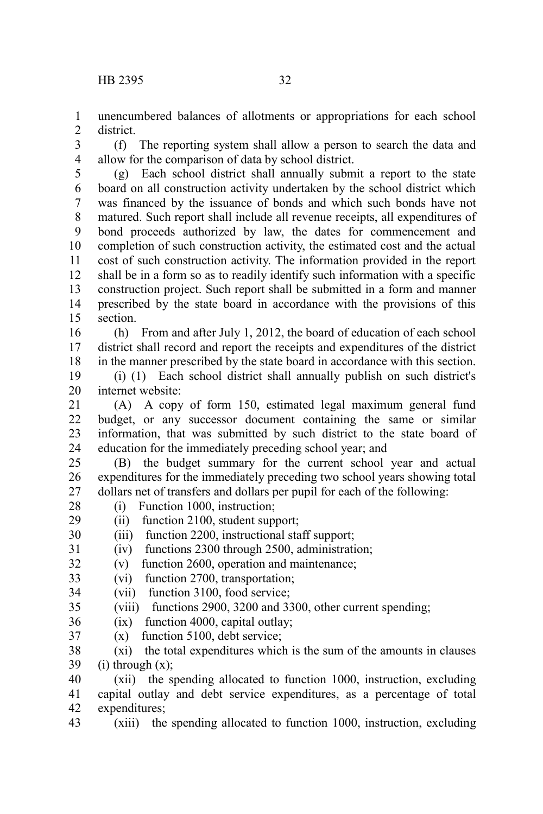unencumbered balances of allotments or appropriations for each school district. 1  $\mathcal{L}$ 

(f) The reporting system shall allow a person to search the data and allow for the comparison of data by school district. 3 4

(g) Each school district shall annually submit a report to the state board on all construction activity undertaken by the school district which was financed by the issuance of bonds and which such bonds have not matured. Such report shall include all revenue receipts, all expenditures of bond proceeds authorized by law, the dates for commencement and completion of such construction activity, the estimated cost and the actual cost of such construction activity. The information provided in the report shall be in a form so as to readily identify such information with a specific construction project. Such report shall be submitted in a form and manner prescribed by the state board in accordance with the provisions of this section. 5 6 7 8 9 10 11 12 13 14 15

(h) From and after July 1, 2012, the board of education of each school district shall record and report the receipts and expenditures of the district in the manner prescribed by the state board in accordance with this section. 16 17 18

(i) (1) Each school district shall annually publish on such district's internet website: 19 20

(A) A copy of form 150, estimated legal maximum general fund budget, or any successor document containing the same or similar information, that was submitted by such district to the state board of education for the immediately preceding school year; and 21 22 23 24

(B) the budget summary for the current school year and actual expenditures for the immediately preceding two school years showing total dollars net of transfers and dollars per pupil for each of the following: 25 26 27

(i) Function 1000, instruction; 28

(ii) function 2100, student support; 29

(iii) function 2200, instructional staff support; 30

(iv) functions 2300 through 2500, administration; 31

(v) function 2600, operation and maintenance; 32

(vi) function 2700, transportation; 33

- (vii) function 3100, food service; 34
- (viii) functions 2900, 3200 and 3300, other current spending; 35
- (ix) function 4000, capital outlay; 36
- (x) function 5100, debt service; 37

(xi) the total expenditures which is the sum of the amounts in clauses  $(i)$  through  $(x)$ ; 38 39

(xii) the spending allocated to function 1000, instruction, excluding capital outlay and debt service expenditures, as a percentage of total expenditures; 40 41 42

(xiii) the spending allocated to function 1000, instruction, excluding 43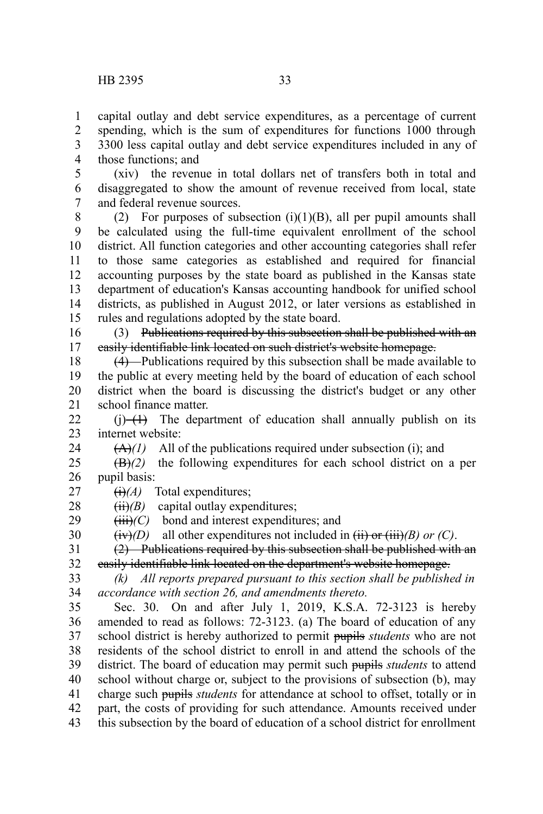capital outlay and debt service expenditures, as a percentage of current spending, which is the sum of expenditures for functions 1000 through 3300 less capital outlay and debt service expenditures included in any of those functions; and 1 2 3 4

(xiv) the revenue in total dollars net of transfers both in total and disaggregated to show the amount of revenue received from local, state and federal revenue sources. 5 6 7

(2) For purposes of subsection  $(i)(1)(B)$ , all per pupil amounts shall be calculated using the full-time equivalent enrollment of the school district. All function categories and other accounting categories shall refer to those same categories as established and required for financial accounting purposes by the state board as published in the Kansas state department of education's Kansas accounting handbook for unified school districts, as published in August 2012, or later versions as established in rules and regulations adopted by the state board. 8 9 10 11 12 13 14 15

(3) Publications required by this subsection shall be published with an easily identifiable link located on such district's website homepage. 16 17

(4) Publications required by this subsection shall be made available to the public at every meeting held by the board of education of each school district when the board is discussing the district's budget or any other school finance matter. 18 19 20 21

 $(i)$  The department of education shall annually publish on its internet website:  $22$ 23

 $(A)(1)$  All of the publications required under subsection (i); and

(B)*(2)* the following expenditures for each school district on a per pupil basis: 25 26

 $\overrightarrow{(i)}$ *(A)* Total expenditures; 27

24

- $(ii)/B$ ) capital outlay expenditures; 28
- $(iii)/C$  bond and interest expenditures; and 29

 $(i\mathbf{v})$  all other expenditures not included in  $(ii)$  or  $(iii)/B$  or  $(C)$ . 30

(2) Publications required by this subsection shall be published with an easily identifiable link located on the department's website homepage. 31 32

*(k) All reports prepared pursuant to this section shall be published in accordance with section 26, and amendments thereto.* 33 34

Sec. 30. On and after July 1, 2019, K.S.A. 72-3123 is hereby amended to read as follows: 72-3123. (a) The board of education of any school district is hereby authorized to permit pupils *students* who are not residents of the school district to enroll in and attend the schools of the district. The board of education may permit such pupils *students* to attend school without charge or, subject to the provisions of subsection (b), may charge such pupils *students* for attendance at school to offset, totally or in part, the costs of providing for such attendance. Amounts received under this subsection by the board of education of a school district for enrollment 35 36 37 38 39 40 41 42 43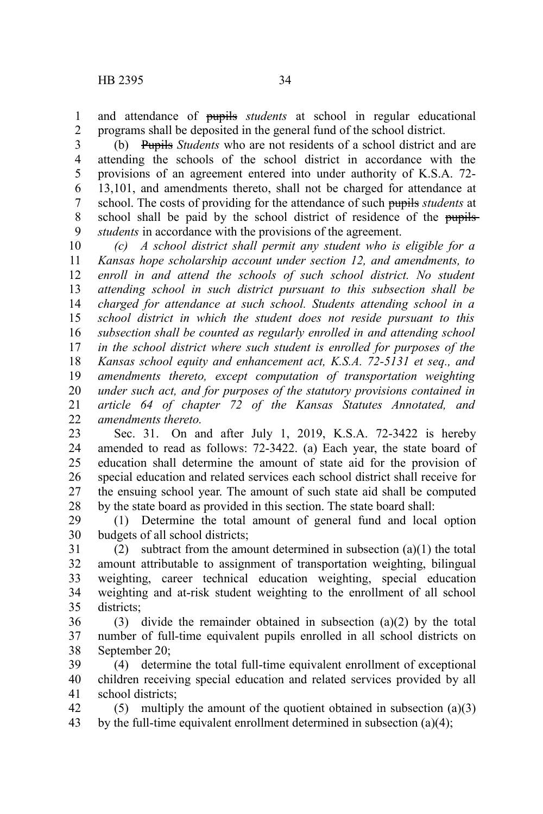and attendance of pupils *students* at school in regular educational programs shall be deposited in the general fund of the school district. 1 2

(b) Pupils *Students* who are not residents of a school district and are attending the schools of the school district in accordance with the provisions of an agreement entered into under authority of K.S.A. 72- 13,101, and amendments thereto, shall not be charged for attendance at school. The costs of providing for the attendance of such pupils *students* at school shall be paid by the school district of residence of the pupils*students* in accordance with the provisions of the agreement. 3 4 5 6 7 8 9

*(c) A school district shall permit any student who is eligible for a Kansas hope scholarship account under section 12, and amendments, to enroll in and attend the schools of such school district. No student attending school in such district pursuant to this subsection shall be charged for attendance at such school. Students attending school in a school district in which the student does not reside pursuant to this subsection shall be counted as regularly enrolled in and attending school in the school district where such student is enrolled for purposes of the Kansas school equity and enhancement act, K.S.A. 72-5131 et seq., and amendments thereto, except computation of transportation weighting under such act, and for purposes of the statutory provisions contained in article 64 of chapter 72 of the Kansas Statutes Annotated, and amendments thereto.* 10 11 12 13 14 15 16 17 18 19 20 21  $22$ 

Sec. 31. On and after July 1, 2019, K.S.A. 72-3422 is hereby amended to read as follows: 72-3422. (a) Each year, the state board of education shall determine the amount of state aid for the provision of special education and related services each school district shall receive for the ensuing school year. The amount of such state aid shall be computed by the state board as provided in this section. The state board shall: 23 24 25 26 27 28

(1) Determine the total amount of general fund and local option budgets of all school districts; 29 30

(2) subtract from the amount determined in subsection (a)(1) the total amount attributable to assignment of transportation weighting, bilingual weighting, career technical education weighting, special education weighting and at-risk student weighting to the enrollment of all school districts; 31 32 33 34 35

(3) divide the remainder obtained in subsection (a)(2) by the total number of full-time equivalent pupils enrolled in all school districts on September 20; 36 37 38

(4) determine the total full-time equivalent enrollment of exceptional children receiving special education and related services provided by all school districts; 39 40 41

(5) multiply the amount of the quotient obtained in subsection  $(a)(3)$ by the full-time equivalent enrollment determined in subsection (a)(4); 42 43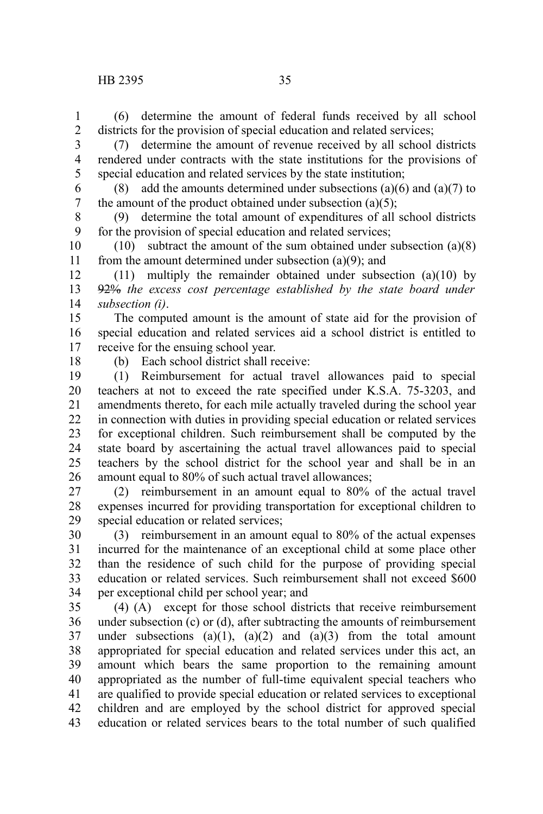(6) determine the amount of federal funds received by all school districts for the provision of special education and related services; 1 2

(7) determine the amount of revenue received by all school districts rendered under contracts with the state institutions for the provisions of special education and related services by the state institution; 3 4 5

(8) add the amounts determined under subsections (a)(6) and (a)(7) to the amount of the product obtained under subsection  $(a)(5)$ ; 6 7

(9) determine the total amount of expenditures of all school districts for the provision of special education and related services; 8 9

(10) subtract the amount of the sum obtained under subsection (a)(8) from the amount determined under subsection (a)(9); and 10 11

(11) multiply the remainder obtained under subsection (a)(10) by 92% *the excess cost percentage established by the state board under subsection (i)*. 12 13 14

The computed amount is the amount of state aid for the provision of special education and related services aid a school district is entitled to receive for the ensuing school year. 15 16 17

18

(b) Each school district shall receive:

(1) Reimbursement for actual travel allowances paid to special teachers at not to exceed the rate specified under K.S.A. 75-3203, and amendments thereto, for each mile actually traveled during the school year in connection with duties in providing special education or related services for exceptional children. Such reimbursement shall be computed by the state board by ascertaining the actual travel allowances paid to special teachers by the school district for the school year and shall be in an amount equal to 80% of such actual travel allowances; 19 20 21 22 23 24 25 26

(2) reimbursement in an amount equal to 80% of the actual travel expenses incurred for providing transportation for exceptional children to special education or related services; 27 28 29

(3) reimbursement in an amount equal to 80% of the actual expenses incurred for the maintenance of an exceptional child at some place other than the residence of such child for the purpose of providing special education or related services. Such reimbursement shall not exceed \$600 per exceptional child per school year; and 30 31 32 33 34

(4) (A) except for those school districts that receive reimbursement under subsection (c) or (d), after subtracting the amounts of reimbursement under subsections  $(a)(1)$ ,  $(a)(2)$  and  $(a)(3)$  from the total amount appropriated for special education and related services under this act, an amount which bears the same proportion to the remaining amount appropriated as the number of full-time equivalent special teachers who are qualified to provide special education or related services to exceptional children and are employed by the school district for approved special education or related services bears to the total number of such qualified 35 36 37 38 39 40 41 42 43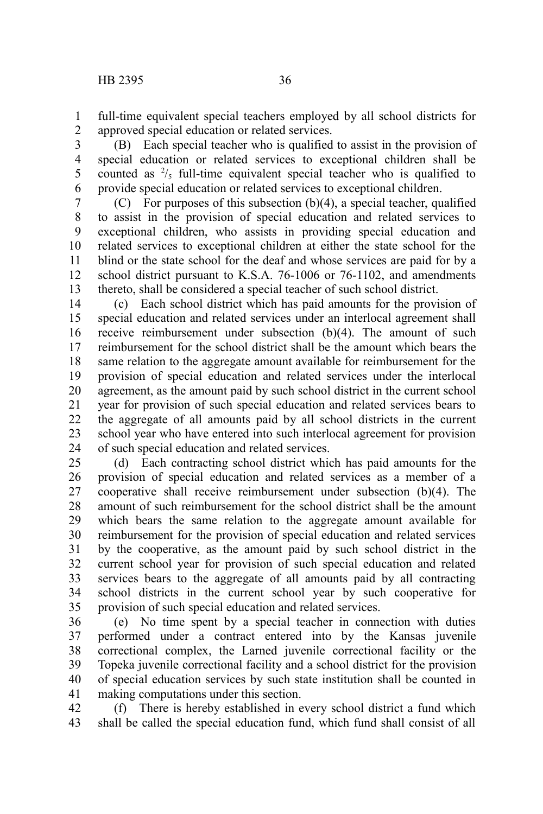1

full-time equivalent special teachers employed by all school districts for

approved special education or related services. 2

(B) Each special teacher who is qualified to assist in the provision of special education or related services to exceptional children shall be counted as  $\frac{2}{5}$  full-time equivalent special teacher who is qualified to provide special education or related services to exceptional children. 3 4 5 6

(C) For purposes of this subsection  $(b)(4)$ , a special teacher, qualified to assist in the provision of special education and related services to exceptional children, who assists in providing special education and related services to exceptional children at either the state school for the blind or the state school for the deaf and whose services are paid for by a school district pursuant to K.S.A. 76-1006 or 76-1102, and amendments thereto, shall be considered a special teacher of such school district. 7 8 9 10 11 12 13

(c) Each school district which has paid amounts for the provision of special education and related services under an interlocal agreement shall receive reimbursement under subsection (b)(4). The amount of such reimbursement for the school district shall be the amount which bears the same relation to the aggregate amount available for reimbursement for the provision of special education and related services under the interlocal agreement, as the amount paid by such school district in the current school year for provision of such special education and related services bears to the aggregate of all amounts paid by all school districts in the current school year who have entered into such interlocal agreement for provision of such special education and related services. 14 15 16 17 18 19 20 21 22 23 24

(d) Each contracting school district which has paid amounts for the provision of special education and related services as a member of a cooperative shall receive reimbursement under subsection (b)(4). The amount of such reimbursement for the school district shall be the amount which bears the same relation to the aggregate amount available for reimbursement for the provision of special education and related services by the cooperative, as the amount paid by such school district in the current school year for provision of such special education and related services bears to the aggregate of all amounts paid by all contracting school districts in the current school year by such cooperative for provision of such special education and related services. 25 26 27 28 29 30 31 32 33 34 35

(e) No time spent by a special teacher in connection with duties performed under a contract entered into by the Kansas juvenile correctional complex, the Larned juvenile correctional facility or the Topeka juvenile correctional facility and a school district for the provision of special education services by such state institution shall be counted in making computations under this section. 36 37 38 39 40 41

(f) There is hereby established in every school district a fund which shall be called the special education fund, which fund shall consist of all 42 43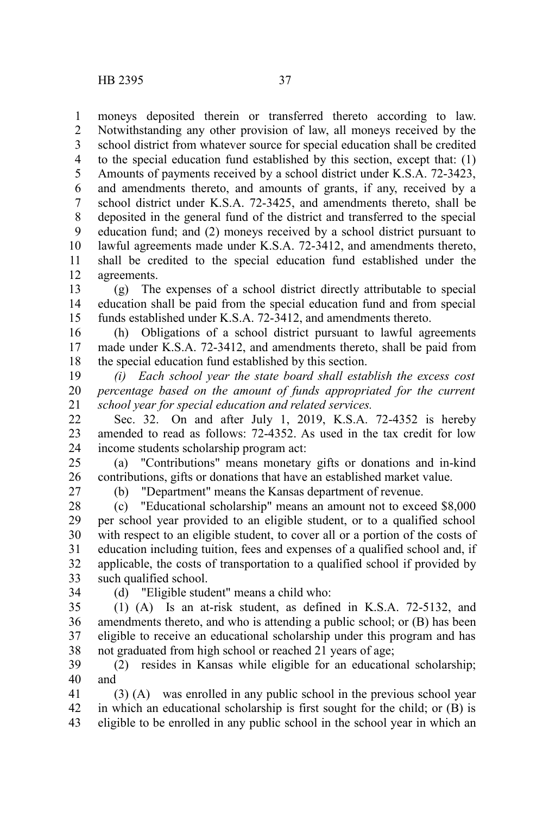moneys deposited therein or transferred thereto according to law. Notwithstanding any other provision of law, all moneys received by the school district from whatever source for special education shall be credited to the special education fund established by this section, except that: (1) Amounts of payments received by a school district under K.S.A. 72-3423, and amendments thereto, and amounts of grants, if any, received by a school district under K.S.A. 72-3425, and amendments thereto, shall be deposited in the general fund of the district and transferred to the special education fund; and (2) moneys received by a school district pursuant to lawful agreements made under K.S.A. 72-3412, and amendments thereto, shall be credited to the special education fund established under the agreements. 1 2 3 4 5 6 7 8 9 10 11 12

(g) The expenses of a school district directly attributable to special education shall be paid from the special education fund and from special funds established under K.S.A. 72-3412, and amendments thereto. 13 14 15

(h) Obligations of a school district pursuant to lawful agreements made under K.S.A. 72-3412, and amendments thereto, shall be paid from the special education fund established by this section. 16 17 18

*(i) Each school year the state board shall establish the excess cost percentage based on the amount of funds appropriated for the current school year for special education and related services.* 19 20 21

Sec. 32. On and after July 1, 2019, K.S.A. 72-4352 is hereby amended to read as follows: 72-4352. As used in the tax credit for low income students scholarship program act: 22 23 24

(a) "Contributions" means monetary gifts or donations and in-kind contributions, gifts or donations that have an established market value. 25 26

27

(b) "Department" means the Kansas department of revenue.

(c) "Educational scholarship" means an amount not to exceed \$8,000 per school year provided to an eligible student, or to a qualified school with respect to an eligible student, to cover all or a portion of the costs of education including tuition, fees and expenses of a qualified school and, if applicable, the costs of transportation to a qualified school if provided by such qualified school. 28 29 30 31 32 33

34

(d) "Eligible student" means a child who:

(1) (A) Is an at-risk student, as defined in K.S.A. 72-5132, and amendments thereto, and who is attending a public school; or (B) has been eligible to receive an educational scholarship under this program and has not graduated from high school or reached 21 years of age; 35 36 37 38

(2) resides in Kansas while eligible for an educational scholarship; and 39 40

(3) (A) was enrolled in any public school in the previous school year in which an educational scholarship is first sought for the child; or (B) is eligible to be enrolled in any public school in the school year in which an 41 42 43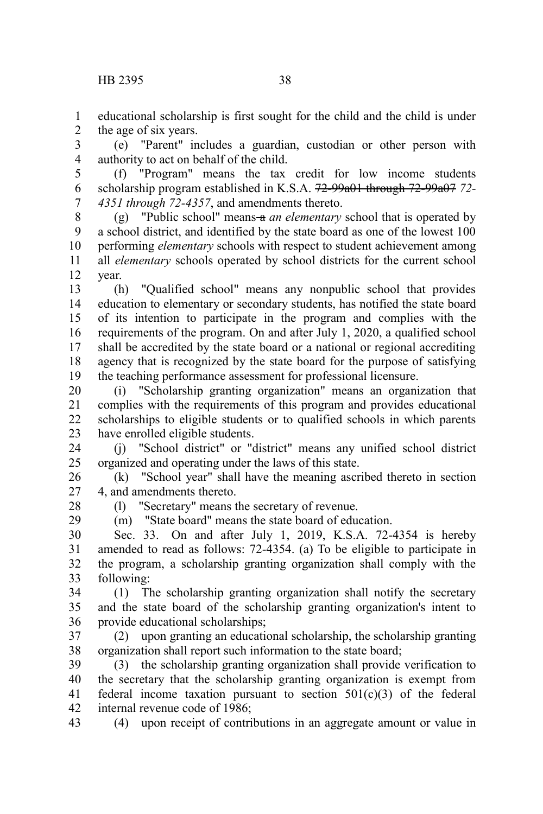educational scholarship is first sought for the child and the child is under the age of six years. 1 2

(e) "Parent" includes a guardian, custodian or other person with authority to act on behalf of the child. 3 4

(f) "Program" means the tax credit for low income students scholarship program established in K.S.A. 72-99a01 through 72-99a07 *72- 4351 through 72-4357*, and amendments thereto. 5 6 7

(g) "Public school" means a *an elementary* school that is operated by a school district, and identified by the state board as one of the lowest 100 performing *elementary* schools with respect to student achievement among all *elementary* schools operated by school districts for the current school year. 8 9 10 11 12

(h) "Qualified school" means any nonpublic school that provides education to elementary or secondary students, has notified the state board of its intention to participate in the program and complies with the requirements of the program. On and after July 1, 2020, a qualified school shall be accredited by the state board or a national or regional accrediting agency that is recognized by the state board for the purpose of satisfying the teaching performance assessment for professional licensure. 13 14 15 16 17 18 19

(i) "Scholarship granting organization" means an organization that complies with the requirements of this program and provides educational scholarships to eligible students or to qualified schools in which parents have enrolled eligible students. 20 21 22 23

(j) "School district" or "district" means any unified school district organized and operating under the laws of this state. 24 25

(k) "School year" shall have the meaning ascribed thereto in section 4, and amendments thereto. 26 27

28 29 (l) "Secretary" means the secretary of revenue.

(m) "State board" means the state board of education.

Sec. 33. On and after July 1, 2019, K.S.A. 72-4354 is hereby amended to read as follows: 72-4354. (a) To be eligible to participate in the program, a scholarship granting organization shall comply with the following: 30 31 32 33

(1) The scholarship granting organization shall notify the secretary and the state board of the scholarship granting organization's intent to provide educational scholarships; 34 35 36

(2) upon granting an educational scholarship, the scholarship granting organization shall report such information to the state board; 37 38

(3) the scholarship granting organization shall provide verification to the secretary that the scholarship granting organization is exempt from federal income taxation pursuant to section  $501(c)(3)$  of the federal internal revenue code of 1986; 39 40 41 42

(4) upon receipt of contributions in an aggregate amount or value in 43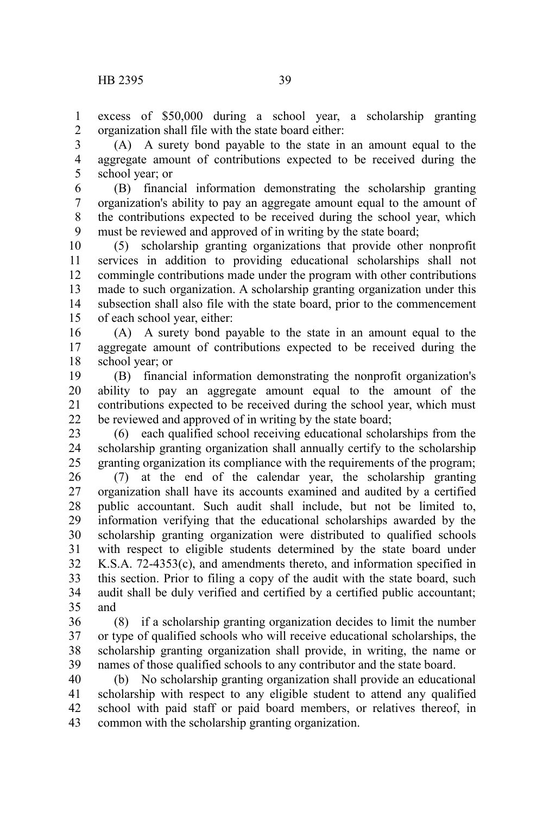excess of \$50,000 during a school year, a scholarship granting organization shall file with the state board either: 1 2

(A) A surety bond payable to the state in an amount equal to the aggregate amount of contributions expected to be received during the school year; or 3 4 5

(B) financial information demonstrating the scholarship granting organization's ability to pay an aggregate amount equal to the amount of the contributions expected to be received during the school year, which must be reviewed and approved of in writing by the state board; 6 7 8 9

(5) scholarship granting organizations that provide other nonprofit services in addition to providing educational scholarships shall not commingle contributions made under the program with other contributions made to such organization. A scholarship granting organization under this subsection shall also file with the state board, prior to the commencement of each school year, either: 10 11 12 13 14 15

(A) A surety bond payable to the state in an amount equal to the aggregate amount of contributions expected to be received during the school year; or 16 17 18

(B) financial information demonstrating the nonprofit organization's ability to pay an aggregate amount equal to the amount of the contributions expected to be received during the school year, which must be reviewed and approved of in writing by the state board; 19 20 21 22

(6) each qualified school receiving educational scholarships from the scholarship granting organization shall annually certify to the scholarship granting organization its compliance with the requirements of the program; 23 24 25

(7) at the end of the calendar year, the scholarship granting organization shall have its accounts examined and audited by a certified public accountant. Such audit shall include, but not be limited to, information verifying that the educational scholarships awarded by the scholarship granting organization were distributed to qualified schools with respect to eligible students determined by the state board under K.S.A. 72-4353(c), and amendments thereto, and information specified in this section. Prior to filing a copy of the audit with the state board, such audit shall be duly verified and certified by a certified public accountant; and 26 27 28 29 30 31 32 33 34 35

(8) if a scholarship granting organization decides to limit the number or type of qualified schools who will receive educational scholarships, the scholarship granting organization shall provide, in writing, the name or names of those qualified schools to any contributor and the state board. 36 37 38 39

(b) No scholarship granting organization shall provide an educational scholarship with respect to any eligible student to attend any qualified school with paid staff or paid board members, or relatives thereof, in common with the scholarship granting organization. 40 41 42 43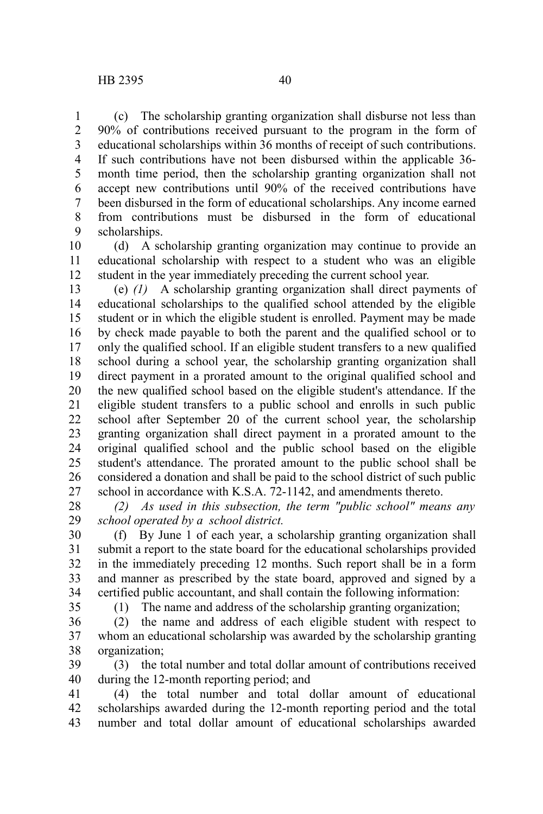(c) The scholarship granting organization shall disburse not less than 90% of contributions received pursuant to the program in the form of educational scholarships within 36 months of receipt of such contributions. If such contributions have not been disbursed within the applicable 36 month time period, then the scholarship granting organization shall not accept new contributions until 90% of the received contributions have been disbursed in the form of educational scholarships. Any income earned from contributions must be disbursed in the form of educational scholarships. 1 2 3 4 5 6 7 8 9

(d) A scholarship granting organization may continue to provide an educational scholarship with respect to a student who was an eligible student in the year immediately preceding the current school year. 10 11 12

(e) *(1)* A scholarship granting organization shall direct payments of educational scholarships to the qualified school attended by the eligible student or in which the eligible student is enrolled. Payment may be made by check made payable to both the parent and the qualified school or to only the qualified school. If an eligible student transfers to a new qualified school during a school year, the scholarship granting organization shall direct payment in a prorated amount to the original qualified school and the new qualified school based on the eligible student's attendance. If the eligible student transfers to a public school and enrolls in such public school after September 20 of the current school year, the scholarship granting organization shall direct payment in a prorated amount to the original qualified school and the public school based on the eligible student's attendance. The prorated amount to the public school shall be considered a donation and shall be paid to the school district of such public school in accordance with K.S.A. 72-1142, and amendments thereto. 13 14 15 16 17 18 19 20 21 22 23 24 25 26 27

*(2) As used in this subsection, the term "public school" means any school operated by a school district.* 28 29

(f) By June 1 of each year, a scholarship granting organization shall submit a report to the state board for the educational scholarships provided in the immediately preceding 12 months. Such report shall be in a form and manner as prescribed by the state board, approved and signed by a certified public accountant, and shall contain the following information: 30 31 32 33 34

35

(1) The name and address of the scholarship granting organization;

(2) the name and address of each eligible student with respect to whom an educational scholarship was awarded by the scholarship granting organization; 36 37 38

(3) the total number and total dollar amount of contributions received during the 12-month reporting period; and 39 40

(4) the total number and total dollar amount of educational scholarships awarded during the 12-month reporting period and the total number and total dollar amount of educational scholarships awarded 41 42 43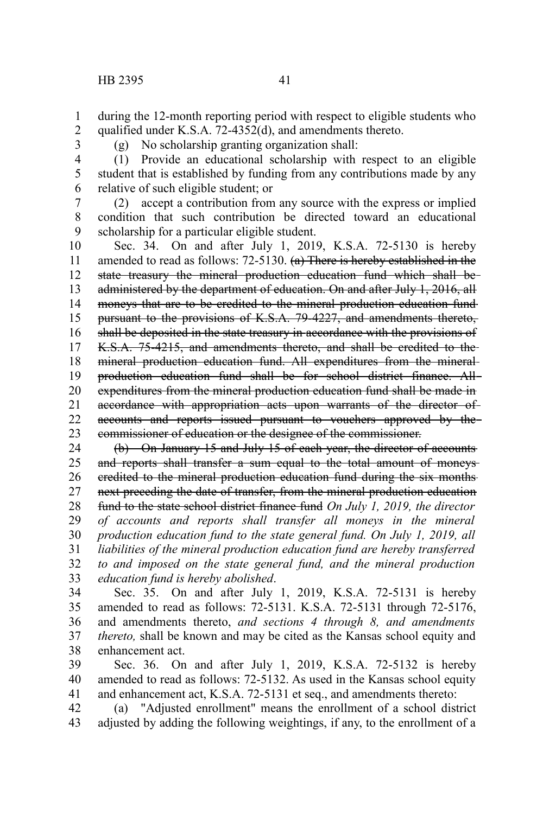during the 12-month reporting period with respect to eligible students who qualified under K.S.A. 72-4352(d), and amendments thereto. 1 2

3

(g) No scholarship granting organization shall:

(1) Provide an educational scholarship with respect to an eligible student that is established by funding from any contributions made by any relative of such eligible student; or 4 5 6

(2) accept a contribution from any source with the express or implied condition that such contribution be directed toward an educational scholarship for a particular eligible student. 7 8 9

Sec. 34. On and after July 1, 2019, K.S.A. 72-5130 is hereby amended to read as follows: 72-5130. (a) There is hereby established in the state treasury the mineral production education fund which shall be administered by the department of education. On and after July 1, 2016, all moneys that are to be credited to the mineral production education fund pursuant to the provisions of K.S.A. 79-4227, and amendments thereto, shall be deposited in the state treasury in accordance with the provisions of K.S.A. 75-4215, and amendments thereto, and shall be credited to the mineral production education fund. All expenditures from the mineral production education fund shall be for school district finance. All expenditures from the mineral production education fund shall be made in accordance with appropriation acts upon warrants of the director of accounts and reports issued pursuant to vouchers approved by the commissioner of education or the designee of the commissioner. 10 11 12 13 14 15 16 17 18 19 20 21 22 23

(b) On January 15 and July 15 of each year, the director of accounts and reports shall transfer a sum equal to the total amount of moneyscredited to the mineral production education fund during the six months next preceding the date of transfer, from the mineral production education fund to the state school district finance fund *On July 1, 2019, the director of accounts and reports shall transfer all moneys in the mineral production education fund to the state general fund. On July 1, 2019, all liabilities of the mineral production education fund are hereby transferred to and imposed on the state general fund, and the mineral production education fund is hereby abolished*. 24 25 26 27 28 29 30 31 32 33

Sec. 35. On and after July 1, 2019, K.S.A. 72-5131 is hereby amended to read as follows: 72-5131. K.S.A. 72-5131 through 72-5176, and amendments thereto, *and sections 4 through 8, and amendments thereto,* shall be known and may be cited as the Kansas school equity and enhancement act. 34 35 36 37 38

Sec. 36. On and after July 1, 2019, K.S.A. 72-5132 is hereby amended to read as follows: 72-5132. As used in the Kansas school equity and enhancement act, K.S.A. 72-5131 et seq., and amendments thereto: 39 40 41

(a) "Adjusted enrollment" means the enrollment of a school district adjusted by adding the following weightings, if any, to the enrollment of a 42 43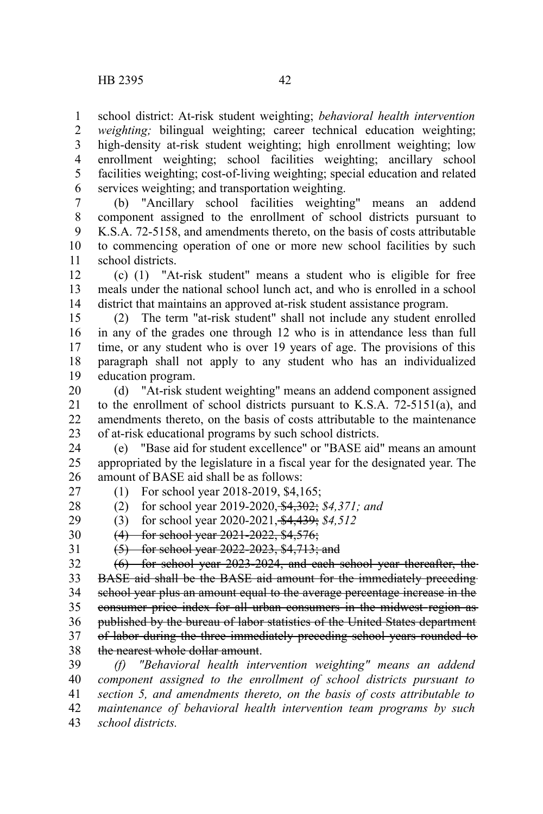school district: At-risk student weighting; *behavioral health intervention* 1

*weighting;* bilingual weighting; career technical education weighting; high-density at-risk student weighting; high enrollment weighting; low enrollment weighting; school facilities weighting; ancillary school facilities weighting; cost-of-living weighting; special education and related services weighting; and transportation weighting. 2 3 4 5 6

(b) "Ancillary school facilities weighting" means an addend component assigned to the enrollment of school districts pursuant to K.S.A. 72-5158, and amendments thereto, on the basis of costs attributable to commencing operation of one or more new school facilities by such school districts. 7 8 9 10 11

(c) (1) "At-risk student" means a student who is eligible for free meals under the national school lunch act, and who is enrolled in a school district that maintains an approved at-risk student assistance program. 12 13 14

(2) The term "at-risk student" shall not include any student enrolled in any of the grades one through 12 who is in attendance less than full time, or any student who is over 19 years of age. The provisions of this paragraph shall not apply to any student who has an individualized education program. 15 16 17 18 19

(d) "At-risk student weighting" means an addend component assigned to the enrollment of school districts pursuant to K.S.A. 72-5151(a), and amendments thereto, on the basis of costs attributable to the maintenance of at-risk educational programs by such school districts. 20 21 22 23

(e) "Base aid for student excellence" or "BASE aid" means an amount appropriated by the legislature in a fiscal year for the designated year. The amount of BASE aid shall be as follows: 24 25 26

27

28

(1) For school year 2018-2019, \$4,165; (2) for school year 2019-2020, \$4,302; *\$4,371; and*

29

(3) for school year 2020-2021, \$4,439; *\$4,512*

30

(4) for school year 2021-2022, \$4,576;

31

(5) for school year 2022-2023, \$4,713; and

(6) for school year 2023-2024, and each school year thereafter, the BASE aid shall be the BASE aid amount for the immediately preceding school year plus an amount equal to the average percentage increase in the consumer price index for all urban consumers in the midwest region as published by the bureau of labor statistics of the United States department of labor during the three immediately preceding school years rounded to the nearest whole dollar amount. 32 33 34 35 36 37 38

*(f) "Behavioral health intervention weighting" means an addend component assigned to the enrollment of school districts pursuant to section 5, and amendments thereto, on the basis of costs attributable to maintenance of behavioral health intervention team programs by such school districts.* 39 40 41 42 43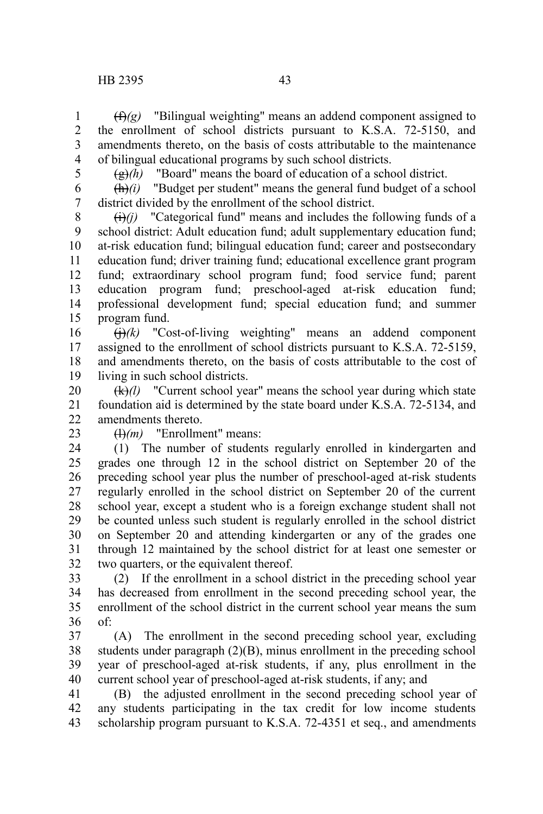(f)*(g)* "Bilingual weighting" means an addend component assigned to the enrollment of school districts pursuant to K.S.A. 72-5150, and amendments thereto, on the basis of costs attributable to the maintenance of bilingual educational programs by such school districts. 1 2 3 4

5

 $\left(\frac{g}{g}\right)$  "Board" means the board of education of a school district.

 $\frac{f(h)}{i}$  "Budget per student" means the general fund budget of a school district divided by the enrollment of the school district. 6 7

 $(i)(j)$  "Categorical fund" means and includes the following funds of a school district: Adult education fund; adult supplementary education fund; at-risk education fund; bilingual education fund; career and postsecondary education fund; driver training fund; educational excellence grant program fund; extraordinary school program fund; food service fund; parent education program fund; preschool-aged at-risk education fund; professional development fund; special education fund; and summer program fund. 8 9 10 11 12 13 14 15

 $\left(\frac{1}{1}\right)$  (k) "Cost-of-living weighting" means an addend component assigned to the enrollment of school districts pursuant to K.S.A. 72-5159, and amendments thereto, on the basis of costs attributable to the cost of living in such school districts. 16 17 18 19

(k)*(l)* "Current school year" means the school year during which state foundation aid is determined by the state board under K.S.A. 72-5134, and amendments thereto. 20 21 22

23

(l)*(m)* "Enrollment" means:

(1) The number of students regularly enrolled in kindergarten and grades one through 12 in the school district on September 20 of the preceding school year plus the number of preschool-aged at-risk students regularly enrolled in the school district on September 20 of the current school year, except a student who is a foreign exchange student shall not be counted unless such student is regularly enrolled in the school district on September 20 and attending kindergarten or any of the grades one through 12 maintained by the school district for at least one semester or two quarters, or the equivalent thereof. 24 25 26 27 28 29 30 31 32

(2) If the enrollment in a school district in the preceding school year has decreased from enrollment in the second preceding school year, the enrollment of the school district in the current school year means the sum of: 33 34 35 36

(A) The enrollment in the second preceding school year, excluding students under paragraph (2)(B), minus enrollment in the preceding school year of preschool-aged at-risk students, if any, plus enrollment in the current school year of preschool-aged at-risk students, if any; and 37 38 39 40

(B) the adjusted enrollment in the second preceding school year of any students participating in the tax credit for low income students scholarship program pursuant to K.S.A. 72-4351 et seq., and amendments 41 42 43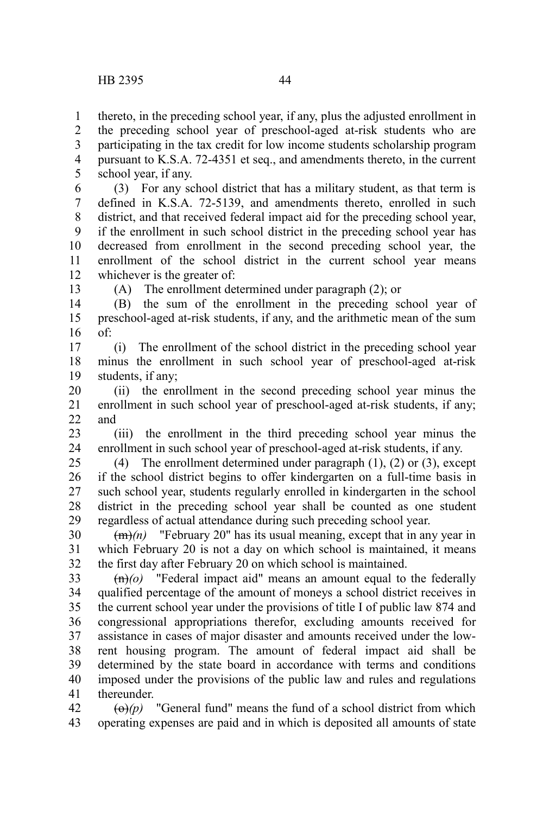thereto, in the preceding school year, if any, plus the adjusted enrollment in the preceding school year of preschool-aged at-risk students who are participating in the tax credit for low income students scholarship program pursuant to K.S.A. 72-4351 et seq., and amendments thereto, in the current school year, if any. 1 2 3 4 5

(3) For any school district that has a military student, as that term is defined in K.S.A. 72-5139, and amendments thereto, enrolled in such district, and that received federal impact aid for the preceding school year, if the enrollment in such school district in the preceding school year has decreased from enrollment in the second preceding school year, the enrollment of the school district in the current school year means whichever is the greater of: 6 7 8 9 10 11 12

13

(A) The enrollment determined under paragraph (2); or

(B) the sum of the enrollment in the preceding school year of preschool-aged at-risk students, if any, and the arithmetic mean of the sum of: 14 15 16

(i) The enrollment of the school district in the preceding school year minus the enrollment in such school year of preschool-aged at-risk students, if any; 17 18 19

(ii) the enrollment in the second preceding school year minus the enrollment in such school year of preschool-aged at-risk students, if any; and 20 21  $22$ 

(iii) the enrollment in the third preceding school year minus the enrollment in such school year of preschool-aged at-risk students, if any. 23 24

(4) The enrollment determined under paragraph (1), (2) or (3), except if the school district begins to offer kindergarten on a full-time basis in such school year, students regularly enrolled in kindergarten in the school district in the preceding school year shall be counted as one student regardless of actual attendance during such preceding school year. 25 26 27 28 29

 $(m)$  "February 20" has its usual meaning, except that in any year in which February 20 is not a day on which school is maintained, it means the first day after February 20 on which school is maintained. 30 31 32

(n)*(o)* "Federal impact aid" means an amount equal to the federally qualified percentage of the amount of moneys a school district receives in the current school year under the provisions of title I of public law 874 and congressional appropriations therefor, excluding amounts received for assistance in cases of major disaster and amounts received under the lowrent housing program. The amount of federal impact aid shall be determined by the state board in accordance with terms and conditions imposed under the provisions of the public law and rules and regulations thereunder. 33 34 35 36 37 38 39 40 41

 $\left(\Theta\right)(p)$  "General fund" means the fund of a school district from which operating expenses are paid and in which is deposited all amounts of state 42 43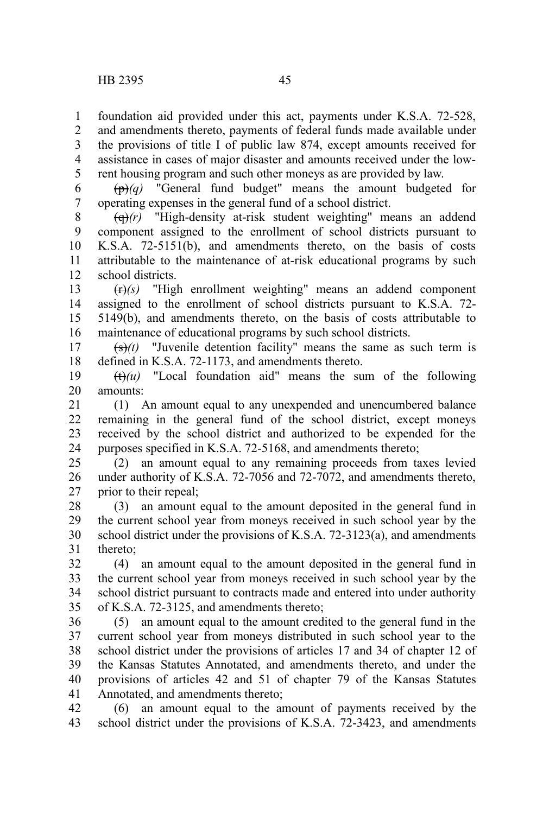foundation aid provided under this act, payments under K.S.A. 72-528, 1

and amendments thereto, payments of federal funds made available under the provisions of title I of public law 874, except amounts received for assistance in cases of major disaster and amounts received under the lowrent housing program and such other moneys as are provided by law. 2 3 4 5

(p)*(q)* "General fund budget" means the amount budgeted for operating expenses in the general fund of a school district. 6 7

(q)*(r)* "High-density at-risk student weighting" means an addend component assigned to the enrollment of school districts pursuant to K.S.A. 72-5151(b), and amendments thereto, on the basis of costs attributable to the maintenance of at-risk educational programs by such school districts. 8 9 10 11 12

(r)*(s)* "High enrollment weighting" means an addend component assigned to the enrollment of school districts pursuant to K.S.A. 72- 5149(b), and amendments thereto, on the basis of costs attributable to maintenance of educational programs by such school districts. 13 14 15 16

 $(\frac{\epsilon}{\epsilon})$ (t) "Juvenile detention facility" means the same as such term is defined in K.S.A. 72-1173, and amendments thereto. 17 18

 $(t)$   $(u)$  "Local foundation aid" means the sum of the following amounts: 19 20

(1) An amount equal to any unexpended and unencumbered balance remaining in the general fund of the school district, except moneys received by the school district and authorized to be expended for the purposes specified in K.S.A. 72-5168, and amendments thereto; 21 22 23 24

(2) an amount equal to any remaining proceeds from taxes levied under authority of K.S.A. 72-7056 and 72-7072, and amendments thereto, prior to their repeal; 25 26 27

(3) an amount equal to the amount deposited in the general fund in the current school year from moneys received in such school year by the school district under the provisions of K.S.A. 72-3123(a), and amendments thereto; 28 29 30 31

(4) an amount equal to the amount deposited in the general fund in the current school year from moneys received in such school year by the school district pursuant to contracts made and entered into under authority of K.S.A. 72-3125, and amendments thereto; 32 33 34 35

(5) an amount equal to the amount credited to the general fund in the current school year from moneys distributed in such school year to the school district under the provisions of articles 17 and 34 of chapter 12 of the Kansas Statutes Annotated, and amendments thereto, and under the provisions of articles 42 and 51 of chapter 79 of the Kansas Statutes Annotated, and amendments thereto; 36 37 38 39 40 41

(6) an amount equal to the amount of payments received by the school district under the provisions of K.S.A. 72-3423, and amendments 42 43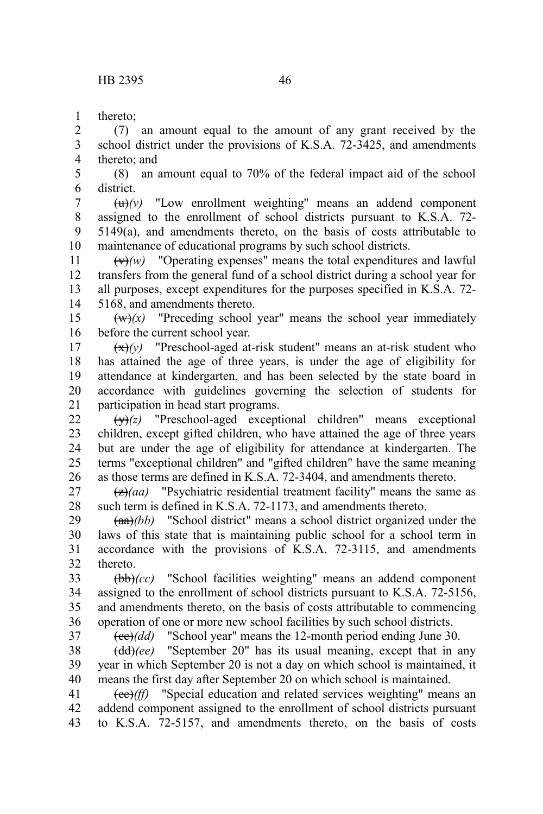thereto; 1

(7) an amount equal to the amount of any grant received by the school district under the provisions of K.S.A. 72-3425, and amendments thereto; and 2 3 4

(8) an amount equal to 70% of the federal impact aid of the school district. 5 6

 $\left(\frac{u}{v}\right)$  "Low enrollment weighting" means an addend component assigned to the enrollment of school districts pursuant to K.S.A. 72- 5149(a), and amendments thereto, on the basis of costs attributable to maintenance of educational programs by such school districts. 7 8 9 10

 $\left(\frac{v}{v}\right)$  "Operating expenses" means the total expenditures and lawful transfers from the general fund of a school district during a school year for all purposes, except expenditures for the purposes specified in K.S.A. 72- 5168, and amendments thereto. 11 12 13 14

 $(w)(x)$  "Preceding school year" means the school year immediately before the current school year. 15 16

 $\left(\frac{x}{x}\right)(y)$  "Preschool-aged at-risk student" means an at-risk student who has attained the age of three years, is under the age of eligibility for attendance at kindergarten, and has been selected by the state board in accordance with guidelines governing the selection of students for participation in head start programs. 17 18 19 20 21

(y)*(z)* "Preschool-aged exceptional children" means exceptional children, except gifted children, who have attained the age of three years but are under the age of eligibility for attendance at kindergarten. The terms "exceptional children" and "gifted children" have the same meaning as those terms are defined in K.S.A. 72-3404, and amendments thereto. 22 23 24 25 26

(z)*(aa)* "Psychiatric residential treatment facility" means the same as such term is defined in K.S.A. 72-1173, and amendments thereto. 27 28

(aa)*(bb)* "School district" means a school district organized under the laws of this state that is maintaining public school for a school term in accordance with the provisions of K.S.A. 72-3115, and amendments thereto. 29 30 31 32

(bb)*(cc)* "School facilities weighting" means an addend component assigned to the enrollment of school districts pursuant to K.S.A. 72-5156, and amendments thereto, on the basis of costs attributable to commencing operation of one or more new school facilities by such school districts. 33 34 35 36 37

(cc)*(dd)* "School year" means the 12-month period ending June 30.

(dd)*(ee)* "September 20" has its usual meaning, except that in any year in which September 20 is not a day on which school is maintained, it means the first day after September 20 on which school is maintained. 38 39 40

(ee)*(ff)* "Special education and related services weighting" means an addend component assigned to the enrollment of school districts pursuant to K.S.A. 72-5157, and amendments thereto, on the basis of costs 41 42 43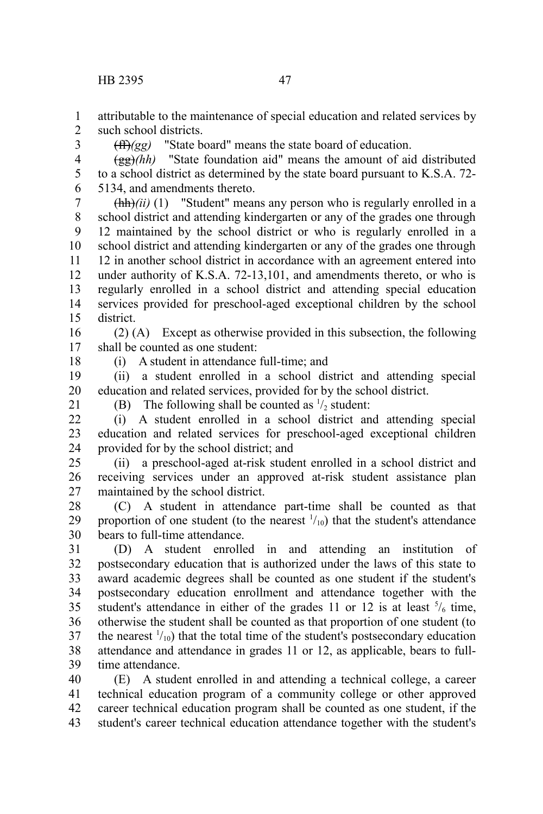attributable to the maintenance of special education and related services by such school districts. 1  $\mathcal{L}$ 

(ff)*(gg)* "State board" means the state board of education.

(gg)*(hh)* "State foundation aid" means the amount of aid distributed to a school district as determined by the state board pursuant to K.S.A. 72- 5134, and amendments thereto. 4 5 6

 $(\frac{h h}{i})$ (ii)<sup>(ii)</sup> (1) "Student" means any person who is regularly enrolled in a school district and attending kindergarten or any of the grades one through 12 maintained by the school district or who is regularly enrolled in a school district and attending kindergarten or any of the grades one through 12 in another school district in accordance with an agreement entered into under authority of K.S.A. 72-13,101, and amendments thereto, or who is regularly enrolled in a school district and attending special education services provided for preschool-aged exceptional children by the school district. 7 8 9 10 11 12 13 14 15

(2) (A) Except as otherwise provided in this subsection, the following shall be counted as one student: 16 17

18

3

(i) A student in attendance full-time; and

(ii) a student enrolled in a school district and attending special education and related services, provided for by the school district. 19 20

21

(B) The following shall be counted as  $\frac{1}{2}$  student:

(i) A student enrolled in a school district and attending special education and related services for preschool-aged exceptional children provided for by the school district; and  $22$ 23 24

(ii) a preschool-aged at-risk student enrolled in a school district and receiving services under an approved at-risk student assistance plan maintained by the school district. 25 26 27

(C) A student in attendance part-time shall be counted as that proportion of one student (to the nearest  $\frac{1}{10}$ ) that the student's attendance bears to full-time attendance. 28 29 30

(D) A student enrolled in and attending an institution of postsecondary education that is authorized under the laws of this state to award academic degrees shall be counted as one student if the student's postsecondary education enrollment and attendance together with the student's attendance in either of the grades 11 or 12 is at least  $\frac{5}{6}$  time, otherwise the student shall be counted as that proportion of one student (to the nearest  $\frac{1}{10}$  that the total time of the student's postsecondary education attendance and attendance in grades 11 or 12, as applicable, bears to fulltime attendance. 31 32 33 34 35 36 37 38 39

(E) A student enrolled in and attending a technical college, a career technical education program of a community college or other approved career technical education program shall be counted as one student, if the student's career technical education attendance together with the student's 40 41 42 43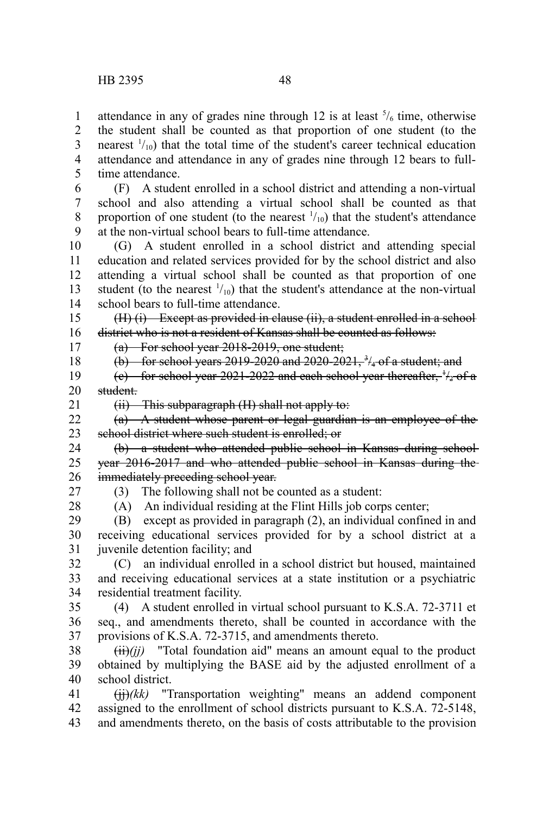attendance in any of grades nine through 12 is at least  $\frac{5}{6}$  time, otherwise the student shall be counted as that proportion of one student (to the nearest  $\frac{1}{10}$  that the total time of the student's career technical education attendance and attendance in any of grades nine through 12 bears to fulltime attendance. 1 2 3 4 5

(F) A student enrolled in a school district and attending a non-virtual school and also attending a virtual school shall be counted as that proportion of one student (to the nearest  $\frac{1}{10}$ ) that the student's attendance at the non-virtual school bears to full-time attendance. 6 7 8 9

(G) A student enrolled in a school district and attending special education and related services provided for by the school district and also attending a virtual school shall be counted as that proportion of one student (to the nearest  $\frac{1}{10}$ ) that the student's attendance at the non-virtual school bears to full-time attendance. 10 11 12 13 14

(H) (i) Except as provided in clause (ii), a student enrolled in a school district who is not a resident of Kansas shall be counted as follows: 15 16

17

(a) For school year 2018-2019, one student;

18 19

(b) for school years 2019-2020 and 2020-2021,  $\frac{3}{4}$  of a student; and (e) for school year 2021-2022 and each school year thereafter,  $\frac{1}{2}$  of a

student. 20

(ii) This subparagraph (H) shall not apply to: 21

(a) A student whose parent or legal guardian is an employee of the school district where such student is enrolled; or 22 23

(b) a student who attended public school in Kansas during school year 2016-2017 and who attended public school in Kansas during the immediately preceding school year. 24 25 26

27

(3) The following shall not be counted as a student:

28

(A) An individual residing at the Flint Hills job corps center;

(B) except as provided in paragraph (2), an individual confined in and receiving educational services provided for by a school district at a juvenile detention facility; and 29 30 31

(C) an individual enrolled in a school district but housed, maintained and receiving educational services at a state institution or a psychiatric residential treatment facility. 32 33 34

(4) A student enrolled in virtual school pursuant to K.S.A. 72-3711 et seq., and amendments thereto, shall be counted in accordance with the provisions of K.S.A. 72-3715, and amendments thereto. 35 36 37

 $(iii)(jj)$  "Total foundation aid" means an amount equal to the product obtained by multiplying the BASE aid by the adjusted enrollment of a school district. 38 39 40

(jj)*(kk)* "Transportation weighting" means an addend component assigned to the enrollment of school districts pursuant to K.S.A. 72-5148, and amendments thereto, on the basis of costs attributable to the provision 41 42 43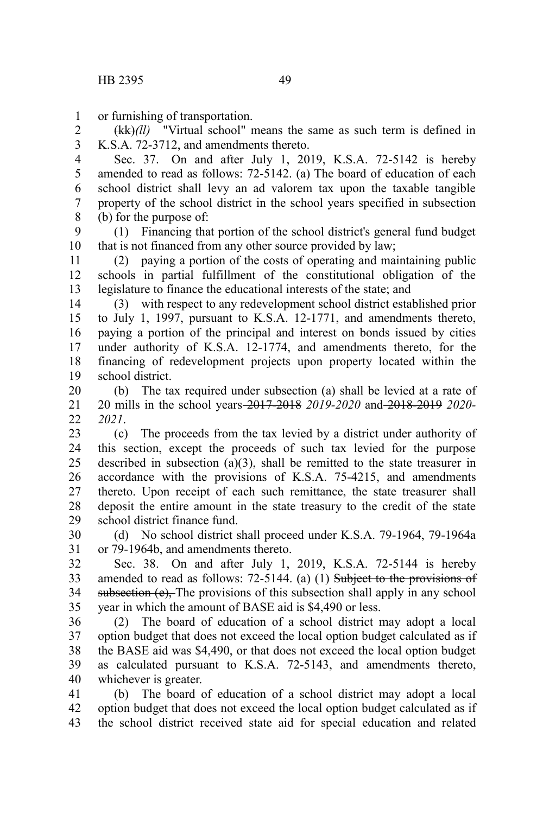or furnishing of transportation. 1

(kk)*(ll)* "Virtual school" means the same as such term is defined in K.S.A. 72-3712, and amendments thereto. 2 3

Sec. 37. On and after July 1, 2019, K.S.A. 72-5142 is hereby amended to read as follows: 72-5142. (a) The board of education of each school district shall levy an ad valorem tax upon the taxable tangible property of the school district in the school years specified in subsection (b) for the purpose of: 4 5 6 7 8

(1) Financing that portion of the school district's general fund budget that is not financed from any other source provided by law; 9 10

(2) paying a portion of the costs of operating and maintaining public schools in partial fulfillment of the constitutional obligation of the legislature to finance the educational interests of the state; and 11 12 13

(3) with respect to any redevelopment school district established prior to July 1, 1997, pursuant to K.S.A. 12-1771, and amendments thereto, paying a portion of the principal and interest on bonds issued by cities under authority of K.S.A. 12-1774, and amendments thereto, for the financing of redevelopment projects upon property located within the school district. 14 15 16 17 18 19

(b) The tax required under subsection (a) shall be levied at a rate of 20 mills in the school years 2017-2018 *2019-2020* and 2018-2019 *2020- 2021*. 20 21  $22$ 

(c) The proceeds from the tax levied by a district under authority of this section, except the proceeds of such tax levied for the purpose described in subsection (a)(3), shall be remitted to the state treasurer in accordance with the provisions of K.S.A. 75-4215, and amendments thereto. Upon receipt of each such remittance, the state treasurer shall deposit the entire amount in the state treasury to the credit of the state school district finance fund. 23 24 25 26 27 28 29

(d) No school district shall proceed under K.S.A. 79-1964, 79-1964a or 79-1964b, and amendments thereto. 30 31

Sec. 38. On and after July 1, 2019, K.S.A. 72-5144 is hereby amended to read as follows: 72-5144. (a) (1) Subject to the provisions of subsection  $(e)$ . The provisions of this subsection shall apply in any school year in which the amount of BASE aid is \$4,490 or less. 32 33 34 35

(2) The board of education of a school district may adopt a local option budget that does not exceed the local option budget calculated as if the BASE aid was \$4,490, or that does not exceed the local option budget as calculated pursuant to K.S.A. 72-5143, and amendments thereto, whichever is greater. 36 37 38 39 40

(b) The board of education of a school district may adopt a local option budget that does not exceed the local option budget calculated as if the school district received state aid for special education and related 41 42 43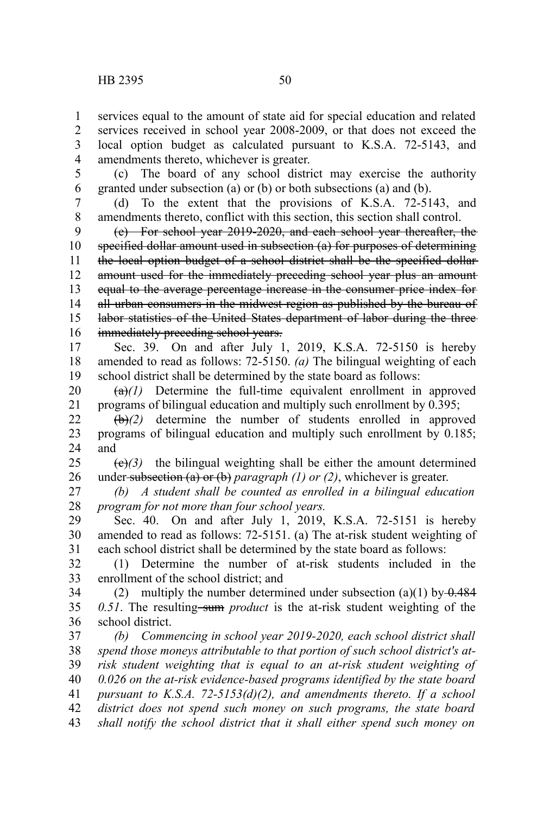services equal to the amount of state aid for special education and related services received in school year 2008-2009, or that does not exceed the local option budget as calculated pursuant to K.S.A. 72-5143, and amendments thereto, whichever is greater. 1 2 3 4

(c) The board of any school district may exercise the authority granted under subsection (a) or (b) or both subsections (a) and (b). 5 6

(d) To the extent that the provisions of K.S.A. 72-5143, and amendments thereto, conflict with this section, this section shall control. 7 8

(e) For school year 2019-2020, and each school year thereafter, the specified dollar amount used in subsection (a) for purposes of determining the local option budget of a school district shall be the specified dollaramount used for the immediately preceding school year plus an amount equal to the average percentage increase in the consumer price index for all urban consumers in the midwest region as published by the bureau of labor statistics of the United States department of labor during the threeimmediately preceding school years. 9 10 11 12 13 14 15 16

Sec. 39. On and after July 1, 2019, K.S.A. 72-5150 is hereby amended to read as follows: 72-5150. *(a)* The bilingual weighting of each school district shall be determined by the state board as follows: 17 18 19

 $(a)(1)$  Determine the full-time equivalent enrollment in approved programs of bilingual education and multiply such enrollment by 0.395; 20 21

(b)*(2)* determine the number of students enrolled in approved programs of bilingual education and multiply such enrollment by 0.185; and 22 23 24

 $\left(\frac{e}{f}\right)$  the bilingual weighting shall be either the amount determined under subsection (a) or (b) *paragraph (1) or (2)*, whichever is greater. 25 26

*(b) A student shall be counted as enrolled in a bilingual education program for not more than four school years.* 27 28

Sec. 40. On and after July 1, 2019, K.S.A. 72-5151 is hereby amended to read as follows: 72-5151. (a) The at-risk student weighting of each school district shall be determined by the state board as follows: 29 30 31

(1) Determine the number of at-risk students included in the enrollment of the school district; and 32 33

(2) multiply the number determined under subsection (a)(1) by  $\theta$ .484 *0.51*. The resulting sum *product* is the at-risk student weighting of the school district. 34 35 36

*(b) Commencing in school year 2019-2020, each school district shall spend those moneys attributable to that portion of such school district's atrisk student weighting that is equal to an at-risk student weighting of 0.026 on the at-risk evidence-based programs identified by the state board pursuant to K.S.A. 72-5153(d)(2), and amendments thereto. If a school district does not spend such money on such programs, the state board shall notify the school district that it shall either spend such money on* 37 38 39 40 41 42 43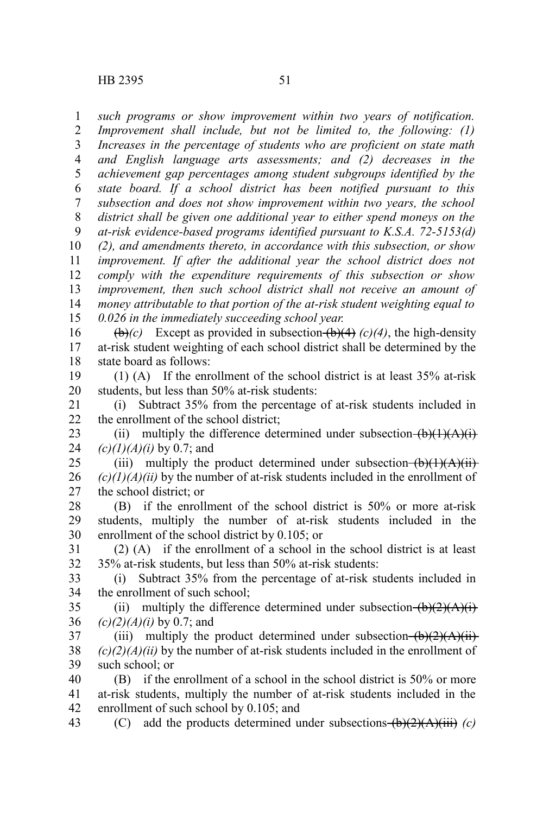*such programs or show improvement within two years of notification. Improvement shall include, but not be limited to, the following: (1) Increases in the percentage of students who are proficient on state math and English language arts assessments; and (2) decreases in the achievement gap percentages among student subgroups identified by the state board. If a school district has been notified pursuant to this subsection and does not show improvement within two years, the school district shall be given one additional year to either spend moneys on the at-risk evidence-based programs identified pursuant to K.S.A. 72-5153(d) (2), and amendments thereto, in accordance with this subsection, or show improvement. If after the additional year the school district does not comply with the expenditure requirements of this subsection or show improvement, then such school district shall not receive an amount of money attributable to that portion of the at-risk student weighting equal to 0.026 in the immediately succeeding school year.* 1 2 3 4 5 6 7 8 9 10 11 12 13 14 15

 $(\theta)$ *(c)* Except as provided in subsection  $(\theta)$ (4) (c)(4), the high-density at-risk student weighting of each school district shall be determined by the state board as follows: 16 17 18

(1) (A) If the enrollment of the school district is at least 35% at-risk students, but less than 50% at-risk students: 19 20

(i) Subtract 35% from the percentage of at-risk students included in the enrollment of the school district; 21 22

(ii) multiply the difference determined under subsection  $(b)(1)(A)(i)$ *(c)(1)(A)(i)* by 0.7; and 23 24

(iii) multiply the product determined under subsection  $(b)(1)(A)(ii)$  $(c)(1)(A)(ii)$  by the number of at-risk students included in the enrollment of the school district; or 25 26 27

(B) if the enrollment of the school district is 50% or more at-risk students, multiply the number of at-risk students included in the enrollment of the school district by 0.105; or 28 29 30

(2) (A) if the enrollment of a school in the school district is at least 35% at-risk students, but less than 50% at-risk students: 31 32

(i) Subtract 35% from the percentage of at-risk students included in the enrollment of such school; 33 34

(ii) multiply the difference determined under subsection  $(b)(2)(A)(i)$ *(c)(2)(A)(i)* by 0.7; and 35 36

(iii) multiply the product determined under subsection  $(b)(2)(A)(ii)$ *(c)(2)(A)(ii)* by the number of at-risk students included in the enrollment of such school; or 37 38 39

(B) if the enrollment of a school in the school district is 50% or more at-risk students, multiply the number of at-risk students included in the enrollment of such school by 0.105; and 40 41 42

(C) add the products determined under subsections (b)(2)(A)(iii) *(c)* 43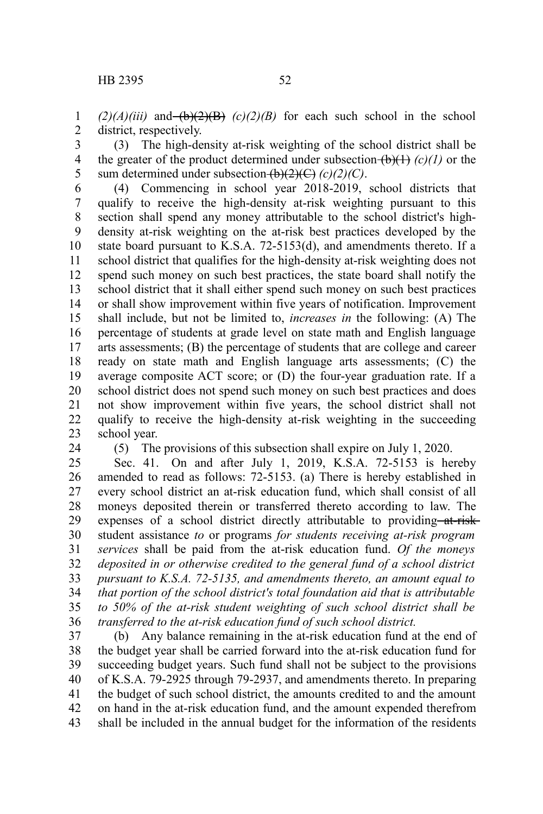$(2)(A)(iii)$  and  $(b)(2)(B)$   $(c)(2)(B)$  for each such school in the school district, respectively. 1 2

(3) The high-density at-risk weighting of the school district shall be the greater of the product determined under subsection  $(b)(1)$  (c)(1) or the sum determined under subsection  $\overline{(b)(2)(C)}$  *(c)(2)(C)*. 3 4 5

(4) Commencing in school year 2018-2019, school districts that qualify to receive the high-density at-risk weighting pursuant to this section shall spend any money attributable to the school district's highdensity at-risk weighting on the at-risk best practices developed by the state board pursuant to K.S.A. 72-5153(d), and amendments thereto. If a school district that qualifies for the high-density at-risk weighting does not spend such money on such best practices, the state board shall notify the school district that it shall either spend such money on such best practices or shall show improvement within five years of notification. Improvement shall include, but not be limited to, *increases in* the following: (A) The percentage of students at grade level on state math and English language arts assessments; (B) the percentage of students that are college and career ready on state math and English language arts assessments; (C) the average composite ACT score; or (D) the four-year graduation rate. If a school district does not spend such money on such best practices and does not show improvement within five years, the school district shall not qualify to receive the high-density at-risk weighting in the succeeding school year. 6 7 8 9 10 11 12 13 14 15 16 17 18 19 20 21 22 23

24

(5) The provisions of this subsection shall expire on July 1, 2020.

Sec. 41. On and after July 1, 2019, K.S.A. 72-5153 is hereby amended to read as follows: 72-5153. (a) There is hereby established in every school district an at-risk education fund, which shall consist of all moneys deposited therein or transferred thereto according to law. The expenses of a school district directly attributable to providing at-riskstudent assistance *to* or programs *for students receiving at-risk program services* shall be paid from the at-risk education fund. *Of the moneys deposited in or otherwise credited to the general fund of a school district pursuant to K.S.A. 72-5135, and amendments thereto, an amount equal to that portion of the school district's total foundation aid that is attributable to 50% of the at-risk student weighting of such school district shall be transferred to the at-risk education fund of such school district.* 25 26 27 28 29 30 31 32 33 34 35 36

(b) Any balance remaining in the at-risk education fund at the end of the budget year shall be carried forward into the at-risk education fund for succeeding budget years. Such fund shall not be subject to the provisions of K.S.A. 79-2925 through 79-2937, and amendments thereto. In preparing the budget of such school district, the amounts credited to and the amount on hand in the at-risk education fund, and the amount expended therefrom shall be included in the annual budget for the information of the residents 37 38 39 40 41 42 43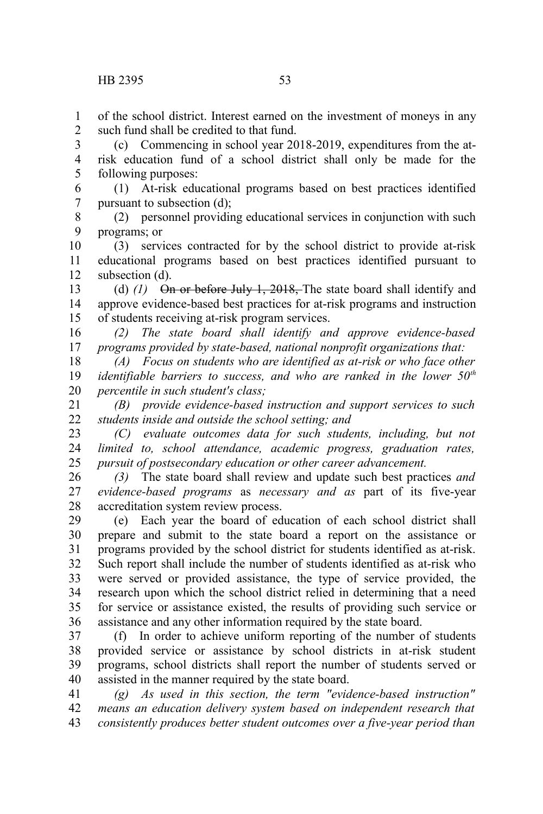of the school district. Interest earned on the investment of moneys in any such fund shall be credited to that fund. 1  $\mathcal{L}$ 

(c) Commencing in school year 2018-2019, expenditures from the atrisk education fund of a school district shall only be made for the following purposes: 3 4 5

(1) At-risk educational programs based on best practices identified pursuant to subsection (d); 6 7

(2) personnel providing educational services in conjunction with such programs; or 8 9

(3) services contracted for by the school district to provide at-risk educational programs based on best practices identified pursuant to subsection (d). 10 11 12

(d) *(1)* On or before July 1, 2018, The state board shall identify and approve evidence-based best practices for at-risk programs and instruction of students receiving at-risk program services. 13 14 15

*(2) The state board shall identify and approve evidence-based programs provided by state-based, national nonprofit organizations that:* 16 17

*(A) Focus on students who are identified as at-risk or who face other identifiable barriers to success, and who are ranked in the lower 50th percentile in such student's class;* 18 19 20

*(B) provide evidence-based instruction and support services to such students inside and outside the school setting; and* 21 22

*(C) evaluate outcomes data for such students, including, but not limited to, school attendance, academic progress, graduation rates, pursuit of postsecondary education or other career advancement.* 23 24 25

*(3)* The state board shall review and update such best practices *and evidence-based programs* as *necessary and as* part of its five-year accreditation system review process. 26 27 28

(e) Each year the board of education of each school district shall prepare and submit to the state board a report on the assistance or programs provided by the school district for students identified as at-risk. Such report shall include the number of students identified as at-risk who were served or provided assistance, the type of service provided, the research upon which the school district relied in determining that a need for service or assistance existed, the results of providing such service or assistance and any other information required by the state board. 29 30 31 32 33 34 35 36

(f) In order to achieve uniform reporting of the number of students provided service or assistance by school districts in at-risk student programs, school districts shall report the number of students served or assisted in the manner required by the state board. 37 38 39 40

*(g) As used in this section, the term "evidence-based instruction" means an education delivery system based on independent research that consistently produces better student outcomes over a five-year period than* 41 42 43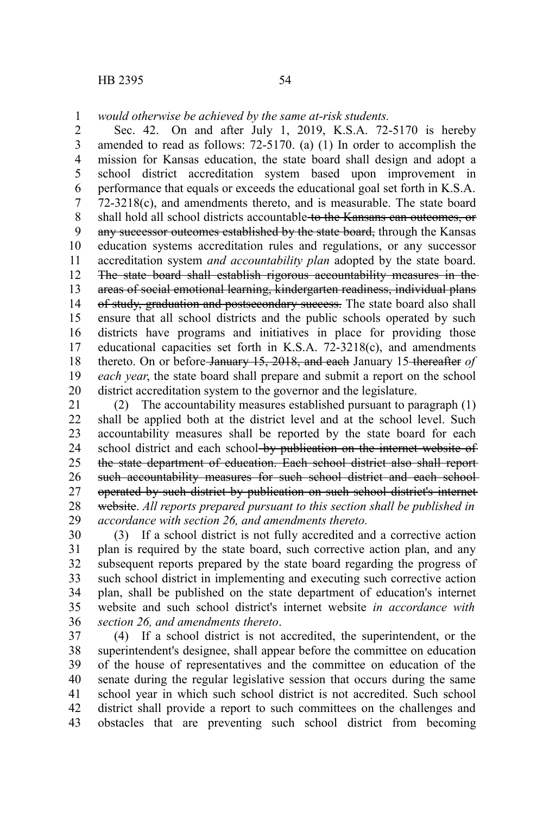*would otherwise be achieved by the same at-risk students.* 1

Sec. 42. On and after July 1, 2019, K.S.A. 72-5170 is hereby amended to read as follows: 72-5170. (a) (1) In order to accomplish the mission for Kansas education, the state board shall design and adopt a school district accreditation system based upon improvement in performance that equals or exceeds the educational goal set forth in K.S.A. 72-3218(c), and amendments thereto, and is measurable. The state board shall hold all school districts accountable to the Kansans can outcomes, or any successor outcomes established by the state board, through the Kansas education systems accreditation rules and regulations, or any successor accreditation system *and accountability plan* adopted by the state board. The state board shall establish rigorous accountability measures in the areas of social emotional learning, kindergarten readiness, individual plans of study, graduation and postsecondary success. The state board also shall ensure that all school districts and the public schools operated by such districts have programs and initiatives in place for providing those educational capacities set forth in K.S.A. 72-3218(c), and amendments thereto. On or before January 15, 2018, and each January 15 thereafter *of each year*, the state board shall prepare and submit a report on the school district accreditation system to the governor and the legislature. 2 3 4 5 6 7 8 9 10 11 12 13 14 15 16 17 18 19 20

(2) The accountability measures established pursuant to paragraph (1) shall be applied both at the district level and at the school level. Such accountability measures shall be reported by the state board for each school district and each school by publication on the internet website of the state department of education. Each school district also shall report such accountability measures for such school district and each schooloperated by such district by publication on such school district's internet website. *All reports prepared pursuant to this section shall be published in accordance with section 26, and amendments thereto.* 21 22 23 24 25 26 27 28 29

(3) If a school district is not fully accredited and a corrective action plan is required by the state board, such corrective action plan, and any subsequent reports prepared by the state board regarding the progress of such school district in implementing and executing such corrective action plan, shall be published on the state department of education's internet website and such school district's internet website *in accordance with section 26, and amendments thereto*. 30 31 32 33 34 35 36

(4) If a school district is not accredited, the superintendent, or the superintendent's designee, shall appear before the committee on education of the house of representatives and the committee on education of the senate during the regular legislative session that occurs during the same school year in which such school district is not accredited. Such school district shall provide a report to such committees on the challenges and obstacles that are preventing such school district from becoming 37 38 39 40 41 42 43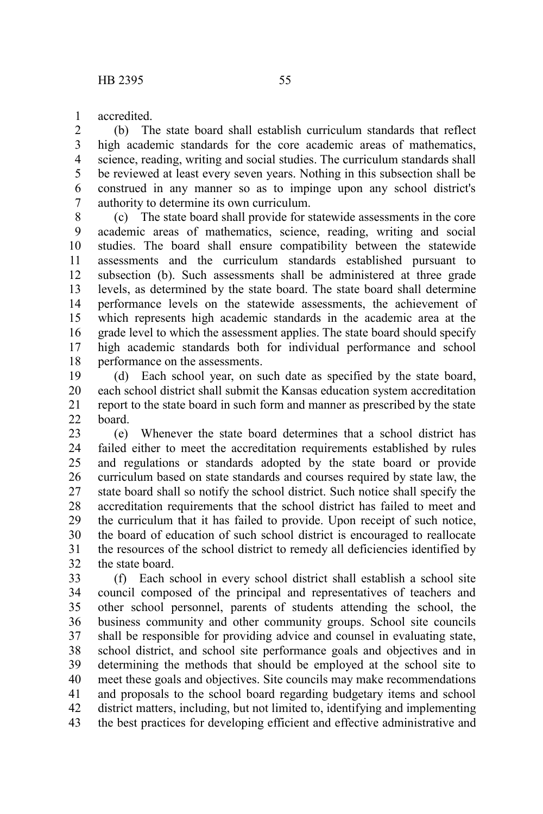accredited. 1

(b) The state board shall establish curriculum standards that reflect high academic standards for the core academic areas of mathematics, science, reading, writing and social studies. The curriculum standards shall be reviewed at least every seven years. Nothing in this subsection shall be construed in any manner so as to impinge upon any school district's authority to determine its own curriculum. 2 3 4 5 6 7

(c) The state board shall provide for statewide assessments in the core academic areas of mathematics, science, reading, writing and social studies. The board shall ensure compatibility between the statewide assessments and the curriculum standards established pursuant to subsection (b). Such assessments shall be administered at three grade levels, as determined by the state board. The state board shall determine performance levels on the statewide assessments, the achievement of which represents high academic standards in the academic area at the grade level to which the assessment applies. The state board should specify high academic standards both for individual performance and school performance on the assessments. 8 9 10 11 12 13 14 15 16 17 18

(d) Each school year, on such date as specified by the state board, each school district shall submit the Kansas education system accreditation report to the state board in such form and manner as prescribed by the state board. 19 20 21  $22$ 

(e) Whenever the state board determines that a school district has failed either to meet the accreditation requirements established by rules and regulations or standards adopted by the state board or provide curriculum based on state standards and courses required by state law, the state board shall so notify the school district. Such notice shall specify the accreditation requirements that the school district has failed to meet and the curriculum that it has failed to provide. Upon receipt of such notice, the board of education of such school district is encouraged to reallocate the resources of the school district to remedy all deficiencies identified by the state board. 23 24 25 26 27 28 29 30 31 32

(f) Each school in every school district shall establish a school site council composed of the principal and representatives of teachers and other school personnel, parents of students attending the school, the business community and other community groups. School site councils shall be responsible for providing advice and counsel in evaluating state, school district, and school site performance goals and objectives and in determining the methods that should be employed at the school site to meet these goals and objectives. Site councils may make recommendations and proposals to the school board regarding budgetary items and school district matters, including, but not limited to, identifying and implementing the best practices for developing efficient and effective administrative and 33 34 35 36 37 38 39 40 41 42 43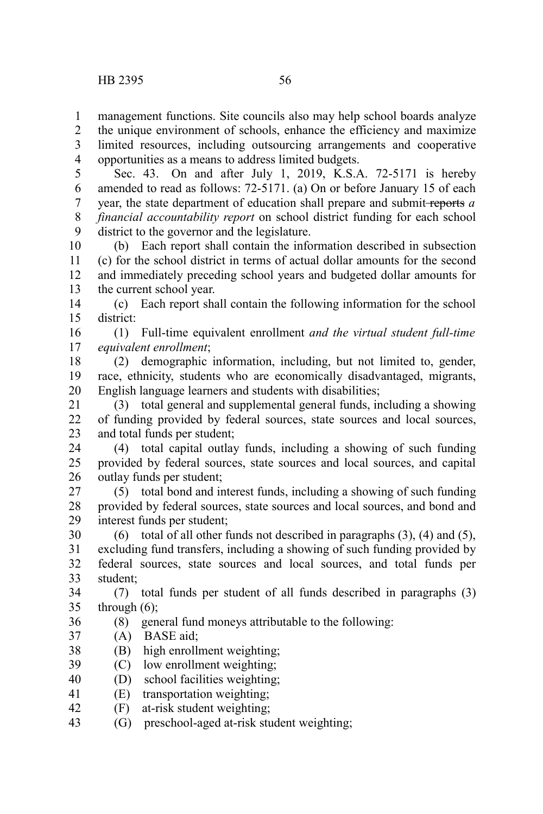management functions. Site councils also may help school boards analyze 1

the unique environment of schools, enhance the efficiency and maximize limited resources, including outsourcing arrangements and cooperative 2 3

opportunities as a means to address limited budgets. 4

Sec. 43. On and after July 1, 2019, K.S.A. 72-5171 is hereby amended to read as follows: 72-5171. (a) On or before January 15 of each year, the state department of education shall prepare and submit reports *a financial accountability report* on school district funding for each school district to the governor and the legislature. 5 6 7 8 9

(b) Each report shall contain the information described in subsection (c) for the school district in terms of actual dollar amounts for the second and immediately preceding school years and budgeted dollar amounts for the current school year. 10 11 12 13

(c) Each report shall contain the following information for the school district: 14 15

(1) Full-time equivalent enrollment *and the virtual student full-time equivalent enrollment*; 16 17

(2) demographic information, including, but not limited to, gender, race, ethnicity, students who are economically disadvantaged, migrants, English language learners and students with disabilities; 18 19 20

(3) total general and supplemental general funds, including a showing of funding provided by federal sources, state sources and local sources, and total funds per student; 21 22 23

(4) total capital outlay funds, including a showing of such funding provided by federal sources, state sources and local sources, and capital outlay funds per student; 24 25 26

(5) total bond and interest funds, including a showing of such funding provided by federal sources, state sources and local sources, and bond and interest funds per student; 27 28 29

(6) total of all other funds not described in paragraphs  $(3)$ ,  $(4)$  and  $(5)$ , excluding fund transfers, including a showing of such funding provided by federal sources, state sources and local sources, and total funds per student; 30 31 32 33

(7) total funds per student of all funds described in paragraphs (3) through (6); 34 35

- (8) general fund moneys attributable to the following: 36
- (A) BASE aid; 37
- (B) high enrollment weighting; 38
- (C) low enrollment weighting; 39
- (D) school facilities weighting; 40
- (E) transportation weighting; 41
- (F) at-risk student weighting; 42
- (G) preschool-aged at-risk student weighting; 43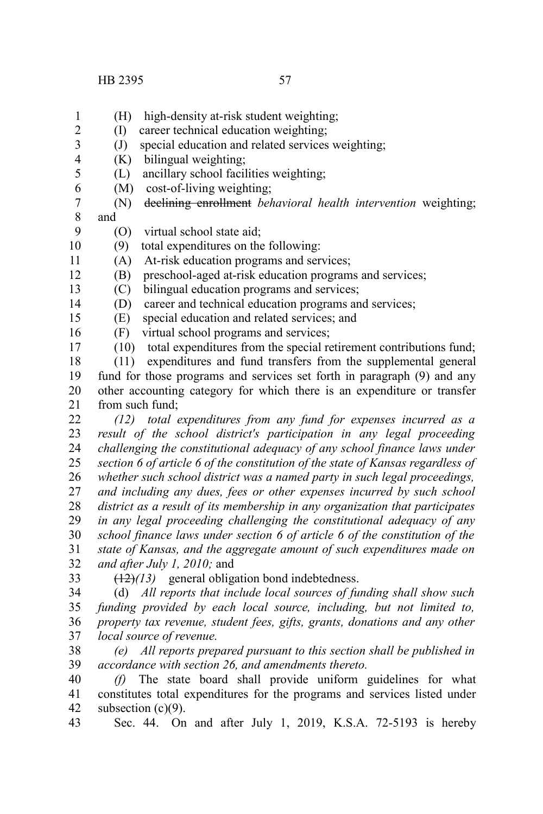- (H) high-density at-risk student weighting; 1
- (I) career technical education weighting; 2
- $J$  special education and related services weighting; 3
- (K) bilingual weighting; 4
- (L) ancillary school facilities weighting; 5
- (M) cost-of-living weighting; 6
- (N) declining enrollment *behavioral health intervention* weighting; and 7 8
- (O) virtual school state aid; 9
- (9) total expenditures on the following: 10
- (A) At-risk education programs and services; 11
- (B) preschool-aged at-risk education programs and services; 12
- (C) bilingual education programs and services; 13
- (D) career and technical education programs and services; 14
- (E) special education and related services; and 15
- (F) virtual school programs and services; 16
- (10) total expenditures from the special retirement contributions fund; 17

 $(11)$  expenditures and fund transfers from the supplemental general fund for those programs and services set forth in paragraph (9) and any other accounting category for which there is an expenditure or transfer from such fund; 18 19 20 21

- *(12) total expenditures from any fund for expenses incurred as a result of the school district's participation in any legal proceeding challenging the constitutional adequacy of any school finance laws under section 6 of article 6 of the constitution of the state of Kansas regardless of whether such school district was a named party in such legal proceedings, and including any dues, fees or other expenses incurred by such school district as a result of its membership in any organization that participates in any legal proceeding challenging the constitutional adequacy of any* 22 23 24 25 26 27 28 29
- *school finance laws under section 6 of article 6 of the constitution of the state of Kansas, and the aggregate amount of such expenditures made on and after July 1, 2010;* and 30 31 32
- 33
- (12)*(13)* general obligation bond indebtedness.
- (d) *All reports that include local sources of funding shall show such funding provided by each local source, including, but not limited to, property tax revenue, student fees, gifts, grants, donations and any other local source of revenue.* 34 35 36 37
- *(e) All reports prepared pursuant to this section shall be published in accordance with section 26, and amendments thereto.* 38 39
- *(f)* The state board shall provide uniform guidelines for what constitutes total expenditures for the programs and services listed under subsection (c)(9). 40 41 42
- Sec. 44. On and after July 1, 2019, K.S.A. 72-5193 is hereby 43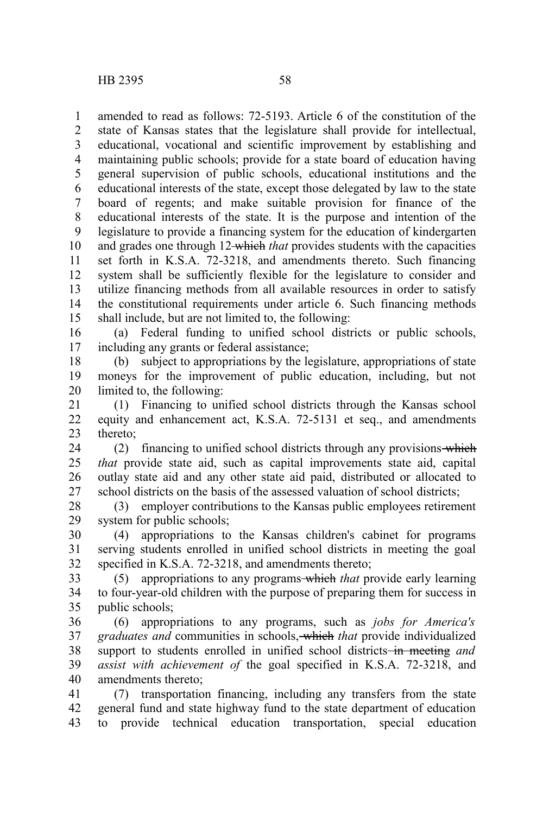amended to read as follows: 72-5193. Article 6 of the constitution of the state of Kansas states that the legislature shall provide for intellectual, educational, vocational and scientific improvement by establishing and maintaining public schools; provide for a state board of education having general supervision of public schools, educational institutions and the educational interests of the state, except those delegated by law to the state board of regents; and make suitable provision for finance of the educational interests of the state. It is the purpose and intention of the legislature to provide a financing system for the education of kindergarten and grades one through 12 which *that* provides students with the capacities set forth in K.S.A. 72-3218, and amendments thereto. Such financing system shall be sufficiently flexible for the legislature to consider and utilize financing methods from all available resources in order to satisfy the constitutional requirements under article 6. Such financing methods shall include, but are not limited to, the following: 1 2 3 4 5 6 7 8 9 10 11 12 13 14 15

(a) Federal funding to unified school districts or public schools, including any grants or federal assistance; 16 17

(b) subject to appropriations by the legislature, appropriations of state moneys for the improvement of public education, including, but not limited to, the following: 18 19 20

(1) Financing to unified school districts through the Kansas school equity and enhancement act, K.S.A. 72-5131 et seq., and amendments thereto; 21 22 23

(2) financing to unified school districts through any provisions which *that* provide state aid, such as capital improvements state aid, capital outlay state aid and any other state aid paid, distributed or allocated to school districts on the basis of the assessed valuation of school districts; 24 25 26 27

(3) employer contributions to the Kansas public employees retirement system for public schools; 28 29

(4) appropriations to the Kansas children's cabinet for programs serving students enrolled in unified school districts in meeting the goal specified in K.S.A. 72-3218, and amendments thereto; 30 31 32

(5) appropriations to any programs which *that* provide early learning to four-year-old children with the purpose of preparing them for success in public schools; 33 34 35

(6) appropriations to any programs, such as *jobs for America's graduates and* communities in schools, which *that* provide individualized support to students enrolled in unified school districts<del> in meeting</del> and *assist with achievement of* the goal specified in K.S.A. 72-3218, and amendments thereto; 36 37 38 39 40

(7) transportation financing, including any transfers from the state general fund and state highway fund to the state department of education to provide technical education transportation, special education 41 42 43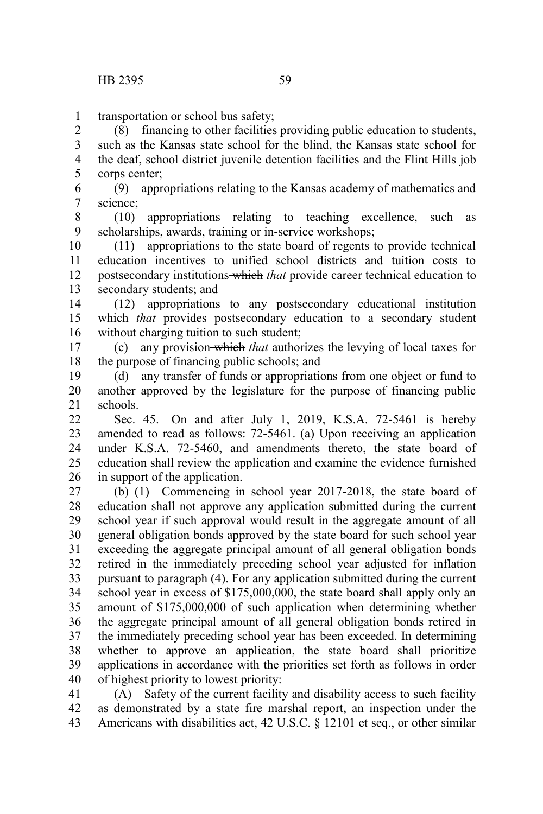1

transportation or school bus safety;

(8) financing to other facilities providing public education to students, such as the Kansas state school for the blind, the Kansas state school for the deaf, school district juvenile detention facilities and the Flint Hills job corps center; 2 3 4 5

(9) appropriations relating to the Kansas academy of mathematics and science; 6 7

(10) appropriations relating to teaching excellence, such as scholarships, awards, training or in-service workshops; 8 9

(11) appropriations to the state board of regents to provide technical education incentives to unified school districts and tuition costs to postsecondary institutions which *that* provide career technical education to secondary students; and 10 11 12 13

(12) appropriations to any postsecondary educational institution which that provides postsecondary education to a secondary student without charging tuition to such student; 14 15 16

(c) any provision which *that* authorizes the levying of local taxes for the purpose of financing public schools; and 17 18

(d) any transfer of funds or appropriations from one object or fund to another approved by the legislature for the purpose of financing public schools. 19 20 21

Sec. 45. On and after July 1, 2019, K.S.A. 72-5461 is hereby amended to read as follows: 72-5461. (a) Upon receiving an application under K.S.A. 72-5460, and amendments thereto, the state board of education shall review the application and examine the evidence furnished in support of the application.  $22$ 23 24 25 26

(b) (1) Commencing in school year 2017-2018, the state board of education shall not approve any application submitted during the current school year if such approval would result in the aggregate amount of all general obligation bonds approved by the state board for such school year exceeding the aggregate principal amount of all general obligation bonds retired in the immediately preceding school year adjusted for inflation pursuant to paragraph (4). For any application submitted during the current school year in excess of \$175,000,000, the state board shall apply only an amount of \$175,000,000 of such application when determining whether the aggregate principal amount of all general obligation bonds retired in the immediately preceding school year has been exceeded. In determining whether to approve an application, the state board shall prioritize applications in accordance with the priorities set forth as follows in order of highest priority to lowest priority: 27 28 29 30 31 32 33 34 35 36 37 38 39 40

(A) Safety of the current facility and disability access to such facility as demonstrated by a state fire marshal report, an inspection under the Americans with disabilities act, 42 U.S.C. § 12101 et seq., or other similar 41 42 43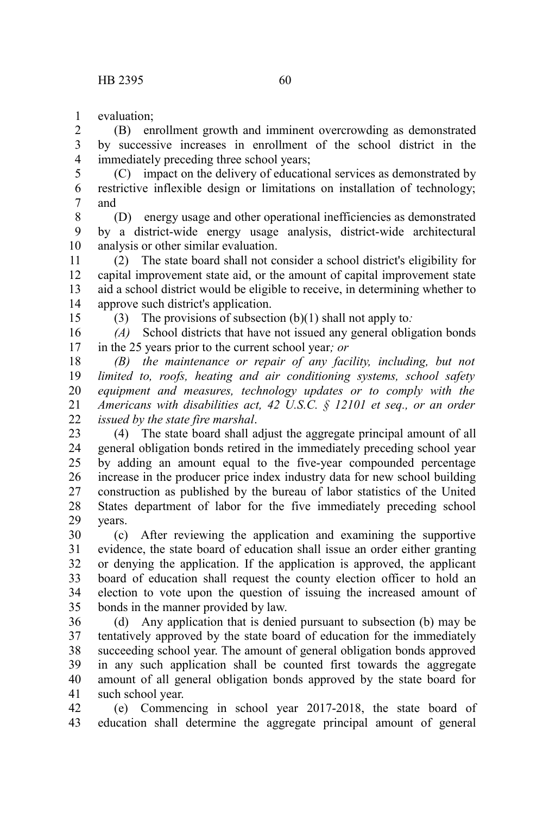evaluation; 1

(B) enrollment growth and imminent overcrowding as demonstrated by successive increases in enrollment of the school district in the immediately preceding three school years; 2 3 4

(C) impact on the delivery of educational services as demonstrated by restrictive inflexible design or limitations on installation of technology; and 5 6 7

(D) energy usage and other operational inefficiencies as demonstrated by a district-wide energy usage analysis, district-wide architectural analysis or other similar evaluation. 8 9 10

(2) The state board shall not consider a school district's eligibility for capital improvement state aid, or the amount of capital improvement state aid a school district would be eligible to receive, in determining whether to approve such district's application. 11 12 13 14 15

(3) The provisions of subsection (b)(1) shall not apply to*:*

*(A)* School districts that have not issued any general obligation bonds in the 25 years prior to the current school year*; or* 16 17

*(B) the maintenance or repair of any facility, including, but not limited to, roofs, heating and air conditioning systems, school safety equipment and measures, technology updates or to comply with the Americans with disabilities act, 42 U.S.C. § 12101 et seq., or an order issued by the state fire marshal*. 18 19 20 21 22

(4) The state board shall adjust the aggregate principal amount of all general obligation bonds retired in the immediately preceding school year by adding an amount equal to the five-year compounded percentage increase in the producer price index industry data for new school building construction as published by the bureau of labor statistics of the United States department of labor for the five immediately preceding school years. 23 24 25 26 27 28 29

(c) After reviewing the application and examining the supportive evidence, the state board of education shall issue an order either granting or denying the application. If the application is approved, the applicant board of education shall request the county election officer to hold an election to vote upon the question of issuing the increased amount of bonds in the manner provided by law. 30 31 32 33 34 35

(d) Any application that is denied pursuant to subsection (b) may be tentatively approved by the state board of education for the immediately succeeding school year. The amount of general obligation bonds approved in any such application shall be counted first towards the aggregate amount of all general obligation bonds approved by the state board for such school year. 36 37 38 39 40 41

(e) Commencing in school year 2017-2018, the state board of education shall determine the aggregate principal amount of general 42 43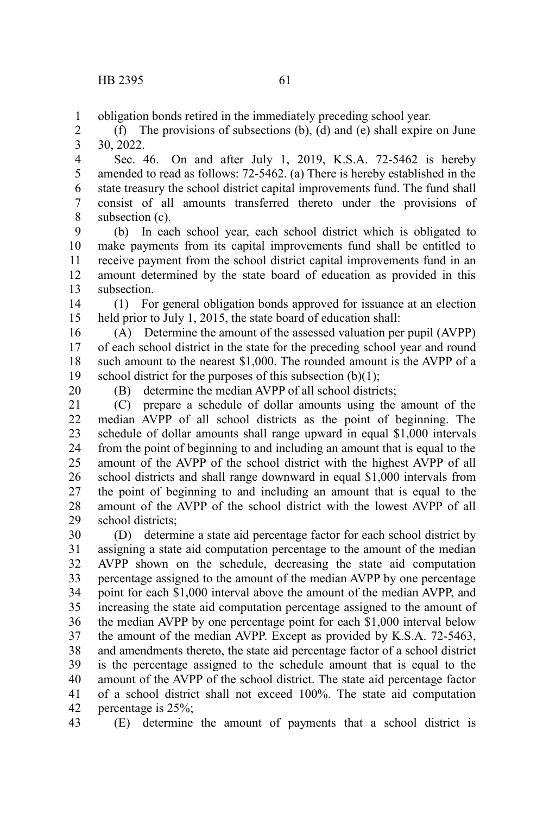obligation bonds retired in the immediately preceding school year. 1

(f) The provisions of subsections (b), (d) and (e) shall expire on June 30, 2022. 2 3

Sec. 46. On and after July 1, 2019, K.S.A. 72-5462 is hereby amended to read as follows: 72-5462. (a) There is hereby established in the state treasury the school district capital improvements fund. The fund shall consist of all amounts transferred thereto under the provisions of subsection (c). 4 5 6 7 8

(b) In each school year, each school district which is obligated to make payments from its capital improvements fund shall be entitled to receive payment from the school district capital improvements fund in an amount determined by the state board of education as provided in this subsection. 9 10 11 12 13

(1) For general obligation bonds approved for issuance at an election held prior to July 1, 2015, the state board of education shall: 14 15

(A) Determine the amount of the assessed valuation per pupil (AVPP) of each school district in the state for the preceding school year and round such amount to the nearest \$1,000. The rounded amount is the AVPP of a school district for the purposes of this subsection  $(b)(1)$ ; 16 17 18 19

20

(B) determine the median AVPP of all school districts;

(C) prepare a schedule of dollar amounts using the amount of the median AVPP of all school districts as the point of beginning. The schedule of dollar amounts shall range upward in equal \$1,000 intervals from the point of beginning to and including an amount that is equal to the amount of the AVPP of the school district with the highest AVPP of all school districts and shall range downward in equal \$1,000 intervals from the point of beginning to and including an amount that is equal to the amount of the AVPP of the school district with the lowest AVPP of all school districts; 21 22 23 24 25 26 27 28 29

(D) determine a state aid percentage factor for each school district by assigning a state aid computation percentage to the amount of the median AVPP shown on the schedule, decreasing the state aid computation percentage assigned to the amount of the median AVPP by one percentage point for each \$1,000 interval above the amount of the median AVPP, and increasing the state aid computation percentage assigned to the amount of the median AVPP by one percentage point for each \$1,000 interval below the amount of the median AVPP. Except as provided by K.S.A. 72-5463, and amendments thereto, the state aid percentage factor of a school district is the percentage assigned to the schedule amount that is equal to the amount of the AVPP of the school district. The state aid percentage factor of a school district shall not exceed 100%. The state aid computation percentage is 25%; 30 31 32 33 34 35 36 37 38 39 40 41 42

(E) determine the amount of payments that a school district is 43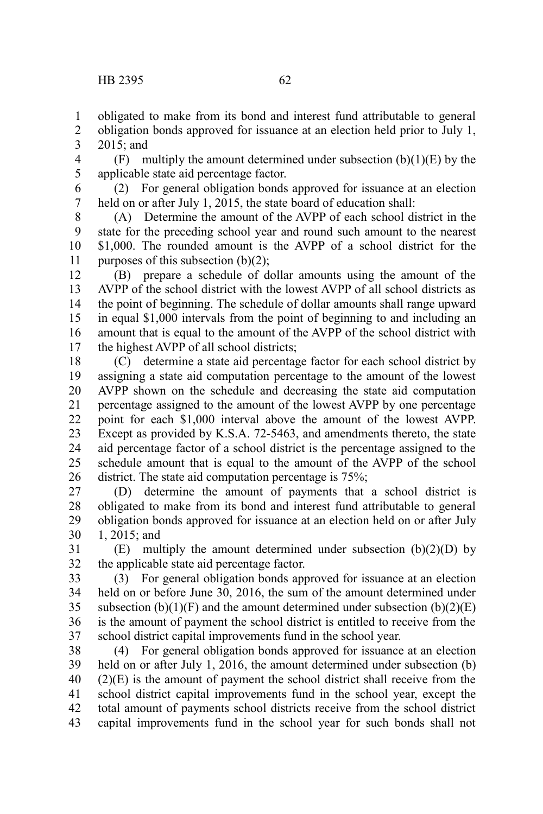obligated to make from its bond and interest fund attributable to general 1

- obligation bonds approved for issuance at an election held prior to July 1, 2015; and 2 3
- (F) multiply the amount determined under subsection  $(b)(1)(E)$  by the applicable state aid percentage factor. 4 5
- (2) For general obligation bonds approved for issuance at an election held on or after July 1, 2015, the state board of education shall: 6 7
- (A) Determine the amount of the AVPP of each school district in the state for the preceding school year and round such amount to the nearest \$1,000. The rounded amount is the AVPP of a school district for the purposes of this subsection  $(b)(2)$ ; 8 9 10 11
- (B) prepare a schedule of dollar amounts using the amount of the AVPP of the school district with the lowest AVPP of all school districts as the point of beginning. The schedule of dollar amounts shall range upward in equal \$1,000 intervals from the point of beginning to and including an amount that is equal to the amount of the AVPP of the school district with the highest AVPP of all school districts; 12 13 14 15 16 17
- (C) determine a state aid percentage factor for each school district by assigning a state aid computation percentage to the amount of the lowest AVPP shown on the schedule and decreasing the state aid computation percentage assigned to the amount of the lowest AVPP by one percentage point for each \$1,000 interval above the amount of the lowest AVPP. Except as provided by K.S.A. 72-5463, and amendments thereto, the state aid percentage factor of a school district is the percentage assigned to the schedule amount that is equal to the amount of the AVPP of the school district. The state aid computation percentage is 75%; 18 19 20 21 22 23 24 25 26
- (D) determine the amount of payments that a school district is obligated to make from its bond and interest fund attributable to general obligation bonds approved for issuance at an election held on or after July 1, 2015; and 27 28 29 30
- $(E)$  multiply the amount determined under subsection  $(b)(2)(D)$  by the applicable state aid percentage factor. 31 32
- (3) For general obligation bonds approved for issuance at an election held on or before June 30, 2016, the sum of the amount determined under subsection  $(b)(1)(F)$  and the amount determined under subsection  $(b)(2)(E)$ is the amount of payment the school district is entitled to receive from the school district capital improvements fund in the school year. 33 34 35 36 37
- (4) For general obligation bonds approved for issuance at an election held on or after July 1, 2016, the amount determined under subsection (b)  $(2)(E)$  is the amount of payment the school district shall receive from the school district capital improvements fund in the school year, except the total amount of payments school districts receive from the school district capital improvements fund in the school year for such bonds shall not 38 39 40 41 42 43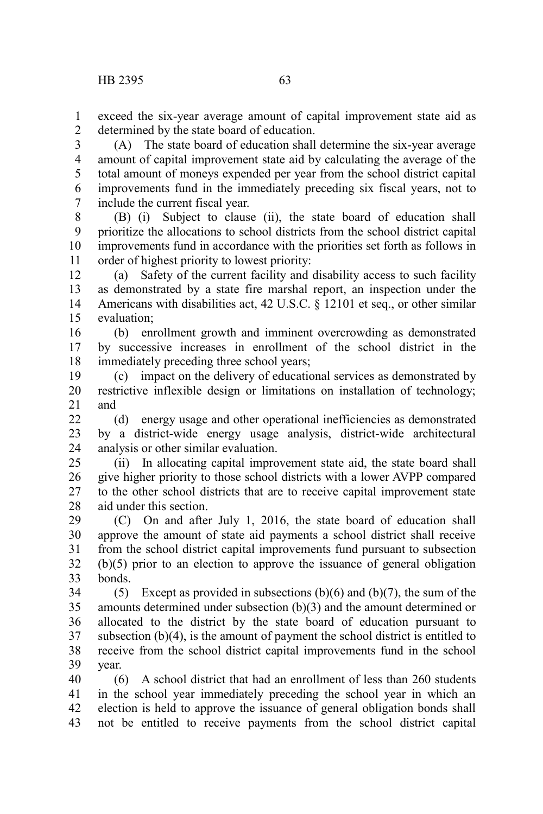exceed the six-year average amount of capital improvement state aid as determined by the state board of education. 1  $\mathcal{L}$ 

(A) The state board of education shall determine the six-year average amount of capital improvement state aid by calculating the average of the total amount of moneys expended per year from the school district capital improvements fund in the immediately preceding six fiscal years, not to include the current fiscal year. 3 4 5 6 7

(B) (i) Subject to clause (ii), the state board of education shall prioritize the allocations to school districts from the school district capital improvements fund in accordance with the priorities set forth as follows in order of highest priority to lowest priority: 8 9 10 11

(a) Safety of the current facility and disability access to such facility as demonstrated by a state fire marshal report, an inspection under the Americans with disabilities act, 42 U.S.C. § 12101 et seq., or other similar evaluation; 12 13 14 15

(b) enrollment growth and imminent overcrowding as demonstrated by successive increases in enrollment of the school district in the immediately preceding three school years; 16 17 18

(c) impact on the delivery of educational services as demonstrated by restrictive inflexible design or limitations on installation of technology; and 19 20 21

(d) energy usage and other operational inefficiencies as demonstrated by a district-wide energy usage analysis, district-wide architectural analysis or other similar evaluation.  $22$ 23 24

(ii) In allocating capital improvement state aid, the state board shall give higher priority to those school districts with a lower AVPP compared to the other school districts that are to receive capital improvement state aid under this section. 25 26 27 28

(C) On and after July 1, 2016, the state board of education shall approve the amount of state aid payments a school district shall receive from the school district capital improvements fund pursuant to subsection (b)(5) prior to an election to approve the issuance of general obligation bonds. 29 30 31 32 33

(5) Except as provided in subsections  $(b)(6)$  and  $(b)(7)$ , the sum of the amounts determined under subsection (b)(3) and the amount determined or allocated to the district by the state board of education pursuant to subsection  $(b)(4)$ , is the amount of payment the school district is entitled to receive from the school district capital improvements fund in the school year. 34 35 36 37 38 39

(6) A school district that had an enrollment of less than 260 students in the school year immediately preceding the school year in which an election is held to approve the issuance of general obligation bonds shall not be entitled to receive payments from the school district capital 40 41 42 43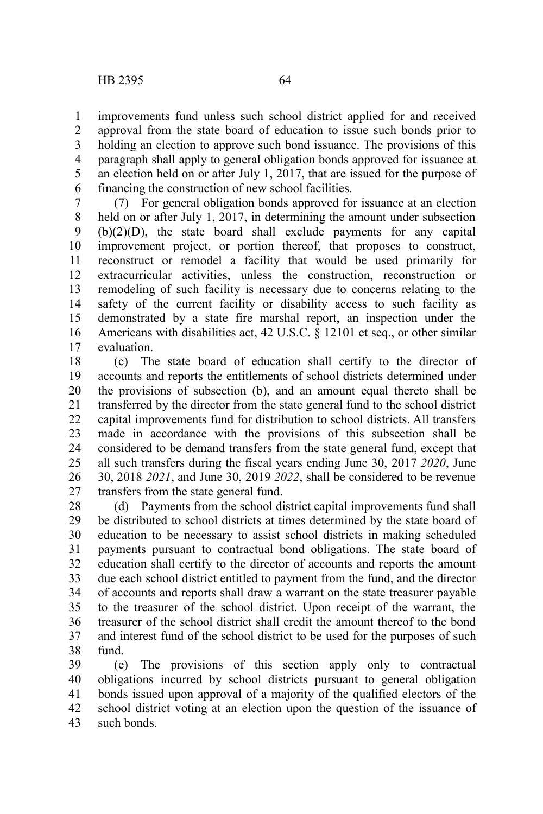improvements fund unless such school district applied for and received approval from the state board of education to issue such bonds prior to holding an election to approve such bond issuance. The provisions of this paragraph shall apply to general obligation bonds approved for issuance at an election held on or after July 1, 2017, that are issued for the purpose of financing the construction of new school facilities. 1 2 3 4 5 6

(7) For general obligation bonds approved for issuance at an election held on or after July 1, 2017, in determining the amount under subsection (b)(2)(D), the state board shall exclude payments for any capital improvement project, or portion thereof, that proposes to construct, reconstruct or remodel a facility that would be used primarily for extracurricular activities, unless the construction, reconstruction or remodeling of such facility is necessary due to concerns relating to the safety of the current facility or disability access to such facility as demonstrated by a state fire marshal report, an inspection under the Americans with disabilities act, 42 U.S.C. § 12101 et seq., or other similar evaluation. 7 8 9 10 11 12 13 14 15 16 17

(c) The state board of education shall certify to the director of accounts and reports the entitlements of school districts determined under the provisions of subsection (b), and an amount equal thereto shall be transferred by the director from the state general fund to the school district capital improvements fund for distribution to school districts. All transfers made in accordance with the provisions of this subsection shall be considered to be demand transfers from the state general fund, except that all such transfers during the fiscal years ending June 30, 2017 *2020*, June 30, 2018 *2021*, and June 30, 2019 *2022*, shall be considered to be revenue transfers from the state general fund. 18 19 20 21 22 23 24 25 26 27

(d) Payments from the school district capital improvements fund shall be distributed to school districts at times determined by the state board of education to be necessary to assist school districts in making scheduled payments pursuant to contractual bond obligations. The state board of education shall certify to the director of accounts and reports the amount due each school district entitled to payment from the fund, and the director of accounts and reports shall draw a warrant on the state treasurer payable to the treasurer of the school district. Upon receipt of the warrant, the treasurer of the school district shall credit the amount thereof to the bond and interest fund of the school district to be used for the purposes of such fund. 28 29 30 31 32 33 34 35 36 37 38

(e) The provisions of this section apply only to contractual obligations incurred by school districts pursuant to general obligation bonds issued upon approval of a majority of the qualified electors of the school district voting at an election upon the question of the issuance of such bonds. 39 40 41 42 43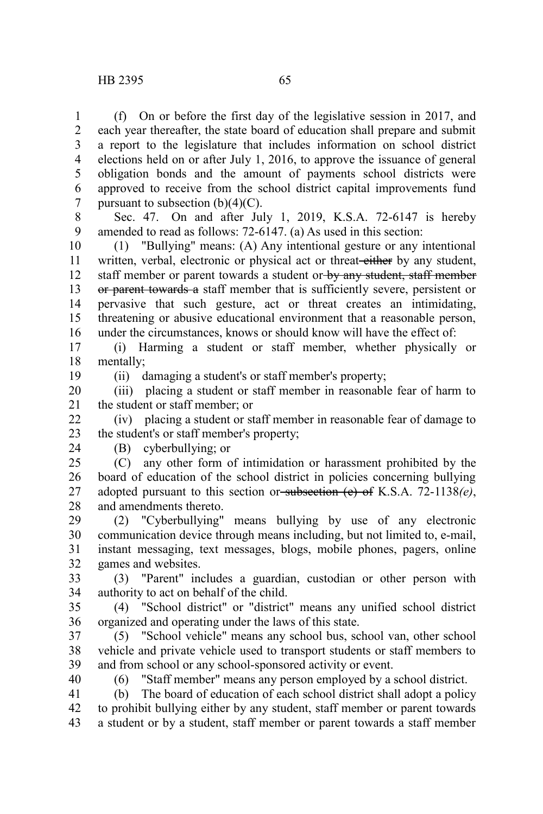(f) On or before the first day of the legislative session in 2017, and each year thereafter, the state board of education shall prepare and submit a report to the legislature that includes information on school district elections held on or after July 1, 2016, to approve the issuance of general obligation bonds and the amount of payments school districts were approved to receive from the school district capital improvements fund

pursuant to subsection  $(b)(4)(C)$ . 7

Sec. 47. On and after July 1, 2019, K.S.A. 72-6147 is hereby amended to read as follows: 72-6147. (a) As used in this section: 8 9

(1) "Bullying" means: (A) Any intentional gesture or any intentional written, verbal, electronic or physical act or threat-either by any student, staff member or parent towards a student or by any student, staff member or parent towards a staff member that is sufficiently severe, persistent or pervasive that such gesture, act or threat creates an intimidating, threatening or abusive educational environment that a reasonable person, under the circumstances, knows or should know will have the effect of: 10 11 12 13 14 15 16

(i) Harming a student or staff member, whether physically or mentally; 17 18

19

(ii) damaging a student's or staff member's property;

(iii) placing a student or staff member in reasonable fear of harm to the student or staff member; or 20 21

(iv) placing a student or staff member in reasonable fear of damage to the student's or staff member's property; 22 23

24

## (B) cyberbullying; or

(C) any other form of intimidation or harassment prohibited by the board of education of the school district in policies concerning bullying adopted pursuant to this section or subsection (e) of K.S.A. 72-1138*(e)*, and amendments thereto. 25 26 27 28

(2) "Cyberbullying" means bullying by use of any electronic communication device through means including, but not limited to, e-mail, instant messaging, text messages, blogs, mobile phones, pagers, online games and websites. 29 30 31 32

(3) "Parent" includes a guardian, custodian or other person with authority to act on behalf of the child. 33 34

(4) "School district" or "district" means any unified school district organized and operating under the laws of this state. 35 36

(5) "School vehicle" means any school bus, school van, other school vehicle and private vehicle used to transport students or staff members to and from school or any school-sponsored activity or event. 37 38 39

40

(6) "Staff member" means any person employed by a school district.

(b) The board of education of each school district shall adopt a policy to prohibit bullying either by any student, staff member or parent towards a student or by a student, staff member or parent towards a staff member 41 42 43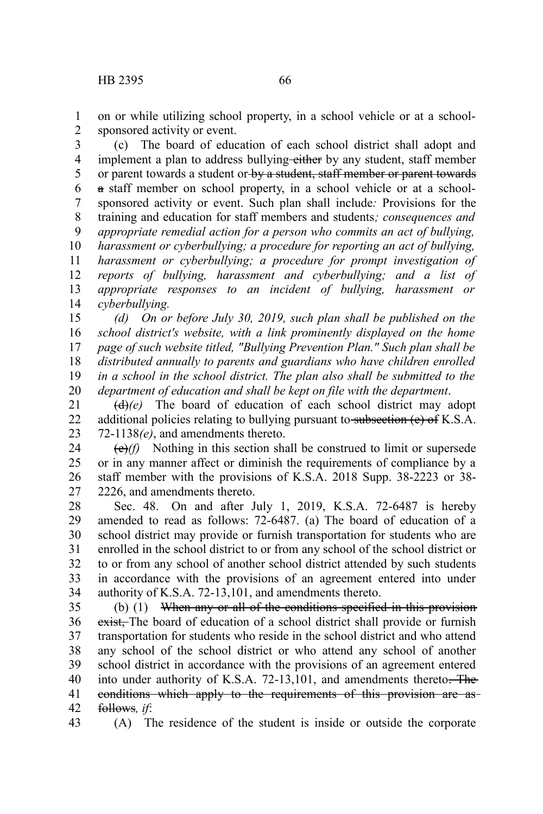on or while utilizing school property, in a school vehicle or at a schoolsponsored activity or event. 1 2

(c) The board of education of each school district shall adopt and implement a plan to address bullying-either by any student, staff member or parent towards a student or by a student, staff member or parent towards a staff member on school property, in a school vehicle or at a schoolsponsored activity or event. Such plan shall include*:* Provisions for the training and education for staff members and students*; consequences and appropriate remedial action for a person who commits an act of bullying, harassment or cyberbullying; a procedure for reporting an act of bullying, harassment or cyberbullying; a procedure for prompt investigation of reports of bullying, harassment and cyberbullying; and a list of appropriate responses to an incident of bullying, harassment or cyberbullying.* 3 4 5 6 7 8 9 10 11 12 13 14

*(d) On or before July 30, 2019, such plan shall be published on the school district's website, with a link prominently displayed on the home page of such website titled, "Bullying Prevention Plan." Such plan shall be distributed annually to parents and guardians who have children enrolled in a school in the school district. The plan also shall be submitted to the department of education and shall be kept on file with the department*. 15 16 17 18 19 20

(d)*(e)* The board of education of each school district may adopt additional policies relating to bullying pursuant to subsection  $(e)$  of K.S.A. 72-1138*(e)*, and amendments thereto. 21 22 23

 $(e)$ (f) Nothing in this section shall be construed to limit or supersede or in any manner affect or diminish the requirements of compliance by a staff member with the provisions of K.S.A. 2018 Supp. 38-2223 or 38- 2226, and amendments thereto. 24 25 26 27

Sec. 48. On and after July 1, 2019, K.S.A. 72-6487 is hereby amended to read as follows: 72-6487. (a) The board of education of a school district may provide or furnish transportation for students who are enrolled in the school district to or from any school of the school district or to or from any school of another school district attended by such students in accordance with the provisions of an agreement entered into under authority of K.S.A. 72-13,101, and amendments thereto. 28 29 30 31 32 33 34

(b) (1) When any or all of the conditions specified in this provision exist, The board of education of a school district shall provide or furnish transportation for students who reside in the school district and who attend any school of the school district or who attend any school of another school district in accordance with the provisions of an agreement entered into under authority of K.S.A. 72-13,101, and amendments thereto. The conditions which apply to the requirements of this provision are as follows*, if*: 35 36 37 38 39 40 41 42

(A) The residence of the student is inside or outside the corporate 43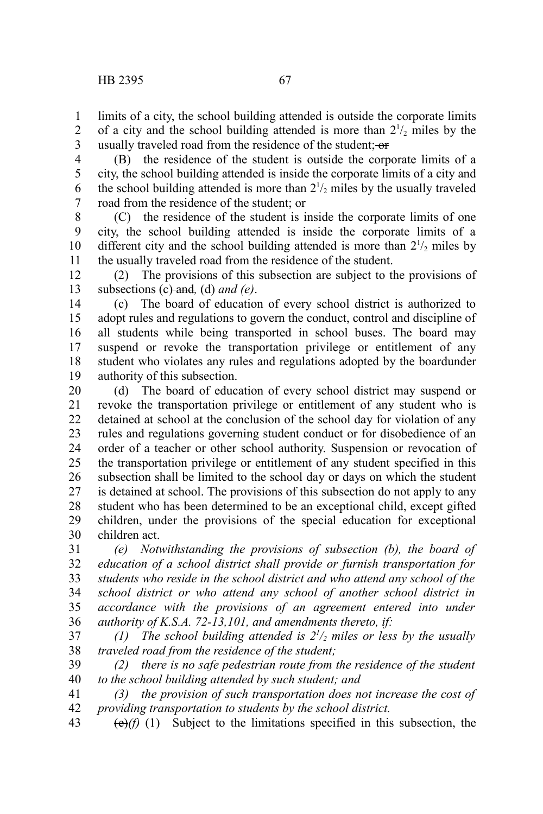limits of a city, the school building attended is outside the corporate limits of a city and the school building attended is more than  $2^{1/2}$  miles by the usually traveled road from the residence of the student; or 1 2 3

(B) the residence of the student is outside the corporate limits of a city, the school building attended is inside the corporate limits of a city and the school building attended is more than  $2\frac{1}{2}$  miles by the usually traveled road from the residence of the student; or 4 5 6 7

(C) the residence of the student is inside the corporate limits of one city, the school building attended is inside the corporate limits of a different city and the school building attended is more than  $2^{1/2}$  miles by the usually traveled road from the residence of the student. 8 9 10 11

(2) The provisions of this subsection are subject to the provisions of subsections (c) and*,* (d) *and (e)*. 12 13

(c) The board of education of every school district is authorized to adopt rules and regulations to govern the conduct, control and discipline of all students while being transported in school buses. The board may suspend or revoke the transportation privilege or entitlement of any student who violates any rules and regulations adopted by the boardunder authority of this subsection. 14 15 16 17 18 19

(d) The board of education of every school district may suspend or revoke the transportation privilege or entitlement of any student who is detained at school at the conclusion of the school day for violation of any rules and regulations governing student conduct or for disobedience of an order of a teacher or other school authority. Suspension or revocation of the transportation privilege or entitlement of any student specified in this subsection shall be limited to the school day or days on which the student is detained at school. The provisions of this subsection do not apply to any student who has been determined to be an exceptional child, except gifted children, under the provisions of the special education for exceptional children act. 20 21 22 23 24 25 26 27 28 29 30

*(e) Notwithstanding the provisions of subsection (b), the board of education of a school district shall provide or furnish transportation for students who reside in the school district and who attend any school of the school district or who attend any school of another school district in accordance with the provisions of an agreement entered into under authority of K.S.A. 72-13,101, and amendments thereto, if:* 31 32 33 34 35 36

*(1)* The school building attended is  $2^{1/2}$  miles or less by the usually *traveled road from the residence of the student;* 37 38

*(2) there is no safe pedestrian route from the residence of the student to the school building attended by such student; and* 39 40

*(3) the provision of such transportation does not increase the cost of providing transportation to students by the school district.* 41 42

 $(e)$ (f) (1) Subject to the limitations specified in this subsection, the 43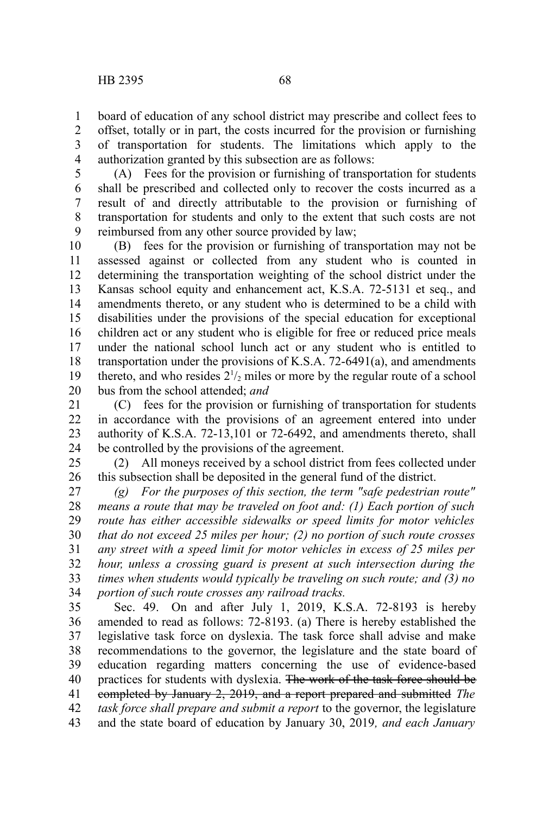board of education of any school district may prescribe and collect fees to offset, totally or in part, the costs incurred for the provision or furnishing of transportation for students. The limitations which apply to the authorization granted by this subsection are as follows: 1 2 3 4

(A) Fees for the provision or furnishing of transportation for students shall be prescribed and collected only to recover the costs incurred as a result of and directly attributable to the provision or furnishing of transportation for students and only to the extent that such costs are not reimbursed from any other source provided by law; 5 6 7 8 9

(B) fees for the provision or furnishing of transportation may not be assessed against or collected from any student who is counted in determining the transportation weighting of the school district under the Kansas school equity and enhancement act, K.S.A. 72-5131 et seq., and amendments thereto, or any student who is determined to be a child with disabilities under the provisions of the special education for exceptional children act or any student who is eligible for free or reduced price meals under the national school lunch act or any student who is entitled to transportation under the provisions of K.S.A. 72-6491(a), and amendments thereto, and who resides  $2^{1/2}$  miles or more by the regular route of a school bus from the school attended; *and* 10 11 12 13 14 15 16 17 18 19 20

(C) fees for the provision or furnishing of transportation for students in accordance with the provisions of an agreement entered into under authority of K.S.A. 72-13,101 or 72-6492, and amendments thereto, shall be controlled by the provisions of the agreement. 21 22 23 24

(2) All moneys received by a school district from fees collected under this subsection shall be deposited in the general fund of the district. 25 26

*(g) For the purposes of this section, the term "safe pedestrian route" means a route that may be traveled on foot and: (1) Each portion of such route has either accessible sidewalks or speed limits for motor vehicles that do not exceed 25 miles per hour; (2) no portion of such route crosses any street with a speed limit for motor vehicles in excess of 25 miles per hour, unless a crossing guard is present at such intersection during the times when students would typically be traveling on such route; and (3) no portion of such route crosses any railroad tracks.* 27 28 29 30 31 32 33 34

Sec. 49. On and after July 1, 2019, K.S.A. 72-8193 is hereby amended to read as follows: 72-8193. (a) There is hereby established the legislative task force on dyslexia. The task force shall advise and make recommendations to the governor, the legislature and the state board of education regarding matters concerning the use of evidence-based practices for students with dyslexia. The work of the task force should be completed by January 2, 2019, and a report prepared and submitted *The task force shall prepare and submit a report* to the governor, the legislature and the state board of education by January 30, 2019*, and each January* 35 36 37 38 39 40 41 42 43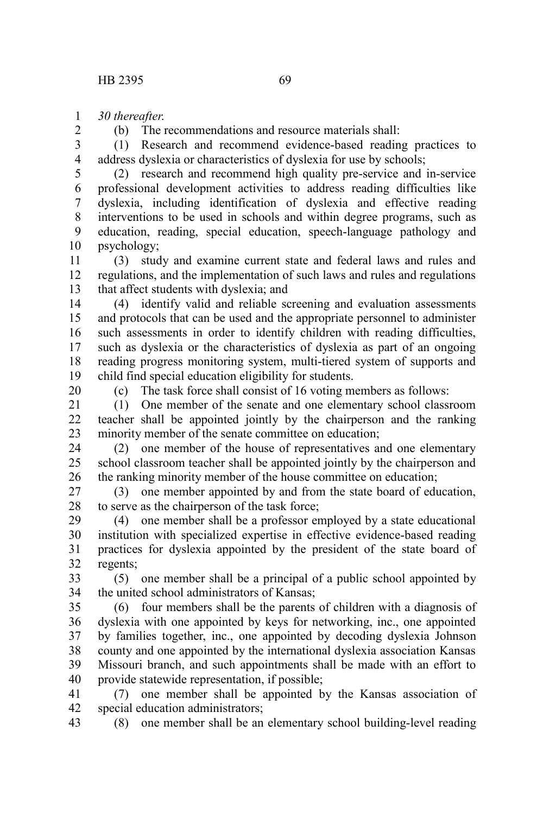*30 thereafter*. 1

2

(b) The recommendations and resource materials shall:

(1) Research and recommend evidence-based reading practices to address dyslexia or characteristics of dyslexia for use by schools; 3 4

(2) research and recommend high quality pre-service and in-service professional development activities to address reading difficulties like dyslexia, including identification of dyslexia and effective reading interventions to be used in schools and within degree programs, such as education, reading, special education, speech-language pathology and psychology; 5 6 7 8 9 10

(3) study and examine current state and federal laws and rules and regulations, and the implementation of such laws and rules and regulations that affect students with dyslexia; and 11 12 13

(4) identify valid and reliable screening and evaluation assessments and protocols that can be used and the appropriate personnel to administer such assessments in order to identify children with reading difficulties, such as dyslexia or the characteristics of dyslexia as part of an ongoing reading progress monitoring system, multi-tiered system of supports and child find special education eligibility for students. 14 15 16 17 18 19

20

(c) The task force shall consist of 16 voting members as follows:

(1) One member of the senate and one elementary school classroom teacher shall be appointed jointly by the chairperson and the ranking minority member of the senate committee on education; 21 22 23

(2) one member of the house of representatives and one elementary school classroom teacher shall be appointed jointly by the chairperson and the ranking minority member of the house committee on education; 24 25 26

(3) one member appointed by and from the state board of education, to serve as the chairperson of the task force; 27 28

(4) one member shall be a professor employed by a state educational institution with specialized expertise in effective evidence-based reading practices for dyslexia appointed by the president of the state board of regents; 29 30 31 32

(5) one member shall be a principal of a public school appointed by the united school administrators of Kansas; 33 34

(6) four members shall be the parents of children with a diagnosis of dyslexia with one appointed by keys for networking, inc., one appointed by families together, inc., one appointed by decoding dyslexia Johnson county and one appointed by the international dyslexia association Kansas Missouri branch, and such appointments shall be made with an effort to provide statewide representation, if possible; 35 36 37 38 39 40

(7) one member shall be appointed by the Kansas association of special education administrators; 41 42

(8) one member shall be an elementary school building-level reading 43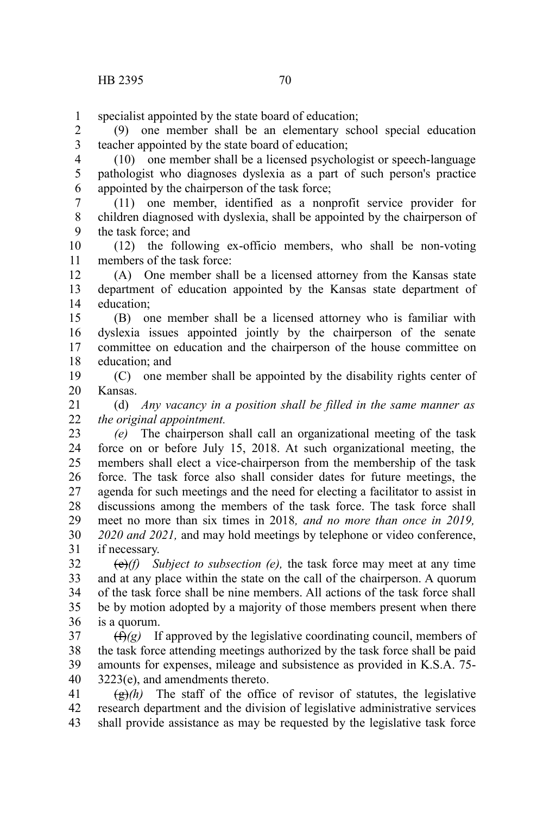specialist appointed by the state board of education; 1

(9) one member shall be an elementary school special education teacher appointed by the state board of education; 2 3

(10) one member shall be a licensed psychologist or speech-language pathologist who diagnoses dyslexia as a part of such person's practice appointed by the chairperson of the task force; 4 5 6

(11) one member, identified as a nonprofit service provider for children diagnosed with dyslexia, shall be appointed by the chairperson of the task force; and 7 8 9

(12) the following ex-officio members, who shall be non-voting members of the task force: 10 11

(A) One member shall be a licensed attorney from the Kansas state department of education appointed by the Kansas state department of education; 12 13 14

(B) one member shall be a licensed attorney who is familiar with dyslexia issues appointed jointly by the chairperson of the senate committee on education and the chairperson of the house committee on education; and 15 16 17 18

(C) one member shall be appointed by the disability rights center of Kansas. 19 20

(d) *Any vacancy in a position shall be filled in the same manner as the original appointment.* 21 22

*(e)* The chairperson shall call an organizational meeting of the task force on or before July 15, 2018. At such organizational meeting, the members shall elect a vice-chairperson from the membership of the task force. The task force also shall consider dates for future meetings, the agenda for such meetings and the need for electing a facilitator to assist in discussions among the members of the task force. The task force shall meet no more than six times in 2018*, and no more than once in 2019, 2020 and 2021,* and may hold meetings by telephone or video conference, if necessary. 23 24 25 26 27 28 29 30 31

(e)*(f) Subject to subsection (e),* the task force may meet at any time and at any place within the state on the call of the chairperson. A quorum of the task force shall be nine members. All actions of the task force shall be by motion adopted by a majority of those members present when there is a quorum. 32 33 34 35 36

 $(f(x))$  If approved by the legislative coordinating council, members of the task force attending meetings authorized by the task force shall be paid amounts for expenses, mileage and subsistence as provided in K.S.A. 75- 3223(e), and amendments thereto. 37 38 39 40

 $\left(\frac{g}{g}\right)$  The staff of the office of revisor of statutes, the legislative research department and the division of legislative administrative services shall provide assistance as may be requested by the legislative task force 41 42 43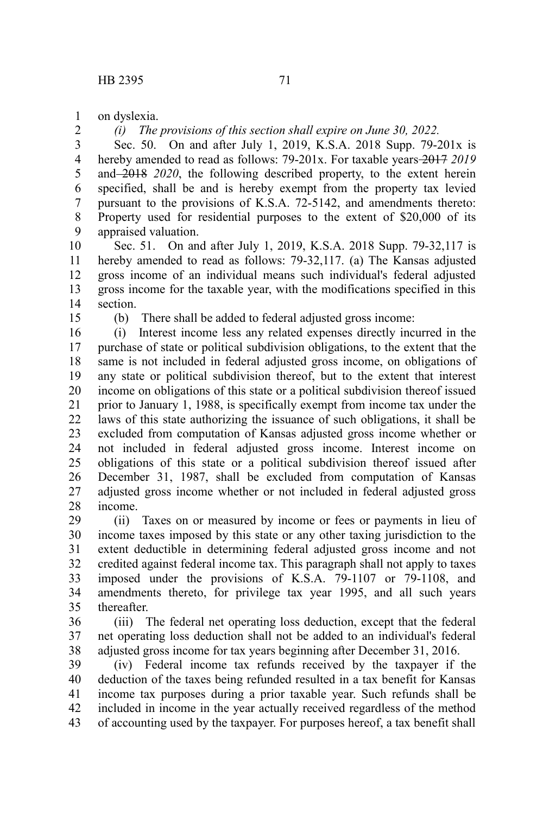on dyslexia. 1

2

*(i) The provisions of this section shall expire on June 30, 2022.*

Sec. 50. On and after July 1, 2019, K.S.A. 2018 Supp. 79-201x is hereby amended to read as follows: 79-201x. For taxable years-2017 2019 and 2018 *2020*, the following described property, to the extent herein specified, shall be and is hereby exempt from the property tax levied pursuant to the provisions of K.S.A. 72-5142, and amendments thereto: Property used for residential purposes to the extent of \$20,000 of its appraised valuation. 3 4 5 6 7 8 9

Sec. 51. On and after July 1, 2019, K.S.A. 2018 Supp. 79-32,117 is hereby amended to read as follows: 79-32,117. (a) The Kansas adjusted gross income of an individual means such individual's federal adjusted gross income for the taxable year, with the modifications specified in this section. 10 11 12 13 14

15

(b) There shall be added to federal adjusted gross income:

(i) Interest income less any related expenses directly incurred in the purchase of state or political subdivision obligations, to the extent that the same is not included in federal adjusted gross income, on obligations of any state or political subdivision thereof, but to the extent that interest income on obligations of this state or a political subdivision thereof issued prior to January 1, 1988, is specifically exempt from income tax under the laws of this state authorizing the issuance of such obligations, it shall be excluded from computation of Kansas adjusted gross income whether or not included in federal adjusted gross income. Interest income on obligations of this state or a political subdivision thereof issued after December 31, 1987, shall be excluded from computation of Kansas adjusted gross income whether or not included in federal adjusted gross income. 16 17 18 19 20 21 22 23 24 25 26 27 28

(ii) Taxes on or measured by income or fees or payments in lieu of income taxes imposed by this state or any other taxing jurisdiction to the extent deductible in determining federal adjusted gross income and not credited against federal income tax. This paragraph shall not apply to taxes imposed under the provisions of K.S.A. 79-1107 or 79-1108, and amendments thereto, for privilege tax year 1995, and all such years thereafter. 29 30 31 32 33 34 35

(iii) The federal net operating loss deduction, except that the federal net operating loss deduction shall not be added to an individual's federal adjusted gross income for tax years beginning after December 31, 2016. 36 37 38

(iv) Federal income tax refunds received by the taxpayer if the deduction of the taxes being refunded resulted in a tax benefit for Kansas income tax purposes during a prior taxable year. Such refunds shall be included in income in the year actually received regardless of the method of accounting used by the taxpayer. For purposes hereof, a tax benefit shall 39 40 41 42 43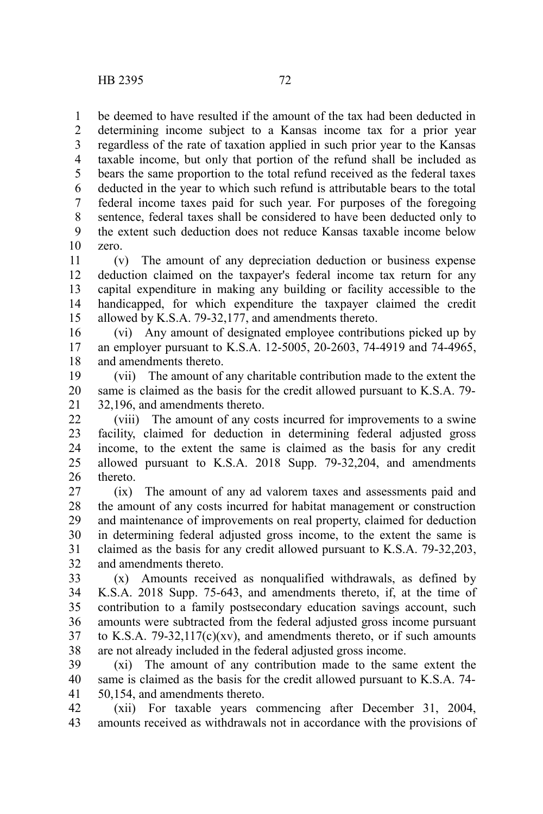be deemed to have resulted if the amount of the tax had been deducted in determining income subject to a Kansas income tax for a prior year regardless of the rate of taxation applied in such prior year to the Kansas taxable income, but only that portion of the refund shall be included as bears the same proportion to the total refund received as the federal taxes deducted in the year to which such refund is attributable bears to the total federal income taxes paid for such year. For purposes of the foregoing sentence, federal taxes shall be considered to have been deducted only to the extent such deduction does not reduce Kansas taxable income below zero. 1 2 3 4 5 6 7 8 9 10

(v) The amount of any depreciation deduction or business expense deduction claimed on the taxpayer's federal income tax return for any capital expenditure in making any building or facility accessible to the handicapped, for which expenditure the taxpayer claimed the credit allowed by K.S.A. 79-32,177, and amendments thereto. 11 12 13 14 15

(vi) Any amount of designated employee contributions picked up by an employer pursuant to K.S.A. 12-5005, 20-2603, 74-4919 and 74-4965, and amendments thereto. 16 17 18

(vii) The amount of any charitable contribution made to the extent the same is claimed as the basis for the credit allowed pursuant to K.S.A. 79- 32,196, and amendments thereto. 19 20 21

(viii) The amount of any costs incurred for improvements to a swine facility, claimed for deduction in determining federal adjusted gross income, to the extent the same is claimed as the basis for any credit allowed pursuant to K.S.A. 2018 Supp. 79-32,204, and amendments thereto. 22 23 24 25 26

(ix) The amount of any ad valorem taxes and assessments paid and the amount of any costs incurred for habitat management or construction and maintenance of improvements on real property, claimed for deduction in determining federal adjusted gross income, to the extent the same is claimed as the basis for any credit allowed pursuant to K.S.A. 79-32,203, and amendments thereto. 27 28 29 30 31 32

(x) Amounts received as nonqualified withdrawals, as defined by K.S.A. 2018 Supp. 75-643, and amendments thereto, if, at the time of contribution to a family postsecondary education savings account, such amounts were subtracted from the federal adjusted gross income pursuant to K.S.A.  $79-32,117(c)(xv)$ , and amendments thereto, or if such amounts are not already included in the federal adjusted gross income. 33 34 35 36 37 38

(xi) The amount of any contribution made to the same extent the same is claimed as the basis for the credit allowed pursuant to K.S.A. 74- 50,154, and amendments thereto. 39 40 41

(xii) For taxable years commencing after December 31, 2004, amounts received as withdrawals not in accordance with the provisions of 42 43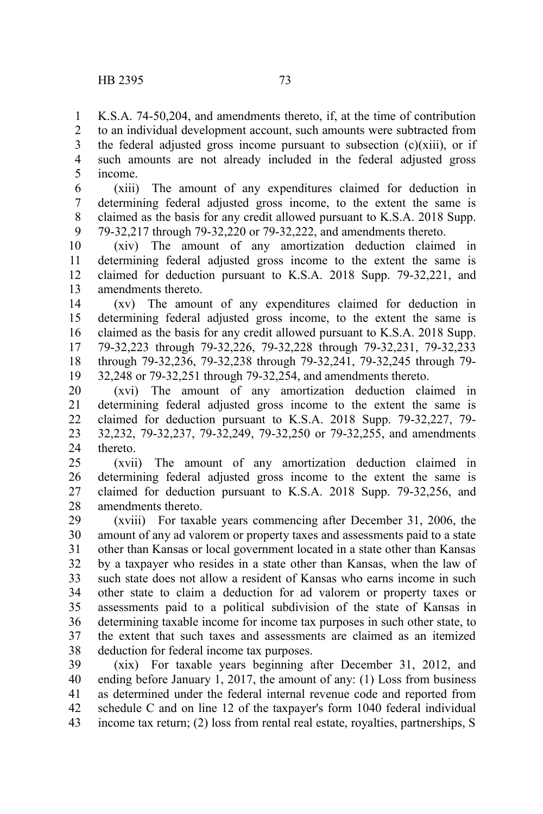K.S.A. 74-50,204, and amendments thereto, if, at the time of contribution to an individual development account, such amounts were subtracted from the federal adjusted gross income pursuant to subsection  $(c)(xiii)$ , or if such amounts are not already included in the federal adjusted gross income. 1 2 3 4 5

(xiii) The amount of any expenditures claimed for deduction in determining federal adjusted gross income, to the extent the same is claimed as the basis for any credit allowed pursuant to K.S.A. 2018 Supp. 79-32,217 through 79-32,220 or 79-32,222, and amendments thereto. 6 7 8 9

(xiv) The amount of any amortization deduction claimed in determining federal adjusted gross income to the extent the same is claimed for deduction pursuant to K.S.A. 2018 Supp. 79-32,221, and amendments thereto. 10 11 12 13

(xv) The amount of any expenditures claimed for deduction in determining federal adjusted gross income, to the extent the same is claimed as the basis for any credit allowed pursuant to K.S.A. 2018 Supp. 79-32,223 through 79-32,226, 79-32,228 through 79-32,231, 79-32,233 through 79-32,236, 79-32,238 through 79-32,241, 79-32,245 through 79- 32,248 or 79-32,251 through 79-32,254, and amendments thereto. 14 15 16 17 18 19

(xvi) The amount of any amortization deduction claimed in determining federal adjusted gross income to the extent the same is claimed for deduction pursuant to K.S.A. 2018 Supp. 79-32,227, 79- 32,232, 79-32,237, 79-32,249, 79-32,250 or 79-32,255, and amendments thereto. 20 21 22 23 24

(xvii) The amount of any amortization deduction claimed in determining federal adjusted gross income to the extent the same is claimed for deduction pursuant to K.S.A. 2018 Supp. 79-32,256, and amendments thereto. 25 26 27 28

(xviii) For taxable years commencing after December 31, 2006, the amount of any ad valorem or property taxes and assessments paid to a state other than Kansas or local government located in a state other than Kansas by a taxpayer who resides in a state other than Kansas, when the law of such state does not allow a resident of Kansas who earns income in such other state to claim a deduction for ad valorem or property taxes or assessments paid to a political subdivision of the state of Kansas in determining taxable income for income tax purposes in such other state, to the extent that such taxes and assessments are claimed as an itemized deduction for federal income tax purposes. 29 30 31 32 33 34 35 36 37 38

(xix) For taxable years beginning after December 31, 2012, and ending before January 1, 2017, the amount of any: (1) Loss from business as determined under the federal internal revenue code and reported from schedule C and on line 12 of the taxpayer's form 1040 federal individual income tax return; (2) loss from rental real estate, royalties, partnerships, S 39 40 41 42 43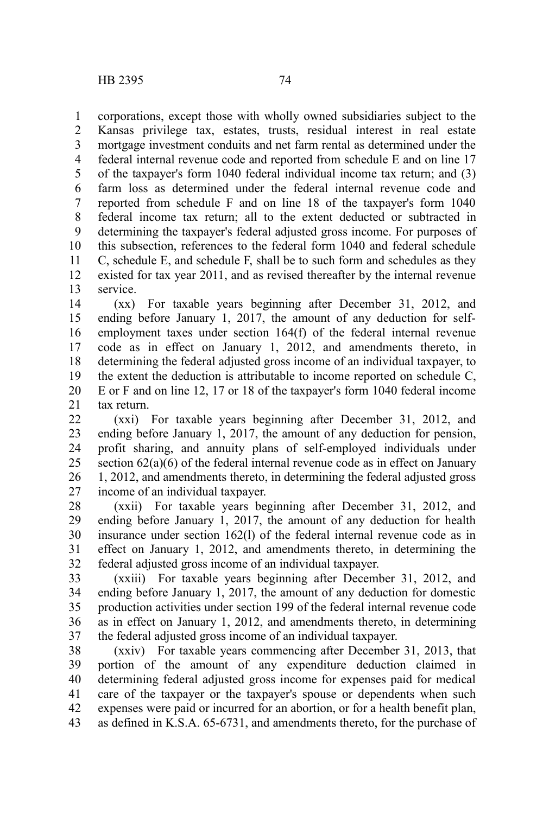corporations, except those with wholly owned subsidiaries subject to the Kansas privilege tax, estates, trusts, residual interest in real estate mortgage investment conduits and net farm rental as determined under the federal internal revenue code and reported from schedule E and on line 17 of the taxpayer's form 1040 federal individual income tax return; and (3) farm loss as determined under the federal internal revenue code and reported from schedule F and on line 18 of the taxpayer's form 1040 federal income tax return; all to the extent deducted or subtracted in determining the taxpayer's federal adjusted gross income. For purposes of this subsection, references to the federal form 1040 and federal schedule C, schedule E, and schedule F, shall be to such form and schedules as they existed for tax year 2011, and as revised thereafter by the internal revenue service. 1 2 3 4 5 6 7 8 9 10 11 12 13

(xx) For taxable years beginning after December 31, 2012, and ending before January 1, 2017, the amount of any deduction for selfemployment taxes under section 164(f) of the federal internal revenue code as in effect on January 1, 2012, and amendments thereto, in determining the federal adjusted gross income of an individual taxpayer, to the extent the deduction is attributable to income reported on schedule C, E or F and on line 12, 17 or 18 of the taxpayer's form 1040 federal income tax return. 14 15 16 17 18 19 20 21

(xxi) For taxable years beginning after December 31, 2012, and ending before January 1, 2017, the amount of any deduction for pension, profit sharing, and annuity plans of self-employed individuals under section 62(a)(6) of the federal internal revenue code as in effect on January 1, 2012, and amendments thereto, in determining the federal adjusted gross income of an individual taxpayer. 22 23 24 25 26 27

(xxii) For taxable years beginning after December 31, 2012, and ending before January 1, 2017, the amount of any deduction for health insurance under section 162(l) of the federal internal revenue code as in effect on January 1, 2012, and amendments thereto, in determining the federal adjusted gross income of an individual taxpayer. 28 29 30 31 32

(xxiii) For taxable years beginning after December 31, 2012, and ending before January 1, 2017, the amount of any deduction for domestic production activities under section 199 of the federal internal revenue code as in effect on January 1, 2012, and amendments thereto, in determining the federal adjusted gross income of an individual taxpayer. 33 34 35 36 37

(xxiv) For taxable years commencing after December 31, 2013, that portion of the amount of any expenditure deduction claimed in determining federal adjusted gross income for expenses paid for medical care of the taxpayer or the taxpayer's spouse or dependents when such expenses were paid or incurred for an abortion, or for a health benefit plan, as defined in K.S.A. 65-6731, and amendments thereto, for the purchase of 38 39 40 41 42 43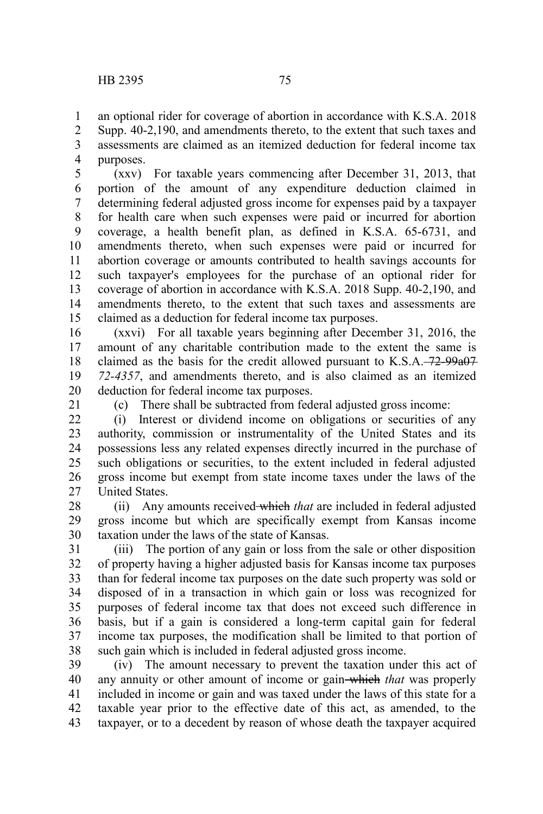an optional rider for coverage of abortion in accordance with K.S.A. 2018 Supp. 40-2,190, and amendments thereto, to the extent that such taxes and assessments are claimed as an itemized deduction for federal income tax purposes. 1 2 3 4

(xxv) For taxable years commencing after December 31, 2013, that portion of the amount of any expenditure deduction claimed in determining federal adjusted gross income for expenses paid by a taxpayer for health care when such expenses were paid or incurred for abortion coverage, a health benefit plan, as defined in K.S.A. 65-6731, and amendments thereto, when such expenses were paid or incurred for abortion coverage or amounts contributed to health savings accounts for such taxpayer's employees for the purchase of an optional rider for coverage of abortion in accordance with K.S.A. 2018 Supp. 40-2,190, and amendments thereto, to the extent that such taxes and assessments are claimed as a deduction for federal income tax purposes. 5 6 7 8 9 10 11 12 13 14 15

(xxvi) For all taxable years beginning after December 31, 2016, the amount of any charitable contribution made to the extent the same is claimed as the basis for the credit allowed pursuant to  $K.S.A. -72-99a07$ *72-4357*, and amendments thereto, and is also claimed as an itemized deduction for federal income tax purposes. 16 17 18 19 20

21

(c) There shall be subtracted from federal adjusted gross income:

(i) Interest or dividend income on obligations or securities of any authority, commission or instrumentality of the United States and its possessions less any related expenses directly incurred in the purchase of such obligations or securities, to the extent included in federal adjusted gross income but exempt from state income taxes under the laws of the United States.  $22$ 23 24 25 26 27

(ii) Any amounts received which *that* are included in federal adjusted gross income but which are specifically exempt from Kansas income taxation under the laws of the state of Kansas. 28 29 30

(iii) The portion of any gain or loss from the sale or other disposition of property having a higher adjusted basis for Kansas income tax purposes than for federal income tax purposes on the date such property was sold or disposed of in a transaction in which gain or loss was recognized for purposes of federal income tax that does not exceed such difference in basis, but if a gain is considered a long-term capital gain for federal income tax purposes, the modification shall be limited to that portion of such gain which is included in federal adjusted gross income. 31 32 33 34 35 36 37 38

(iv) The amount necessary to prevent the taxation under this act of any annuity or other amount of income or gain which *that* was properly included in income or gain and was taxed under the laws of this state for a taxable year prior to the effective date of this act, as amended, to the taxpayer, or to a decedent by reason of whose death the taxpayer acquired 39 40 41 42 43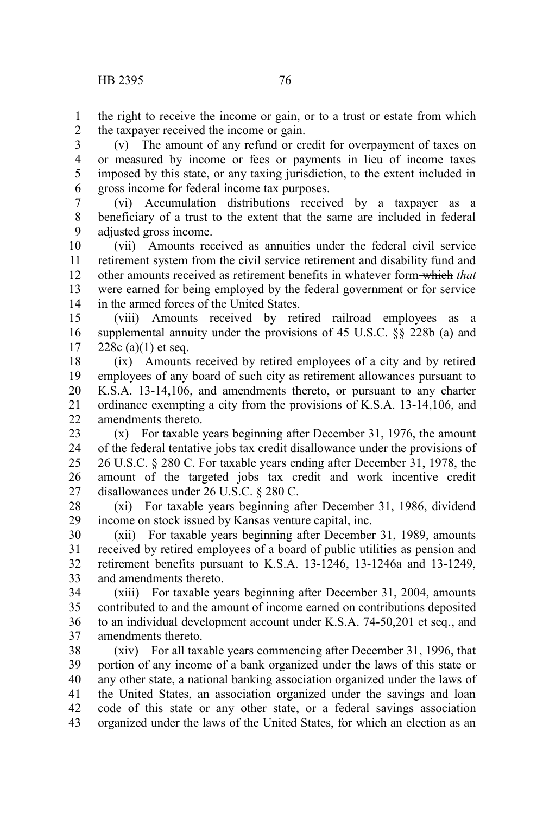the right to receive the income or gain, or to a trust or estate from which the taxpayer received the income or gain. 1 2

(v) The amount of any refund or credit for overpayment of taxes on or measured by income or fees or payments in lieu of income taxes imposed by this state, or any taxing jurisdiction, to the extent included in gross income for federal income tax purposes. 3 4 5 6

(vi) Accumulation distributions received by a taxpayer as a beneficiary of a trust to the extent that the same are included in federal adjusted gross income. 7 8 9

(vii) Amounts received as annuities under the federal civil service retirement system from the civil service retirement and disability fund and other amounts received as retirement benefits in whatever form which *that* were earned for being employed by the federal government or for service in the armed forces of the United States. 10 11 12 13 14

(viii) Amounts received by retired railroad employees as a supplemental annuity under the provisions of 45 U.S.C. §§ 228b (a) and  $228c (a)(1)$  et seq. 15 16 17

(ix) Amounts received by retired employees of a city and by retired employees of any board of such city as retirement allowances pursuant to K.S.A. 13-14,106, and amendments thereto, or pursuant to any charter ordinance exempting a city from the provisions of K.S.A. 13-14,106, and amendments thereto. 18 19 20 21  $22$ 

(x) For taxable years beginning after December 31, 1976, the amount of the federal tentative jobs tax credit disallowance under the provisions of 26 U.S.C. § 280 C. For taxable years ending after December 31, 1978, the amount of the targeted jobs tax credit and work incentive credit disallowances under 26 U.S.C. § 280 C. 23 24 25 26 27

(xi) For taxable years beginning after December 31, 1986, dividend income on stock issued by Kansas venture capital, inc. 28 29

(xii) For taxable years beginning after December 31, 1989, amounts received by retired employees of a board of public utilities as pension and retirement benefits pursuant to K.S.A. 13-1246, 13-1246a and 13-1249, and amendments thereto. 30 31 32 33

(xiii) For taxable years beginning after December 31, 2004, amounts contributed to and the amount of income earned on contributions deposited to an individual development account under K.S.A. 74-50,201 et seq., and amendments thereto. 34 35 36 37

(xiv) For all taxable years commencing after December 31, 1996, that portion of any income of a bank organized under the laws of this state or any other state, a national banking association organized under the laws of the United States, an association organized under the savings and loan code of this state or any other state, or a federal savings association organized under the laws of the United States, for which an election as an 38 39 40 41 42 43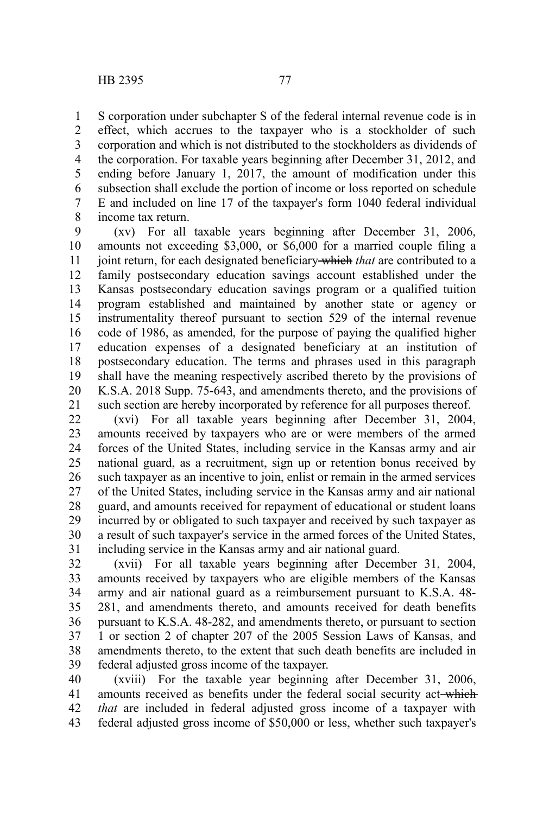S corporation under subchapter S of the federal internal revenue code is in effect, which accrues to the taxpayer who is a stockholder of such corporation and which is not distributed to the stockholders as dividends of the corporation. For taxable years beginning after December 31, 2012, and ending before January 1, 2017, the amount of modification under this subsection shall exclude the portion of income or loss reported on schedule E and included on line 17 of the taxpayer's form 1040 federal individual income tax return. 1 2 3 4 5 6 7 8

(xv) For all taxable years beginning after December 31, 2006, amounts not exceeding \$3,000, or \$6,000 for a married couple filing a joint return, for each designated beneficiary which *that* are contributed to a family postsecondary education savings account established under the Kansas postsecondary education savings program or a qualified tuition program established and maintained by another state or agency or instrumentality thereof pursuant to section 529 of the internal revenue code of 1986, as amended, for the purpose of paying the qualified higher education expenses of a designated beneficiary at an institution of postsecondary education. The terms and phrases used in this paragraph shall have the meaning respectively ascribed thereto by the provisions of K.S.A. 2018 Supp. 75-643, and amendments thereto, and the provisions of such section are hereby incorporated by reference for all purposes thereof. 9 10 11 12 13 14 15 16 17 18 19 20 21

(xvi) For all taxable years beginning after December 31, 2004, amounts received by taxpayers who are or were members of the armed forces of the United States, including service in the Kansas army and air national guard, as a recruitment, sign up or retention bonus received by such taxpayer as an incentive to join, enlist or remain in the armed services of the United States, including service in the Kansas army and air national guard, and amounts received for repayment of educational or student loans incurred by or obligated to such taxpayer and received by such taxpayer as a result of such taxpayer's service in the armed forces of the United States, including service in the Kansas army and air national guard. 22 23 24 25 26 27 28 29 30 31

(xvii) For all taxable years beginning after December 31, 2004, amounts received by taxpayers who are eligible members of the Kansas army and air national guard as a reimbursement pursuant to K.S.A. 48- 281, and amendments thereto, and amounts received for death benefits pursuant to K.S.A. 48-282, and amendments thereto, or pursuant to section 1 or section 2 of chapter 207 of the 2005 Session Laws of Kansas, and amendments thereto, to the extent that such death benefits are included in federal adjusted gross income of the taxpayer. 32 33 34 35 36 37 38 39

(xviii) For the taxable year beginning after December 31, 2006, amounts received as benefits under the federal social security act-which *that* are included in federal adjusted gross income of a taxpayer with federal adjusted gross income of \$50,000 or less, whether such taxpayer's 40 41 42 43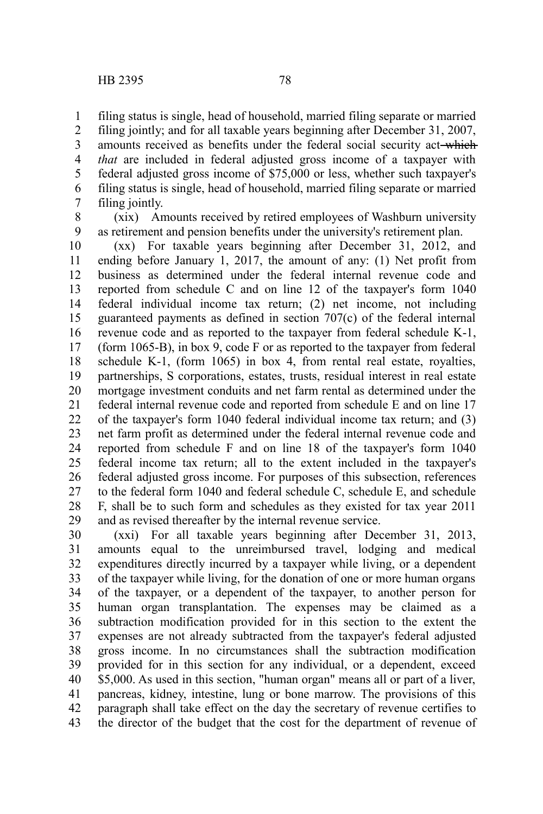filing status is single, head of household, married filing separate or married 1

filing jointly; and for all taxable years beginning after December 31, 2007, amounts received as benefits under the federal social security act-which *that* are included in federal adjusted gross income of a taxpayer with federal adjusted gross income of \$75,000 or less, whether such taxpayer's filing status is single, head of household, married filing separate or married filing jointly. 2 3 4 5 6 7

8 9

(xix) Amounts received by retired employees of Washburn university as retirement and pension benefits under the university's retirement plan.

(xx) For taxable years beginning after December 31, 2012, and ending before January 1, 2017, the amount of any: (1) Net profit from business as determined under the federal internal revenue code and reported from schedule C and on line 12 of the taxpayer's form 1040 federal individual income tax return; (2) net income, not including guaranteed payments as defined in section 707(c) of the federal internal revenue code and as reported to the taxpayer from federal schedule K-1, (form 1065-B), in box 9, code F or as reported to the taxpayer from federal schedule K-1, (form 1065) in box 4, from rental real estate, royalties, partnerships, S corporations, estates, trusts, residual interest in real estate mortgage investment conduits and net farm rental as determined under the federal internal revenue code and reported from schedule E and on line 17 of the taxpayer's form 1040 federal individual income tax return; and (3) net farm profit as determined under the federal internal revenue code and reported from schedule F and on line 18 of the taxpayer's form 1040 federal income tax return; all to the extent included in the taxpayer's federal adjusted gross income. For purposes of this subsection, references to the federal form 1040 and federal schedule C, schedule E, and schedule F, shall be to such form and schedules as they existed for tax year 2011 and as revised thereafter by the internal revenue service. 10 11 12 13 14 15 16 17 18 19 20 21 22 23 24 25 26 27 28 29

(xxi) For all taxable years beginning after December 31, 2013, amounts equal to the unreimbursed travel, lodging and medical expenditures directly incurred by a taxpayer while living, or a dependent of the taxpayer while living, for the donation of one or more human organs of the taxpayer, or a dependent of the taxpayer, to another person for human organ transplantation. The expenses may be claimed as a subtraction modification provided for in this section to the extent the expenses are not already subtracted from the taxpayer's federal adjusted gross income. In no circumstances shall the subtraction modification provided for in this section for any individual, or a dependent, exceed \$5,000. As used in this section, "human organ" means all or part of a liver, pancreas, kidney, intestine, lung or bone marrow. The provisions of this paragraph shall take effect on the day the secretary of revenue certifies to the director of the budget that the cost for the department of revenue of 30 31 32 33 34 35 36 37 38 39 40 41 42 43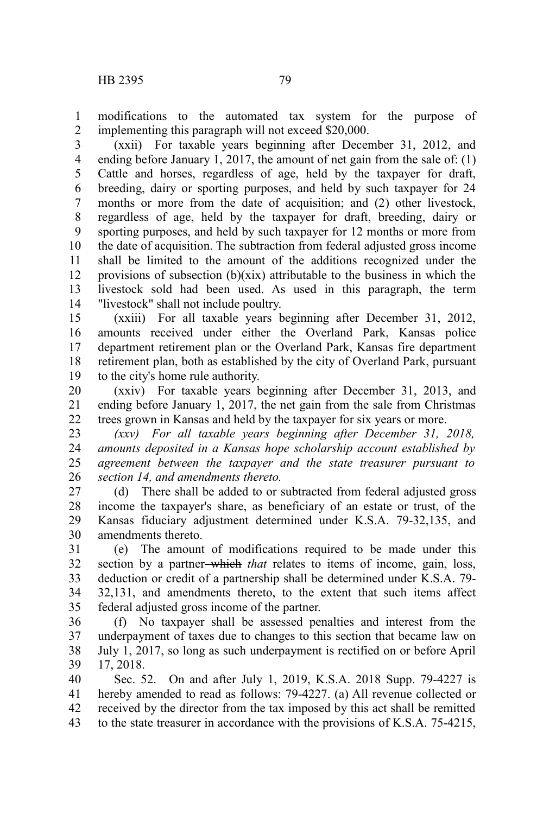modifications to the automated tax system for the purpose of implementing this paragraph will not exceed \$20,000. 1 2

(xxii) For taxable years beginning after December 31, 2012, and ending before January 1, 2017, the amount of net gain from the sale of: (1) Cattle and horses, regardless of age, held by the taxpayer for draft, breeding, dairy or sporting purposes, and held by such taxpayer for 24 months or more from the date of acquisition; and (2) other livestock, regardless of age, held by the taxpayer for draft, breeding, dairy or sporting purposes, and held by such taxpayer for 12 months or more from the date of acquisition. The subtraction from federal adjusted gross income shall be limited to the amount of the additions recognized under the provisions of subsection  $(b)(\overline{xx})$  attributable to the business in which the livestock sold had been used. As used in this paragraph, the term "livestock" shall not include poultry. 3 4 5 6 7 8 9 10 11 12 13 14

(xxiii) For all taxable years beginning after December 31, 2012, amounts received under either the Overland Park, Kansas police department retirement plan or the Overland Park, Kansas fire department retirement plan, both as established by the city of Overland Park, pursuant to the city's home rule authority. 15 16 17 18 19

(xxiv) For taxable years beginning after December 31, 2013, and ending before January 1, 2017, the net gain from the sale from Christmas trees grown in Kansas and held by the taxpayer for six years or more. 20 21 22

*(xxv) For all taxable years beginning after December 31, 2018, amounts deposited in a Kansas hope scholarship account established by agreement between the taxpayer and the state treasurer pursuant to section 14, and amendments thereto.* 23 24 25 26

(d) There shall be added to or subtracted from federal adjusted gross income the taxpayer's share, as beneficiary of an estate or trust, of the Kansas fiduciary adjustment determined under K.S.A. 79-32,135, and amendments thereto. 27 28 29 30

(e) The amount of modifications required to be made under this section by a partner-which *that* relates to items of income, gain, loss, deduction or credit of a partnership shall be determined under K.S.A. 79- 32,131, and amendments thereto, to the extent that such items affect federal adjusted gross income of the partner. 31 32 33 34 35

(f) No taxpayer shall be assessed penalties and interest from the underpayment of taxes due to changes to this section that became law on July 1, 2017, so long as such underpayment is rectified on or before April 17, 2018. 36 37 38 39

Sec. 52. On and after July 1, 2019, K.S.A. 2018 Supp. 79-4227 is hereby amended to read as follows: 79-4227. (a) All revenue collected or received by the director from the tax imposed by this act shall be remitted to the state treasurer in accordance with the provisions of K.S.A. 75-4215, 40 41 42 43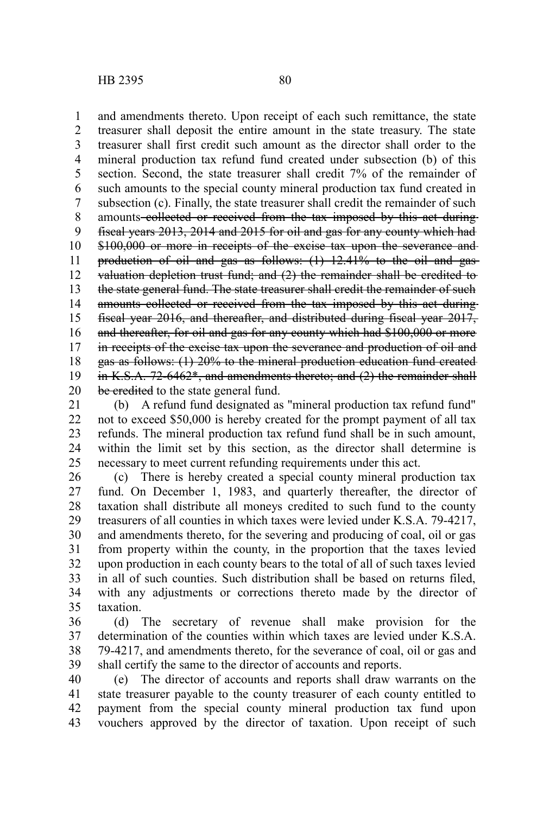and amendments thereto. Upon receipt of each such remittance, the state treasurer shall deposit the entire amount in the state treasury. The state treasurer shall first credit such amount as the director shall order to the mineral production tax refund fund created under subsection (b) of this section. Second, the state treasurer shall credit 7% of the remainder of such amounts to the special county mineral production tax fund created in subsection (c). Finally, the state treasurer shall credit the remainder of such amounts collected or received from the tax imposed by this act duringfiscal years 2013, 2014 and 2015 for oil and gas for any county which had \$100,000 or more in receipts of the excise tax upon the severance and production of oil and gas as follows: (1) 12.41% to the oil and gas valuation depletion trust fund; and (2) the remainder shall be credited to the state general fund. The state treasurer shall credit the remainder of such amounts collected or received from the tax imposed by this act during fiscal year 2016, and thereafter, and distributed during fiscal year 2017, and thereafter, for oil and gas for any county which had \$100,000 or more in receipts of the excise tax upon the severance and production of oil and gas as follows: (1) 20% to the mineral production education fund created in K.S.A. 72-6462\*, and amendments thereto; and (2) the remainder shall be credited to the state general fund. 1 2 3 4 5 6 7 8 9 10 11 12 13 14 15 16 17 18 19 20

(b) A refund fund designated as "mineral production tax refund fund" not to exceed \$50,000 is hereby created for the prompt payment of all tax refunds. The mineral production tax refund fund shall be in such amount, within the limit set by this section, as the director shall determine is necessary to meet current refunding requirements under this act. 21 22 23 24 25

(c) There is hereby created a special county mineral production tax fund. On December 1, 1983, and quarterly thereafter, the director of taxation shall distribute all moneys credited to such fund to the county treasurers of all counties in which taxes were levied under K.S.A. 79-4217, and amendments thereto, for the severing and producing of coal, oil or gas from property within the county, in the proportion that the taxes levied upon production in each county bears to the total of all of such taxes levied in all of such counties. Such distribution shall be based on returns filed, with any adjustments or corrections thereto made by the director of taxation. 26 27 28 29 30 31 32 33 34 35

(d) The secretary of revenue shall make provision for the determination of the counties within which taxes are levied under K.S.A. 79-4217, and amendments thereto, for the severance of coal, oil or gas and shall certify the same to the director of accounts and reports. 36 37 38 39

(e) The director of accounts and reports shall draw warrants on the state treasurer payable to the county treasurer of each county entitled to payment from the special county mineral production tax fund upon vouchers approved by the director of taxation. Upon receipt of such 40 41 42 43